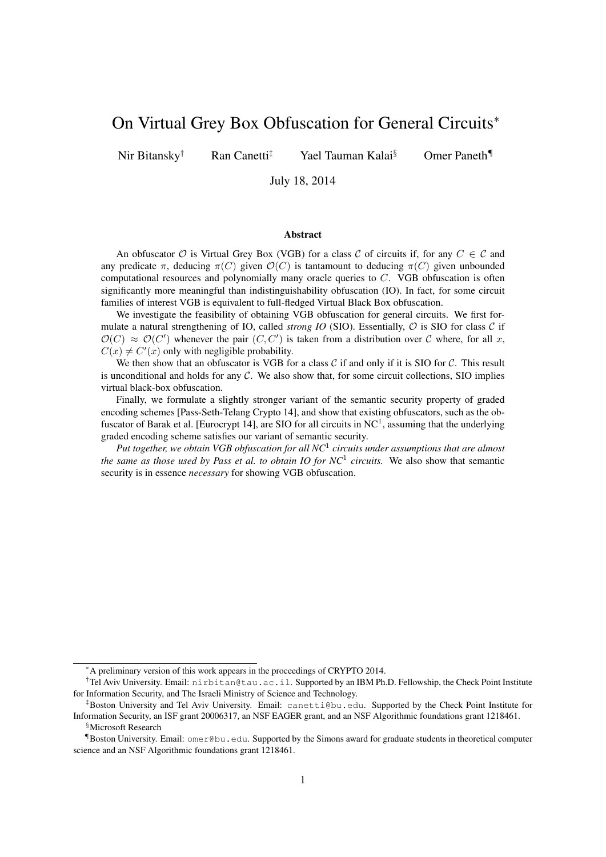## On Virtual Grey Box Obfuscation for General Circuits<sup>∗</sup>

Nir Bitansky† Ran Canetti‡ Yael Tauman Kalai§ Omer Paneth¶

July 18, 2014

#### Abstract

An obfuscator O is Virtual Grey Box (VGB) for a class C of circuits if, for any  $C \in \mathcal{C}$  and any predicate  $\pi$ , deducing  $\pi(C)$  given  $\mathcal{O}(C)$  is tantamount to deducing  $\pi(C)$  given unbounded computational resources and polynomially many oracle queries to  $C$ . VGB obfuscation is often significantly more meaningful than indistinguishability obfuscation (IO). In fact, for some circuit families of interest VGB is equivalent to full-fledged Virtual Black Box obfuscation.

We investigate the feasibility of obtaining VGB obfuscation for general circuits. We first formulate a natural strengthening of IO, called *strong IO* (SIO). Essentially,  $\mathcal O$  is SIO for class  $\mathcal C$  if  $\mathcal{O}(C) \approx \mathcal{O}(C')$  whenever the pair  $(C, C')$  is taken from a distribution over C where, for all x,  $C(x) \neq C'(x)$  only with negligible probability.

We then show that an obfuscator is VGB for a class C if and only if it is SIO for C. This result is unconditional and holds for any  $C$ . We also show that, for some circuit collections, SIO implies virtual black-box obfuscation.

Finally, we formulate a slightly stronger variant of the semantic security property of graded encoding schemes [Pass-Seth-Telang Crypto 14], and show that existing obfuscators, such as the obfuscator of Barak et al. [Eurocrypt 14], are SIO for all circuits in  $NC<sup>1</sup>$ , assuming that the underlying graded encoding scheme satisfies our variant of semantic security.

*Put together, we obtain VGB obfuscation for all NC*<sup>1</sup> *circuits under assumptions that are almost the same as those used by Pass et al. to obtain IO for NC*<sup>1</sup> *circuits.* We also show that semantic security is in essence *necessary* for showing VGB obfuscation.

<sup>∗</sup>A preliminary version of this work appears in the proceedings of CRYPTO 2014.

<sup>&</sup>lt;sup>†</sup>Tel Aviv University. Email: nirbitan@tau.ac.il. Supported by an IBM Ph.D. Fellowship, the Check Point Institute for Information Security, and The Israeli Ministry of Science and Technology.

<sup>‡</sup>Boston University and Tel Aviv University. Email: canetti@bu.edu. Supported by the Check Point Institute for Information Security, an ISF grant 20006317, an NSF EAGER grant, and an NSF Algorithmic foundations grant 1218461. §Microsoft Research

<sup>¶</sup>Boston University. Email: omer@bu.edu. Supported by the Simons award for graduate students in theoretical computer science and an NSF Algorithmic foundations grant 1218461.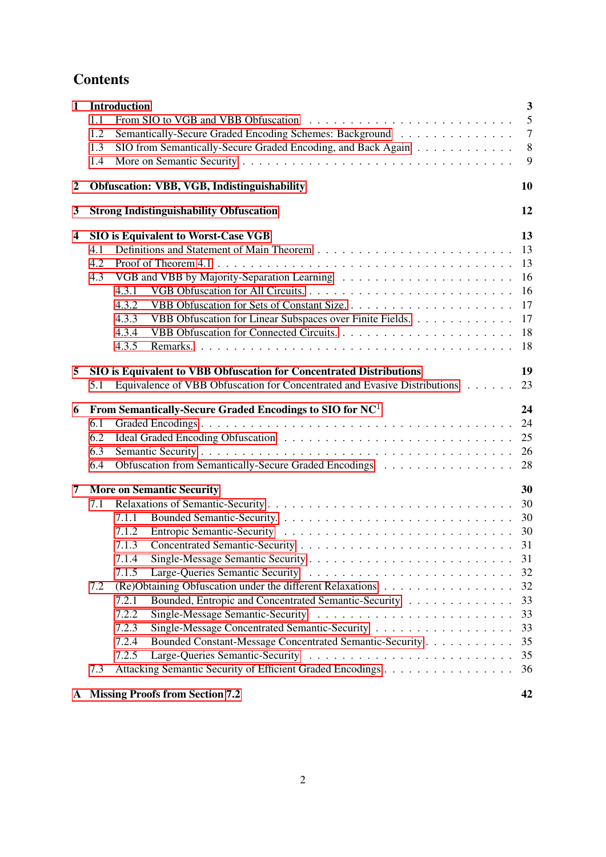# **Contents**

| $\mathbf{1}$     |                                                                            | <b>Introduction</b>                                                       | 3              |
|------------------|----------------------------------------------------------------------------|---------------------------------------------------------------------------|----------------|
|                  | 1.1                                                                        | From SIO to VGB and VBB Obfuscation                                       | 5              |
|                  | 1.2                                                                        | Semantically-Secure Graded Encoding Schemes: Background                   | $\overline{7}$ |
|                  | 1.3                                                                        | SIO from Semantically-Secure Graded Encoding, and Back Again              | 8              |
|                  | 1.4                                                                        |                                                                           | 9              |
| $\boldsymbol{2}$ |                                                                            | Obfuscation: VBB, VGB, Indistinguishability                               | 10             |
| 3                |                                                                            | <b>Strong Indistinguishability Obfuscation</b>                            | 12             |
| 4                |                                                                            | <b>SIO</b> is Equivalent to Worst-Case VGB                                | 13             |
|                  | 4.1                                                                        |                                                                           | 13             |
|                  | 4.2                                                                        |                                                                           | 13             |
|                  | 4.3                                                                        |                                                                           | 16             |
|                  |                                                                            | 4.3.1                                                                     | 16             |
|                  |                                                                            | 4.3.2                                                                     | 17             |
|                  |                                                                            | VBB Obfuscation for Linear Subspaces over Finite Fields.<br>4.3.3         | 17             |
|                  |                                                                            | 4.3.4                                                                     | 18             |
|                  |                                                                            | 4.3.5                                                                     | 18             |
| 5                |                                                                            | SIO is Equivalent to VBB Obfuscation for Concentrated Distributions       | 19             |
|                  | 5.1                                                                        | Equivalence of VBB Obfuscation for Concentrated and Evasive Distributions | 23             |
| 6                | From Semantically-Secure Graded Encodings to SIO for NC <sup>1</sup><br>24 |                                                                           |                |
|                  | 6.1                                                                        |                                                                           | 24             |
|                  | 6.2                                                                        |                                                                           | 25             |
|                  | 6.3                                                                        |                                                                           | 26             |
|                  | 6.4                                                                        | Obfuscation from Semantically-Secure Graded Encodings                     | 28             |
| 7                |                                                                            | <b>More on Semantic Security</b>                                          | 30             |
|                  | 7.1                                                                        |                                                                           | 30             |
|                  |                                                                            | 7.1.1                                                                     | 30             |
|                  |                                                                            | 7.1.2                                                                     |                |
|                  |                                                                            | 7.1.3                                                                     |                |
|                  |                                                                            | 7.1.4                                                                     | 31             |
|                  |                                                                            | 7.1.5                                                                     | 32             |
|                  | 7.2                                                                        | (Re)Obtaining Obfuscation under the different Relaxations                 | 32             |
|                  |                                                                            | Bounded, Entropic and Concentrated Semantic-Security<br>7.2.1             | 33             |
|                  |                                                                            | 7.2.2                                                                     | 33             |
|                  |                                                                            | Single-Message Concentrated Semantic-Security<br>7.2.3                    | 33             |
|                  |                                                                            | Bounded Constant-Message Concentrated Semantic-Security<br>7.2.4          | 35             |
|                  |                                                                            | 7.2.5                                                                     | 35             |
|                  | 7.3                                                                        | Attacking Semantic Security of Efficient Graded Encodings                 | 36             |
| A                |                                                                            | <b>Missing Proofs from Section 7.2</b>                                    | 42             |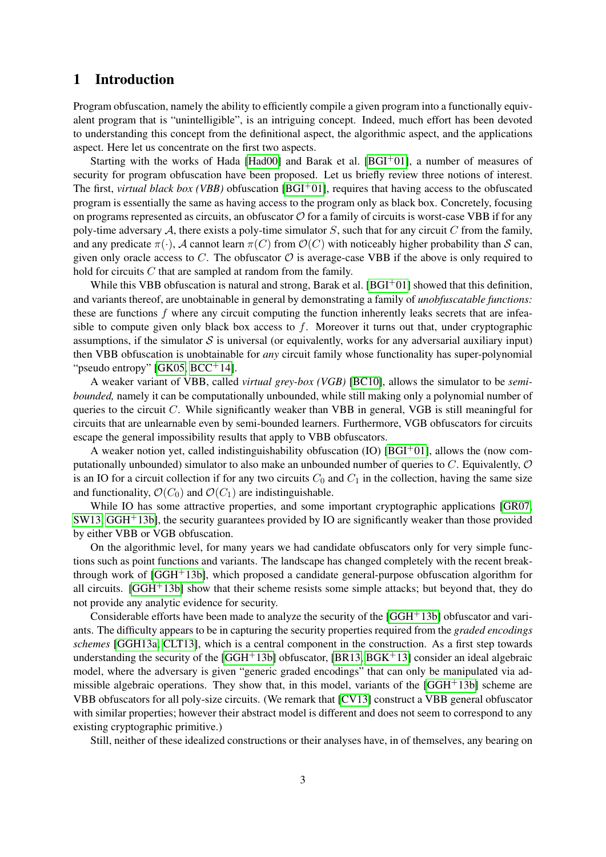### <span id="page-2-0"></span>1 Introduction

Program obfuscation, namely the ability to efficiently compile a given program into a functionally equivalent program that is "unintelligible", is an intriguing concept. Indeed, much effort has been devoted to understanding this concept from the definitional aspect, the algorithmic aspect, and the applications aspect. Here let us concentrate on the first two aspects.

Starting with the works of Hada [\[Had00\]](#page-41-1) and Barak et al. [\[BGI](#page-40-0)+01], a number of measures of security for program obfuscation have been proposed. Let us briefly review three notions of interest. The first, *virtual black box (VBB)* obfuscation [\[BGI](#page-40-0)<sup>+</sup>01], requires that having access to the obfuscated program is essentially the same as having access to the program only as black box. Concretely, focusing on programs represented as circuits, an obfuscator  $\mathcal O$  for a family of circuits is worst-case VBB if for any poly-time adversary  $A$ , there exists a poly-time simulator  $S$ , such that for any circuit  $C$  from the family, and any predicate  $\pi(\cdot)$ , A cannot learn  $\pi(C)$  from  $\mathcal{O}(C)$  with noticeably higher probability than S can, given only oracle access to  $C$ . The obfuscator  $\mathcal O$  is average-case VBB if the above is only required to hold for circuits  $C$  that are sampled at random from the family.

While this VBB obfuscation is natural and strong, Barak et al.  $[BGI^+01]$  $[BGI^+01]$  showed that this definition, and variants thereof, are unobtainable in general by demonstrating a family of *unobfuscatable functions:* these are functions  $f$  where any circuit computing the function inherently leaks secrets that are infeasible to compute given only black box access to  $f$ . Moreover it turns out that, under cryptographic assumptions, if the simulator  $S$  is universal (or equivalently, works for any adversarial auxiliary input) then VBB obfuscation is unobtainable for *any* circuit family whose functionality has super-polynomial "pseudo entropy" [\[GK05,](#page-40-1)  $BCC<sup>+</sup>14$ ].

A weaker variant of VBB, called *virtual grey-box (VGB)* [\[BC10\]](#page-40-3), allows the simulator to be *semibounded,* namely it can be computationally unbounded, while still making only a polynomial number of queries to the circuit C. While significantly weaker than VBB in general, VGB is still meaningful for circuits that are unlearnable even by semi-bounded learners. Furthermore, VGB obfuscators for circuits escape the general impossibility results that apply to VBB obfuscators.

A weaker notion yet, called indistinguishability obfuscation  $(IO)$  [\[BGI](#page-40-0)+01], allows the (now computationally unbounded) simulator to also make an unbounded number of queries to  $C$ . Equivalently,  $\mathcal O$ is an IO for a circuit collection if for any two circuits  $C_0$  and  $C_1$  in the collection, having the same size and functionality,  $\mathcal{O}(C_0)$  and  $\mathcal{O}(C_1)$  are indistinguishable.

While IO has some attractive properties, and some important cryptographic applications [\[GR07,](#page-41-2) [SW13,](#page-41-3) [GGH](#page-40-4)+13b], the security guarantees provided by IO are significantly weaker than those provided by either VBB or VGB obfuscation.

On the algorithmic level, for many years we had candidate obfuscators only for very simple functions such as point functions and variants. The landscape has changed completely with the recent breakthrough work of  $[GGH<sup>+</sup>13b]$  $[GGH<sup>+</sup>13b]$ , which proposed a candidate general-purpose obfuscation algorithm for all circuits.  $[GGH<sup>+</sup>13b]$  $[GGH<sup>+</sup>13b]$  show that their scheme resists some simple attacks; but beyond that, they do not provide any analytic evidence for security.

Considerable efforts have been made to analyze the security of the  $[GGH<sup>+</sup>13b]$  $[GGH<sup>+</sup>13b]$  obfuscator and variants. The difficulty appears to be in capturing the security properties required from the *graded encodings schemes* [\[GGH13a,](#page-40-5) [CLT13\]](#page-40-6), which is a central component in the construction. As a first step towards understanding the security of the  $[GGH^+13b]$  $[GGH^+13b]$  obfuscator,  $[BR13, BGK^+13]$  $[BR13, BGK^+13]$  $[BR13, BGK^+13]$  consider an ideal algebraic model, where the adversary is given "generic graded encodings" that can only be manipulated via admissible algebraic operations. They show that, in this model, variants of the  $[GGH<sup>+</sup>13b]$  $[GGH<sup>+</sup>13b]$  scheme are VBB obfuscators for all poly-size circuits. (We remark that [\[CV13\]](#page-40-9) construct a VBB general obfuscator with similar properties; however their abstract model is different and does not seem to correspond to any existing cryptographic primitive.)

Still, neither of these idealized constructions or their analyses have, in of themselves, any bearing on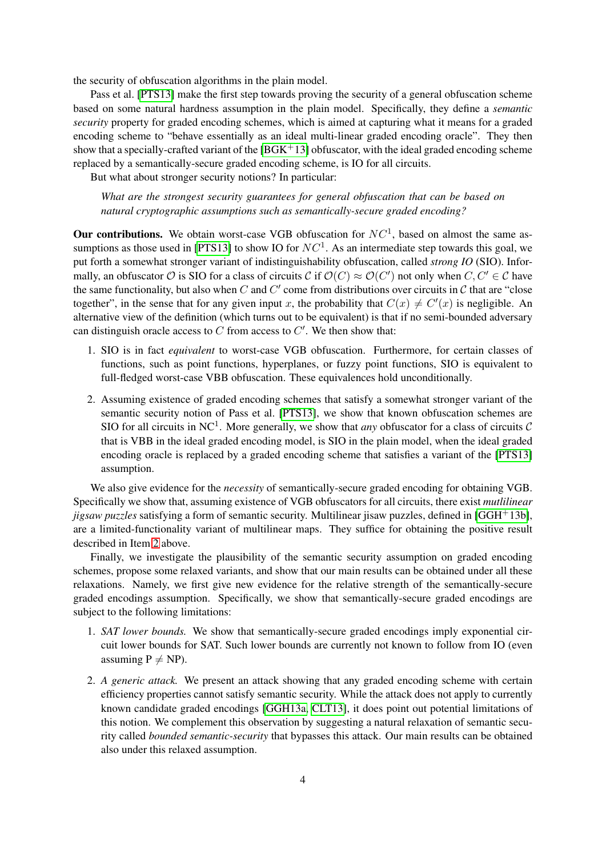the security of obfuscation algorithms in the plain model.

Pass et al. [\[PTS13\]](#page-41-4) make the first step towards proving the security of a general obfuscation scheme based on some natural hardness assumption in the plain model. Specifically, they define a *semantic security* property for graded encoding schemes, which is aimed at capturing what it means for a graded encoding scheme to "behave essentially as an ideal multi-linear graded encoding oracle". They then show that a specially-crafted variant of the  $[BGK^+13]$  $[BGK^+13]$  obfuscator, with the ideal graded encoding scheme replaced by a semantically-secure graded encoding scheme, is IO for all circuits.

But what about stronger security notions? In particular:

*What are the strongest security guarantees for general obfuscation that can be based on natural cryptographic assumptions such as semantically-secure graded encoding?*

Our contributions. We obtain worst-case VGB obfuscation for  $NC<sup>1</sup>$ , based on almost the same as-sumptions as those used in [\[PTS13\]](#page-41-4) to show IO for  $NC<sup>1</sup>$ . As an intermediate step towards this goal, we put forth a somewhat stronger variant of indistinguishability obfuscation, called *strong IO* (SIO). Informally, an obfuscator  $O$  is SIO for a class of circuits  $C$  if  $O(C) \approx O(C')$  not only when  $C, C' \in C$  have the same functionality, but also when C and C' come from distributions over circuits in C that are "close together", in the sense that for any given input x, the probability that  $C(x) \neq C'(x)$  is negligible. An alternative view of the definition (which turns out to be equivalent) is that if no semi-bounded adversary can distinguish oracle access to  $C$  from access to  $C'$ . We then show that:

- 1. SIO is in fact *equivalent* to worst-case VGB obfuscation. Furthermore, for certain classes of functions, such as point functions, hyperplanes, or fuzzy point functions, SIO is equivalent to full-fledged worst-case VBB obfuscation. These equivalences hold unconditionally.
- <span id="page-3-0"></span>2. Assuming existence of graded encoding schemes that satisfy a somewhat stronger variant of the semantic security notion of Pass et al. [\[PTS13\]](#page-41-4), we show that known obfuscation schemes are SIO for all circuits in NC<sup>1</sup>. More generally, we show that *any* obfuscator for a class of circuits  $C$ that is VBB in the ideal graded encoding model, is SIO in the plain model, when the ideal graded encoding oracle is replaced by a graded encoding scheme that satisfies a variant of the [\[PTS13\]](#page-41-4) assumption.

We also give evidence for the *necessity* of semantically-secure graded encoding for obtaining VGB. Specifically we show that, assuming existence of VGB obfuscators for all circuits, there exist *mutlilinear jigsaw puzzles* satisfying a form of semantic security. Multilinear jisaw puzzles, defined in [\[GGH](#page-40-4)+13b], are a limited-functionality variant of multilinear maps. They suffice for obtaining the positive result described in Item [2](#page-3-0) above.

Finally, we investigate the plausibility of the semantic security assumption on graded encoding schemes, propose some relaxed variants, and show that our main results can be obtained under all these relaxations. Namely, we first give new evidence for the relative strength of the semantically-secure graded encodings assumption. Specifically, we show that semantically-secure graded encodings are subject to the following limitations:

- 1. *SAT lower bounds.* We show that semantically-secure graded encodings imply exponential circuit lower bounds for SAT. Such lower bounds are currently not known to follow from IO (even assuming  $P \neq NP$ ).
- 2. *A generic attack.* We present an attack showing that any graded encoding scheme with certain efficiency properties cannot satisfy semantic security. While the attack does not apply to currently known candidate graded encodings [\[GGH13a,](#page-40-5) [CLT13\]](#page-40-6), it does point out potential limitations of this notion. We complement this observation by suggesting a natural relaxation of semantic security called *bounded semantic-security* that bypasses this attack. Our main results can be obtained also under this relaxed assumption.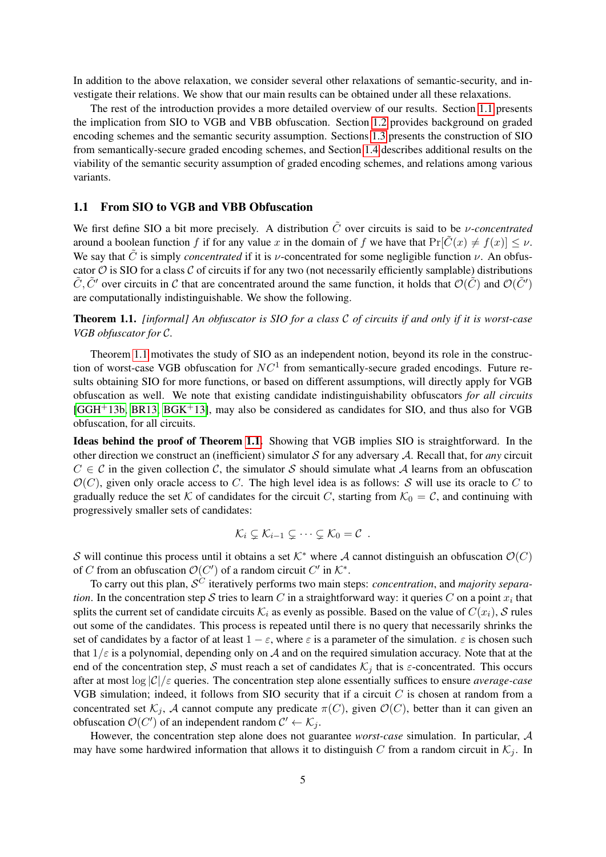In addition to the above relaxation, we consider several other relaxations of semantic-security, and investigate their relations. We show that our main results can be obtained under all these relaxations.

The rest of the introduction provides a more detailed overview of our results. Section [1.1](#page-4-0) presents the implication from SIO to VGB and VBB obfuscation. Section [1.2](#page-6-0) provides background on graded encoding schemes and the semantic security assumption. Sections [1.3](#page-7-0) presents the construction of SIO from semantically-secure graded encoding schemes, and Section [1.4](#page-8-0) describes additional results on the viability of the semantic security assumption of graded encoding schemes, and relations among various variants.

#### <span id="page-4-0"></span>1.1 From SIO to VGB and VBB Obfuscation

We first define SIO a bit more precisely. A distribution  $\tilde{C}$  over circuits is said to be *v*-concentrated around a boolean function f if for any value x in the domain of f we have that  $Pr[\tilde{C}(x) \neq f(x)] < \nu$ . We say that  $\tilde{C}$  is simply *concentrated* if it is *v*-concentrated for some negligible function  $\nu$ . An obfuscator  $\hat{O}$  is SIO for a class  $\hat{C}$  of circuits if for any two (not necessarily efficiently samplable) distributions  $\tilde{C}, \tilde{C}'$  over circuits in C that are concentrated around the same function, it holds that  $\mathcal{O}(\tilde{C})$  and  $\mathcal{O}(\tilde{C}')$ are computationally indistinguishable. We show the following.

<span id="page-4-1"></span>Theorem 1.1. *[informal] An obfuscator is SIO for a class* C *of circuits if and only if it is worst-case VGB obfuscator for* C*.*

Theorem [1.1](#page-4-1) motivates the study of SIO as an independent notion, beyond its role in the construction of worst-case VGB obfuscation for  $NC<sup>1</sup>$  from semantically-secure graded encodings. Future results obtaining SIO for more functions, or based on different assumptions, will directly apply for VGB obfuscation as well. We note that existing candidate indistinguishability obfuscators *for all circuits*  $[GGH<sup>+</sup>13b, BR13, BGK<sup>+</sup>13],$  $[GGH<sup>+</sup>13b, BR13, BGK<sup>+</sup>13],$  $[GGH<sup>+</sup>13b, BR13, BGK<sup>+</sup>13],$  $[GGH<sup>+</sup>13b, BR13, BGK<sup>+</sup>13],$  $[GGH<sup>+</sup>13b, BR13, BGK<sup>+</sup>13],$  may also be considered as candidates for SIO, and thus also for VGB obfuscation, for all circuits.

Ideas behind the proof of Theorem [1.1.](#page-4-1) Showing that VGB implies SIO is straightforward. In the other direction we construct an (inefficient) simulator S for any adversary A. Recall that, for *any* circuit  $C \in \mathcal{C}$  in the given collection  $\mathcal{C}$ , the simulator S should simulate what A learns from an obfuscation  $\mathcal{O}(C)$ , given only oracle access to C. The high level idea is as follows: S will use its oracle to C to gradually reduce the set K of candidates for the circuit C, starting from  $\mathcal{K}_0 = \mathcal{C}$ , and continuing with progressively smaller sets of candidates:

$$
\mathcal{K}_i \subsetneq \mathcal{K}_{i-1} \subsetneq \cdots \subsetneq \mathcal{K}_0 = \mathcal{C} .
$$

S will continue this process until it obtains a set  $K^*$  where A cannot distinguish an obfuscation  $\mathcal{O}(C)$ of C from an obfuscation  $\mathcal{O}(C')$  of a random circuit C' in  $\mathcal{K}^*$ .

To carry out this plan,  $S^C$  iteratively performs two main steps: *concentration*, and *majority separation*. In the concentration step S tries to learn C in a straightforward way: it queries C on a point  $x_i$  that splits the current set of candidate circuits  $\mathcal{K}_i$  as evenly as possible. Based on the value of  $C(x_i)$ , S rules out some of the candidates. This process is repeated until there is no query that necessarily shrinks the set of candidates by a factor of at least  $1 - \varepsilon$ , where  $\varepsilon$  is a parameter of the simulation.  $\varepsilon$  is chosen such that  $1/\varepsilon$  is a polynomial, depending only on A and on the required simulation accuracy. Note that at the end of the concentration step, S must reach a set of candidates  $\mathcal{K}_i$  that is  $\varepsilon$ -concentrated. This occurs after at most  $\log |\mathcal{C}|/\varepsilon$  queries. The concentration step alone essentially suffices to ensure *average-case* VGB simulation; indeed, it follows from SIO security that if a circuit  $C$  is chosen at random from a concentrated set  $\mathcal{K}_i$ , A cannot compute any predicate  $\pi(C)$ , given  $\mathcal{O}(C)$ , better than it can given an obfuscation  $\mathcal{O}(C')$  of an independent random  $\mathcal{C}' \leftarrow \mathcal{K}_j$ .

However, the concentration step alone does not guarantee *worst-case* simulation. In particular, A may have some hardwired information that allows it to distinguish C from a random circuit in  $K_i$ . In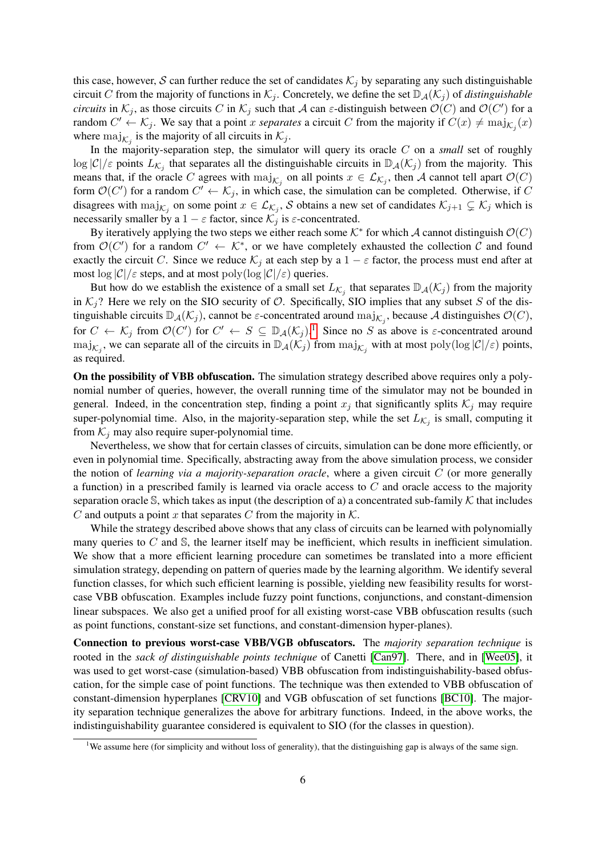this case, however, S can further reduce the set of candidates  $\mathcal{K}_i$  by separating any such distinguishable circuit C from the majority of functions in  $\mathcal{K}_j$ . Concretely, we define the set  $\mathbb{D}_{\mathcal{A}}(\mathcal{K}_j)$  of *distinguishable circuits* in  $\mathcal{K}_j$ , as those circuits C in  $\mathcal{K}_j$  such that A can  $\varepsilon$ -distinguish between  $\mathcal{O}(C)$  and  $\mathcal{O}(C')$  for a random  $C' \leftarrow K_j$ . We say that a point x *separates* a circuit C from the majority if  $C(x) \neq \text{maj}_{K_j}(x)$ where  $\text{maj}_{\mathcal{K}_j}$  is the majority of all circuits in  $\mathcal{K}_j$ .

In the majority-separation step, the simulator will query its oracle C on a *small* set of roughly  $\log |\mathcal{C}|/\varepsilon$  points  $L_{\mathcal{K}_j}$  that separates all the distinguishable circuits in  $\mathbb{D}_\mathcal{A}(\mathcal{K}_j)$  from the majority. This means that, if the oracle C agrees with  $maj_{\mathcal{K}_j}$  on all points  $x \in \mathcal{L}_{\mathcal{K}_j}$ , then A cannot tell apart  $\mathcal{O}(C)$ form  $\mathcal{O}(C')$  for a random  $C' \leftarrow \mathcal{K}_j$ , in which case, the simulation can be completed. Otherwise, if C disagrees with  $\text{maj}_{\mathcal{K}_j}$  on some point  $x \in \mathcal{L}_{\mathcal{K}_j}$ , S obtains a new set of candidates  $\mathcal{K}_{j+1} \subsetneq \mathcal{K}_j$  which is necessarily smaller by a  $1 - \varepsilon$  factor, since  $\mathcal{K}_i$  is  $\varepsilon$ -concentrated.

By iteratively applying the two steps we either reach some  $K^*$  for which A cannot distinguish  $\mathcal{O}(C)$ from  $\mathcal{O}(C')$  for a random  $C' \leftarrow \mathcal{K}^*$ , or we have completely exhausted the collection C and found exactly the circuit C. Since we reduce  $\mathcal{K}_j$  at each step by a  $1 - \varepsilon$  factor, the process must end after at most  $\log |\mathcal{C}|/\varepsilon$  steps, and at most  $\mathrm{poly}(\log |\mathcal{C}|/\varepsilon)$  queries.

But how do we establish the existence of a small set  $L_{\mathcal{K}_j}$  that separates  $\mathbb{D}_{\mathcal{A}}(\mathcal{K}_j)$  from the majority in  $K_j$ ? Here we rely on the SIO security of  $O$ . Specifically, SIO implies that any subset S of the distinguishable circuits  $\mathbb{D}_{\mathcal{A}}(\mathcal{K}_j)$ , cannot be  $\varepsilon$ -concentrated around  $\text{maj}_{\mathcal{K}_j}$ , because  $\mathcal A$  distinguishes  $\mathcal O(C)$ , for  $C \leftarrow K_j$  from  $\mathcal{O}(C')$  for  $C' \leftarrow S \subseteq \mathbb{D}_{\mathcal{A}}(\mathcal{K}_j)$ .<sup>[1](#page-5-0)</sup> Since no S as above is  $\varepsilon$ -concentrated around  $\text{maj}_{\mathcal{K}_j}$ , we can separate all of the circuits in  $\mathbb{D}_\mathcal{A}(\mathcal{K}_j)$  from  $\text{maj}_{\mathcal{K}_j}$  with at most  $\text{poly}(\log|\mathcal{C}|/\varepsilon)$  points, as required.

On the possibility of VBB obfuscation. The simulation strategy described above requires only a polynomial number of queries, however, the overall running time of the simulator may not be bounded in general. Indeed, in the concentration step, finding a point  $x_j$  that significantly splits  $\mathcal{K}_j$  may require super-polynomial time. Also, in the majority-separation step, while the set  $L_{\mathcal{K}_j}$  is small, computing it from  $K_i$  may also require super-polynomial time.

Nevertheless, we show that for certain classes of circuits, simulation can be done more efficiently, or even in polynomial time. Specifically, abstracting away from the above simulation process, we consider the notion of *learning via a majority-separation oracle*, where a given circuit C (or more generally a function) in a prescribed family is learned via oracle access to  $C$  and oracle access to the majority separation oracle  $\mathbb S$ , which takes as input (the description of a) a concentrated sub-family  $\mathcal K$  that includes C and outputs a point x that separates C from the majority in  $K$ .

While the strategy described above shows that any class of circuits can be learned with polynomially many queries to  $C$  and  $\mathcal{S}$ , the learner itself may be inefficient, which results in inefficient simulation. We show that a more efficient learning procedure can sometimes be translated into a more efficient simulation strategy, depending on pattern of queries made by the learning algorithm. We identify several function classes, for which such efficient learning is possible, yielding new feasibility results for worstcase VBB obfuscation. Examples include fuzzy point functions, conjunctions, and constant-dimension linear subspaces. We also get a unified proof for all existing worst-case VBB obfuscation results (such as point functions, constant-size set functions, and constant-dimension hyper-planes).

Connection to previous worst-case VBB/VGB obfuscators. The *majority separation technique* is rooted in the *sack of distinguishable points technique* of Canetti [\[Can97\]](#page-40-10). There, and in [\[Wee05\]](#page-41-5), it was used to get worst-case (simulation-based) VBB obfuscation from indistinguishability-based obfuscation, for the simple case of point functions. The technique was then extended to VBB obfuscation of constant-dimension hyperplanes [\[CRV10\]](#page-40-11) and VGB obfuscation of set functions [\[BC10\]](#page-40-3). The majority separation technique generalizes the above for arbitrary functions. Indeed, in the above works, the indistinguishability guarantee considered is equivalent to SIO (for the classes in question).

<span id="page-5-0"></span><sup>&</sup>lt;sup>1</sup>We assume here (for simplicity and without loss of generality), that the distinguishing gap is always of the same sign.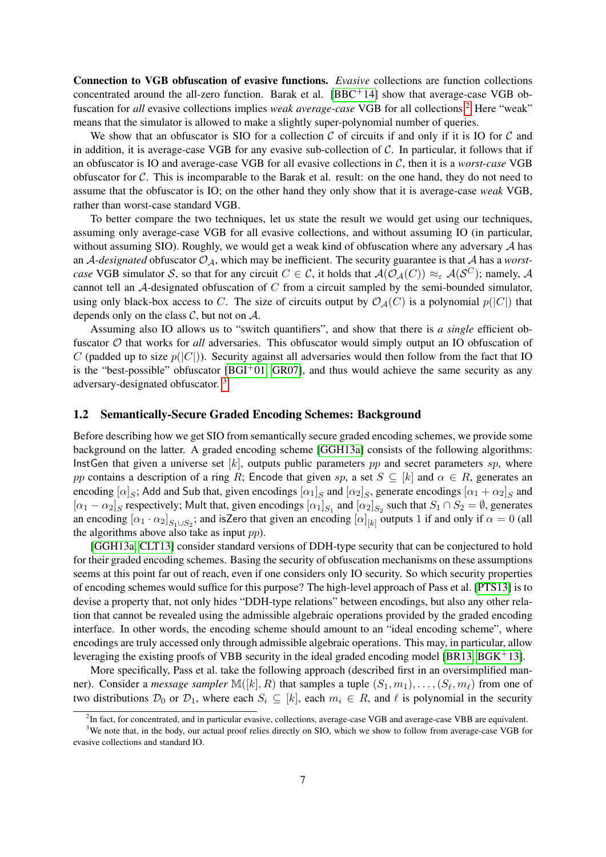Connection to VGB obfuscation of evasive functions. *Evasive* collections are function collections concentrated around the all-zero function. Barak et al. [\[BBC](#page-40-12)+14] show that average-case VGB obfuscation for *all* evasive collections implies *weak average-case* VGB for all collections.[2](#page-6-1) Here "weak" means that the simulator is allowed to make a slightly super-polynomial number of queries.

We show that an obfuscator is SIO for a collection C of circuits if and only if it is IO for C and in addition, it is average-case VGB for any evasive sub-collection of  $C$ . In particular, it follows that if an obfuscator is IO and average-case VGB for all evasive collections in C, then it is a *worst-case* VGB obfuscator for  $C$ . This is incomparable to the Barak et al. result: on the one hand, they do not need to assume that the obfuscator is IO; on the other hand they only show that it is average-case *weak* VGB, rather than worst-case standard VGB.

To better compare the two techniques, let us state the result we would get using our techniques, assuming only average-case VGB for all evasive collections, and without assuming IO (in particular, without assuming SIO). Roughly, we would get a weak kind of obfuscation where any adversary  $A$  has an A-designated obfuscator  $O_A$ , which may be inefficient. The security guarantee is that A has a *worstcase* VGB simulator S, so that for any circuit  $C \in \mathcal{C}$ , it holds that  $\mathcal{A}(\mathcal{O}_{\mathcal{A}}(C)) \approx_{\varepsilon} \mathcal{A}(\mathcal{S}^C)$ ; namely,  $\mathcal{A}$ cannot tell an A-designated obfuscation of C from a circuit sampled by the semi-bounded simulator, using only black-box access to C. The size of circuits output by  $\mathcal{O}_{\mathcal{A}}(C)$  is a polynomial  $p(|C|)$  that depends only on the class  $C$ , but not on  $A$ .

Assuming also IO allows us to "switch quantifiers", and show that there is *a single* efficient obfuscator O that works for *all* adversaries. This obfuscator would simply output an IO obfuscation of C (padded up to size  $p(|C|)$ ). Security against all adversaries would then follow from the fact that IO is the "best-possible" obfuscator  $[{\rm BGI}^{+}01, {\rm GR07}]$ , and thus would achieve the same security as any adversary-designated obfuscator. [3](#page-6-2)

#### <span id="page-6-0"></span>1.2 Semantically-Secure Graded Encoding Schemes: Background

Before describing how we get SIO from semantically secure graded encoding schemes, we provide some background on the latter. A graded encoding scheme [\[GGH13a\]](#page-40-5) consists of the following algorithms: InstGen that given a universe set  $[k]$ , outputs public parameters pp and secret parameters sp, where pp contains a description of a ring R; Encode that given sp, a set  $S \subseteq [k]$  and  $\alpha \in R$ , generates an encoding  $[\alpha]_S$ ; Add and Sub that, given encodings  $[\alpha_1]_S$  and  $[\alpha_2]_S$ , generate encodings  $[\alpha_1 + \alpha_2]_S$  and  $[\alpha_1 - \alpha_2]_S$  respectively; Mult that, given encodings  $[\alpha_1]_{S_1}$  and  $[\alpha_2]_{S_2}$  such that  $S_1 \cap S_2 = \emptyset$ , generates an encoding  $[\alpha_1 \cdot \alpha_2]_{S_1 \cup S_2}$ ; and isZero that given an encoding  $[\alpha]_{[k]}$  outputs 1 if and only if  $\alpha = 0$  (all the algorithms above also take as input pp).

[\[GGH13a,](#page-40-5) [CLT13\]](#page-40-6) consider standard versions of DDH-type security that can be conjectured to hold for their graded encoding schemes. Basing the security of obfuscation mechanisms on these assumptions seems at this point far out of reach, even if one considers only IO security. So which security properties of encoding schemes would suffice for this purpose? The high-level approach of Pass et al. [\[PTS13\]](#page-41-4) is to devise a property that, not only hides "DDH-type relations" between encodings, but also any other relation that cannot be revealed using the admissible algebraic operations provided by the graded encoding interface. In other words, the encoding scheme should amount to an "ideal encoding scheme", where encodings are truly accessed only through admissible algebraic operations. This may, in particular, allow leveraging the existing proofs of VBB security in the ideal graded encoding model [\[BR13,](#page-40-7) [BGK](#page-40-8)+13].

More specifically, Pass et al. take the following approach (described first in an oversimplified manner). Consider a *message sampler*  $\mathbb{M}([k], R)$  that samples a tuple  $(S_1, m_1), \ldots, (S_\ell, m_\ell)$  from one of two distributions  $\mathcal{D}_0$  or  $\mathcal{D}_1$ , where each  $S_i \subseteq [k]$ , each  $m_i \in R$ , and  $\ell$  is polynomial in the security

<span id="page-6-2"></span><span id="page-6-1"></span><sup>&</sup>lt;sup>2</sup>In fact, for concentrated, and in particular evasive, collections, average-case VGB and average-case VBB are equivalent.

<sup>&</sup>lt;sup>3</sup>We note that, in the body, our actual proof relies directly on SIO, which we show to follow from average-case VGB for evasive collections and standard IO.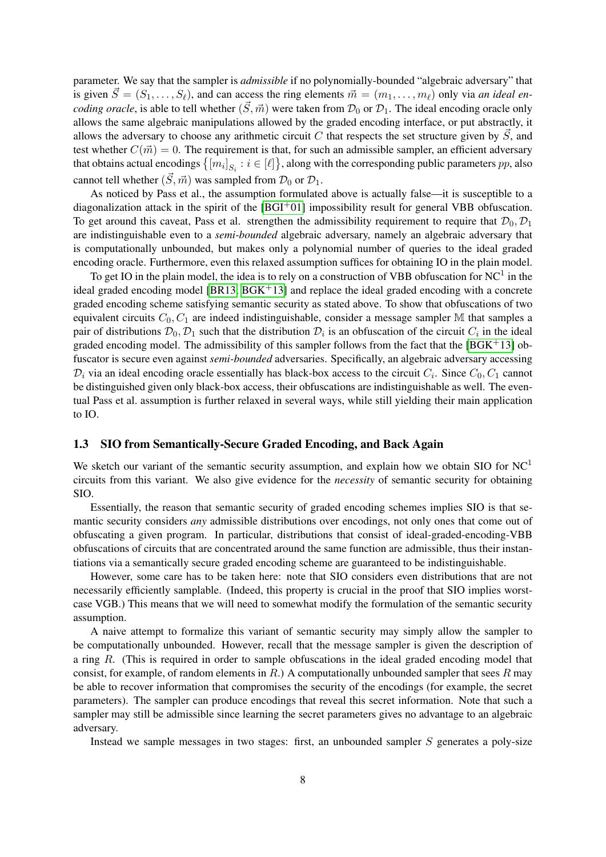parameter. We say that the sampler is *admissible* if no polynomially-bounded "algebraic adversary" that is given  $\vec{S} = (S_1, \ldots, S_\ell)$ , and can access the ring elements  $\vec{m} = (m_1, \ldots, m_\ell)$  only via *an ideal encoding oracle*, is able to tell whether  $(\vec{S}, \vec{m})$  were taken from  $\mathcal{D}_0$  or  $\mathcal{D}_1$ . The ideal encoding oracle only allows the same algebraic manipulations allowed by the graded encoding interface, or put abstractly, it allows the adversary to choose any arithmetic circuit C that respects the set structure given by  $\ddot{S}$ , and test whether  $C(\vec{m}) = 0$ . The requirement is that, for such an admissible sampler, an efficient adversary that obtains actual encodings  $\{[m_i]_{S_i} : i \in [\ell]\}$ , along with the corresponding public parameters  $pp$ , also cannot tell whether  $(\vec{S}, \vec{m})$  was sampled from  $\mathcal{D}_0$  or  $\mathcal{D}_1$ .

As noticed by Pass et al., the assumption formulated above is actually false—it is susceptible to a diagonalization attack in the spirit of the  $[BGI^+01]$  $[BGI^+01]$  impossibility result for general VBB obfuscation. To get around this caveat, Pass et al. strengthen the admissibility requirement to require that  $\mathcal{D}_0$ ,  $\mathcal{D}_1$ are indistinguishable even to a *semi-bounded* algebraic adversary, namely an algebraic adversary that is computationally unbounded, but makes only a polynomial number of queries to the ideal graded encoding oracle. Furthermore, even this relaxed assumption suffices for obtaining IO in the plain model.

To get IO in the plain model, the idea is to rely on a construction of VBB obfuscation for  $NC<sup>1</sup>$  in the ideal graded encoding model  $[BR13, BGK^+13]$  $[BR13, BGK^+13]$  $[BR13, BGK^+13]$  and replace the ideal graded encoding with a concrete graded encoding scheme satisfying semantic security as stated above. To show that obfuscations of two equivalent circuits  $C_0$ ,  $C_1$  are indeed indistinguishable, consider a message sampler M that samples a pair of distributions  $\mathcal{D}_0$ ,  $\mathcal{D}_1$  such that the distribution  $\mathcal{D}_i$  is an obfuscation of the circuit  $C_i$  in the ideal graded encoding model. The admissibility of this sampler follows from the fact that the [\[BGK](#page-40-8)<sup>+</sup>13] obfuscator is secure even against *semi-bounded* adversaries. Specifically, an algebraic adversary accessing  $\mathcal{D}_i$  via an ideal encoding oracle essentially has black-box access to the circuit  $C_i$ . Since  $C_0, C_1$  cannot be distinguished given only black-box access, their obfuscations are indistinguishable as well. The eventual Pass et al. assumption is further relaxed in several ways, while still yielding their main application to IO.

#### <span id="page-7-0"></span>1.3 SIO from Semantically-Secure Graded Encoding, and Back Again

We sketch our variant of the semantic security assumption, and explain how we obtain SIO for  $NC<sup>1</sup>$ circuits from this variant. We also give evidence for the *necessity* of semantic security for obtaining SIO.

Essentially, the reason that semantic security of graded encoding schemes implies SIO is that semantic security considers *any* admissible distributions over encodings, not only ones that come out of obfuscating a given program. In particular, distributions that consist of ideal-graded-encoding-VBB obfuscations of circuits that are concentrated around the same function are admissible, thus their instantiations via a semantically secure graded encoding scheme are guaranteed to be indistinguishable.

However, some care has to be taken here: note that SIO considers even distributions that are not necessarily efficiently samplable. (Indeed, this property is crucial in the proof that SIO implies worstcase VGB.) This means that we will need to somewhat modify the formulation of the semantic security assumption.

A naive attempt to formalize this variant of semantic security may simply allow the sampler to be computationally unbounded. However, recall that the message sampler is given the description of a ring  $R$ . (This is required in order to sample obfuscations in the ideal graded encoding model that consist, for example, of random elements in  $R$ .) A computationally unbounded sampler that sees  $R$  may be able to recover information that compromises the security of the encodings (for example, the secret parameters). The sampler can produce encodings that reveal this secret information. Note that such a sampler may still be admissible since learning the secret parameters gives no advantage to an algebraic adversary.

Instead we sample messages in two stages: first, an unbounded sampler  $S$  generates a poly-size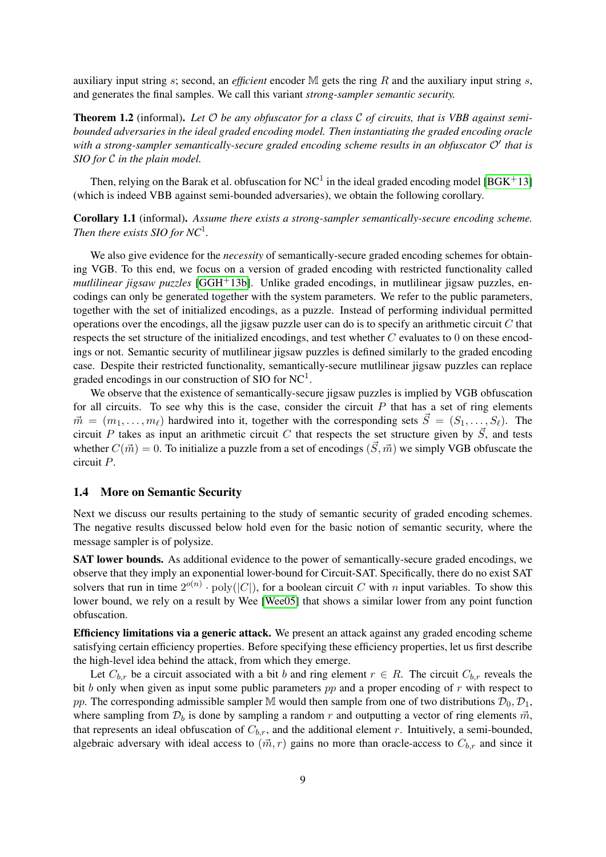auxiliary input string s; second, an *efficient* encoder M gets the ring R and the auxiliary input string s, and generates the final samples. We call this variant *strong-sampler semantic security.*

Theorem 1.2 (informal). *Let* O *be any obfuscator for a class* C *of circuits, that is VBB against semibounded adversaries in the ideal graded encoding model. Then instantiating the graded encoding oracle* with a strong-sampler semantically-secure graded encoding scheme results in an obfuscator  $\mathcal{O}'$  that is *SIO for* C *in the plain model.*

Then, relying on the Barak et al. obfuscation for NC<sup>1</sup> in the ideal graded encoding model [\[BGK](#page-40-8)<sup>+</sup>13] (which is indeed VBB against semi-bounded adversaries), we obtain the following corollary.

Corollary 1.1 (informal). *Assume there exists a strong-sampler semantically-secure encoding scheme. Then there exists SIO for NC*<sup>1</sup> *.*

We also give evidence for the *necessity* of semantically-secure graded encoding schemes for obtaining VGB. To this end, we focus on a version of graded encoding with restricted functionality called *mutlilinear jigsaw puzzles* [\[GGH](#page-40-4)+13b]. Unlike graded encodings, in mutlilinear jigsaw puzzles, encodings can only be generated together with the system parameters. We refer to the public parameters, together with the set of initialized encodings, as a puzzle. Instead of performing individual permitted operations over the encodings, all the jigsaw puzzle user can do is to specify an arithmetic circuit  $C$  that respects the set structure of the initialized encodings, and test whether C evaluates to 0 on these encodings or not. Semantic security of mutlilinear jigsaw puzzles is defined similarly to the graded encoding case. Despite their restricted functionality, semantically-secure mutlilinear jigsaw puzzles can replace graded encodings in our construction of SIO for  $NC<sup>1</sup>$ .

We observe that the existence of semantically-secure jigsaw puzzles is implied by VGB obfuscation for all circuits. To see why this is the case, consider the circuit  $P$  that has a set of ring elements  $\vec{m} = (m_1, \ldots, m_\ell)$  hardwired into it, together with the corresponding sets  $\vec{S} = (S_1, \ldots, S_\ell)$ . The circuit P takes as input an arithmetic circuit C that respects the set structure given by  $\vec{S}$ , and tests whether  $C(\vec{m}) = 0$ . To initialize a puzzle from a set of encodings  $(\vec{S}, \vec{m})$  we simply VGB obfuscate the circuit P.

#### <span id="page-8-0"></span>1.4 More on Semantic Security

Next we discuss our results pertaining to the study of semantic security of graded encoding schemes. The negative results discussed below hold even for the basic notion of semantic security, where the message sampler is of polysize.

SAT lower bounds. As additional evidence to the power of semantically-secure graded encodings, we observe that they imply an exponential lower-bound for Circuit-SAT. Specifically, there do no exist SAT solvers that run in time  $2^{o(n)} \cdot \text{poly}(|C|)$ , for a boolean circuit C with n input variables. To show this lower bound, we rely on a result by Wee [\[Wee05\]](#page-41-5) that shows a similar lower from any point function obfuscation.

Efficiency limitations via a generic attack. We present an attack against any graded encoding scheme satisfying certain efficiency properties. Before specifying these efficiency properties, let us first describe the high-level idea behind the attack, from which they emerge.

Let  $C_{b,r}$  be a circuit associated with a bit b and ring element  $r \in R$ . The circuit  $C_{b,r}$  reveals the bit b only when given as input some public parameters  $pp$  and a proper encoding of r with respect to pp. The corresponding admissible sampler M would then sample from one of two distributions  $\mathcal{D}_0, \mathcal{D}_1$ , where sampling from  $\mathcal{D}_b$  is done by sampling a random r and outputting a vector of ring elements  $\vec{m}$ , that represents an ideal obfuscation of  $C_{b,r}$ , and the additional element r. Intuitively, a semi-bounded, algebraic adversary with ideal access to  $(\vec{m}, r)$  gains no more than oracle-access to  $C_{b,r}$  and since it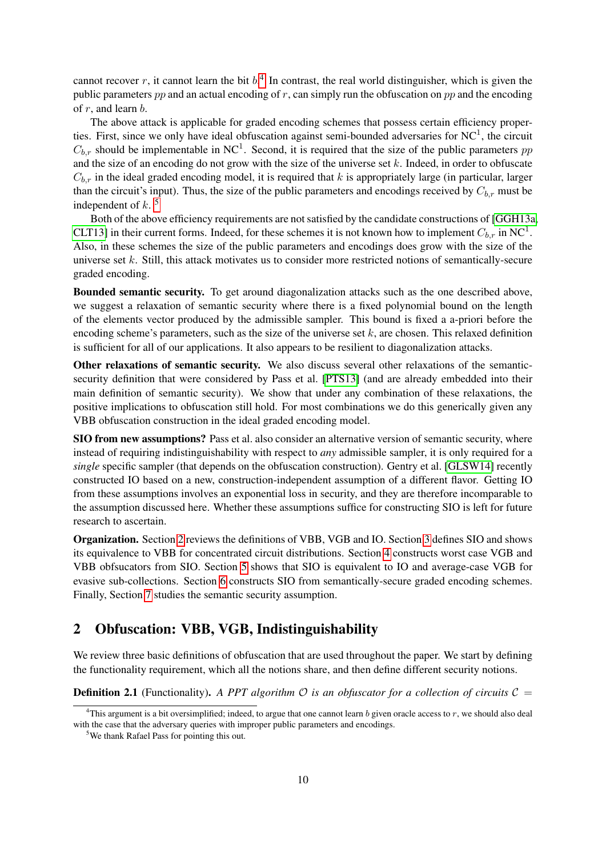cannot recover r, it cannot learn the bit  $b$ <sup>[4](#page-9-1)</sup>. In contrast, the real world distinguisher, which is given the public parameters  $pp$  and an actual encoding of  $r$ , can simply run the obfuscation on  $pp$  and the encoding of r, and learn b.

The above attack is applicable for graded encoding schemes that possess certain efficiency properties. First, since we only have ideal obfuscation against semi-bounded adversaries for  $NC<sup>1</sup>$ , the circuit  $C_{b,r}$  should be implementable in NC<sup>1</sup>. Second, it is required that the size of the public parameters pp and the size of an encoding do not grow with the size of the universe set  $k$ . Indeed, in order to obfuscate  $C_{b,r}$  in the ideal graded encoding model, it is required that k is appropriately large (in particular, larger than the circuit's input). Thus, the size of the public parameters and encodings received by  $C_{b,r}$  must be independent of  $k$ .<sup>[5](#page-9-2)</sup>

Both of the above efficiency requirements are not satisfied by the candidate constructions of [\[GGH13a,](#page-40-5) [CLT13\]](#page-40-6) in their current forms. Indeed, for these schemes it is not known how to implement  $C_{b,r}$  in NC<sup>1</sup>. Also, in these schemes the size of the public parameters and encodings does grow with the size of the universe set  $k$ . Still, this attack motivates us to consider more restricted notions of semantically-secure graded encoding.

Bounded semantic security. To get around diagonalization attacks such as the one described above, we suggest a relaxation of semantic security where there is a fixed polynomial bound on the length of the elements vector produced by the admissible sampler. This bound is fixed a a-priori before the encoding scheme's parameters, such as the size of the universe set k, are chosen. This relaxed definition is sufficient for all of our applications. It also appears to be resilient to diagonalization attacks.

Other relaxations of semantic security. We also discuss several other relaxations of the semanticsecurity definition that were considered by Pass et al. [\[PTS13\]](#page-41-4) (and are already embedded into their main definition of semantic security). We show that under any combination of these relaxations, the positive implications to obfuscation still hold. For most combinations we do this generically given any VBB obfuscation construction in the ideal graded encoding model.

SIO from new assumptions? Pass et al. also consider an alternative version of semantic security, where instead of requiring indistinguishability with respect to *any* admissible sampler, it is only required for a *single* specific sampler (that depends on the obfuscation construction). Gentry et al. [\[GLSW14\]](#page-40-13) recently constructed IO based on a new, construction-independent assumption of a different flavor. Getting IO from these assumptions involves an exponential loss in security, and they are therefore incomparable to the assumption discussed here. Whether these assumptions suffice for constructing SIO is left for future research to ascertain.

Organization. Section [2](#page-9-0) reviews the definitions of VBB, VGB and IO. Section [3](#page-11-0) defines SIO and shows its equivalence to VBB for concentrated circuit distributions. Section [4](#page-12-0) constructs worst case VGB and VBB obfsucators from SIO. Section [5](#page-18-0) shows that SIO is equivalent to IO and average-case VGB for evasive sub-collections. Section [6](#page-23-0) constructs SIO from semantically-secure graded encoding schemes. Finally, Section [7](#page-29-0) studies the semantic security assumption.

## <span id="page-9-0"></span>2 Obfuscation: VBB, VGB, Indistinguishability

We review three basic definitions of obfuscation that are used throughout the paper. We start by defining the functionality requirement, which all the notions share, and then define different security notions.

**Definition 2.1** (Functionality). *A PPT algorithm*  $\mathcal{O}$  *is an obfuscator for a collection of circuits*  $\mathcal{C}$  =

<span id="page-9-1"></span><sup>&</sup>lt;sup>4</sup>This argument is a bit oversimplified; indeed, to argue that one cannot learn b given oracle access to r, we should also deal with the case that the adversary queries with improper public parameters and encodings.

<span id="page-9-2"></span><sup>5</sup>We thank Rafael Pass for pointing this out.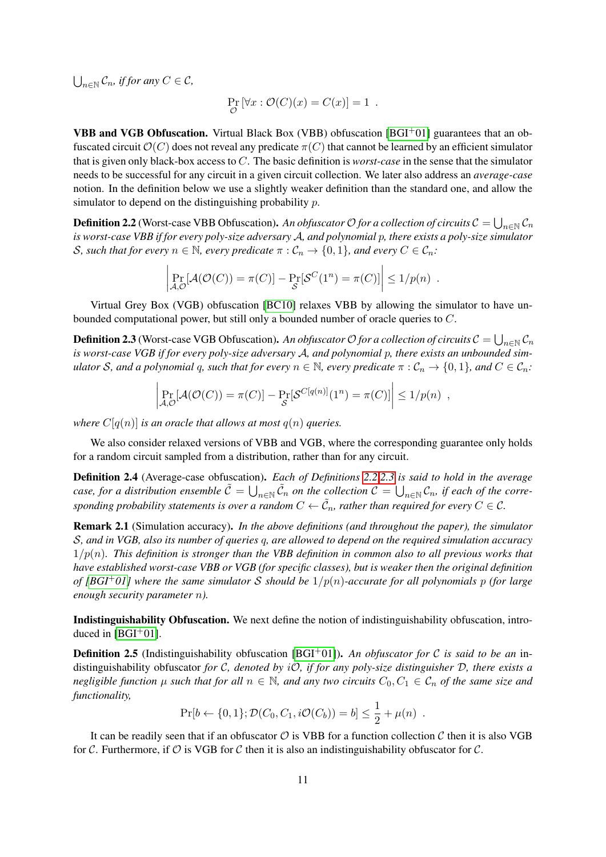$\bigcup_{n\in\mathbb{N}}\mathcal{C}_n$ , if for any  $C\in\mathcal{C}$ ,

$$
\Pr_{\mathcal{O}}\left[\forall x:\mathcal{O}(C)(x) = C(x)\right] = 1.
$$

**VBB and VGB Obfuscation.** Virtual Black Box (VBB) obfuscation [\[BGI](#page-40-0)+01] guarantees that an obfuscated circuit  $\mathcal{O}(C)$  does not reveal any predicate  $\pi(C)$  that cannot be learned by an efficient simulator that is given only black-box access to C. The basic definition is *worst-case* in the sense that the simulator needs to be successful for any circuit in a given circuit collection. We later also address an *average-case* notion. In the definition below we use a slightly weaker definition than the standard one, and allow the simulator to depend on the distinguishing probability p.

<span id="page-10-0"></span>**Definition 2.2** (Worst-case VBB Obfuscation). *An obfuscator*  $\cal O$  *for a collection of circuits*  $\cal C=\bigcup_{n\in\mathbb N}C_n$ *is worst-case VBB if for every poly-size adversary* A*, and polynomial* p*, there exists a poly-size simulator S*, such that for every  $n \in \mathbb{N}$ , every predicate  $\pi$  :  $\mathcal{C}_n \to \{0,1\}$ , and every  $C \in \mathcal{C}_n$ :

$$
\left| \Pr_{\mathcal{A}, \mathcal{O}}[\mathcal{A}(\mathcal{O}(C)) = \pi(C)] - \Pr_{\mathcal{S}}[\mathcal{S}^C(1^n) = \pi(C)] \right| \le 1/p(n) .
$$

Virtual Grey Box (VGB) obfuscation [\[BC10\]](#page-40-3) relaxes VBB by allowing the simulator to have unbounded computational power, but still only a bounded number of oracle queries to C.

<span id="page-10-1"></span>**Definition 2.3** (Worst-case VGB Obfuscation). *An obfuscator*  $\cal O$  *for a collection of circuits*  $\cal C=\bigcup_{n\in\mathbb N}C_n$ *is worst-case VGB if for every poly-size adversary* A*, and polynomial* p*, there exists an unbounded simulator* S, and a polynomial q, such that for every  $n \in \mathbb{N}$ , every predicate  $\pi$  :  $\mathcal{C}_n \to \{0,1\}$ , and  $C \in \mathcal{C}_n$ :

$$
\left| \Pr_{\mathcal{A}, \mathcal{O}}[\mathcal{A}(\mathcal{O}(C)) = \pi(C)] - \Pr_{\mathcal{S}}[\mathcal{S}^{C[q(n)]}(1^n) = \pi(C)] \right| \le 1/p(n) ,
$$

*where*  $C[q(n)]$  *is an oracle that allows at most*  $q(n)$  *queries.* 

We also consider relaxed versions of VBB and VGB, where the corresponding guarantee only holds for a random circuit sampled from a distribution, rather than for any circuit.

<span id="page-10-2"></span>Definition 2.4 (Average-case obfuscation). *Each of Definitions [2.2,](#page-10-0)[2.3](#page-10-1) is said to hold in the average* case, for a distribution ensemble  $\tilde{C} = \bigcup_{n \in \mathbb{N}} \tilde{C}_n$  on the collection  $C = \bigcup_{n \in \mathbb{N}} C_n$ , if each of the corresponding probability statements is over a random  $C \leftarrow \tilde{\mathcal{C}}_n$ , rather than required for every  $C \in \mathcal{C}$ .

Remark 2.1 (Simulation accuracy). *In the above definitions (and throughout the paper), the simulator* S*, and in VGB, also its number of queries* q*, are allowed to depend on the required simulation accuracy* 1/p(n)*. This definition is stronger than the VBB definition in common also to all previous works that have established worst-case VBB or VGB (for specific classes), but is weaker then the original definition of [\[BGI](#page-40-0)*+*01] where the same simulator* S *should be* 1/p(n)*-accurate for all polynomials* p *(for large enough security parameter* n*).*

Indistinguishability Obfuscation. We next define the notion of indistinguishability obfuscation, introduced in  $[BGI^+01]$  $[BGI^+01]$ .

**Definition 2.5** (Indistinguishability obfuscation [\[BGI](#page-40-0)<sup>+</sup>01]). An obfuscator for C is said to be an indistinguishability obfuscator *for* C*, denoted by* iO*, if for any poly-size distinguisher* D*, there exists a negligible function*  $\mu$  *such that for all*  $n \in \mathbb{N}$ , and any two circuits  $C_0, C_1 \in C_n$  of the same size and *functionality,*

$$
Pr[b \leftarrow \{0, 1\}; \mathcal{D}(C_0, C_1, i\mathcal{O}(C_b)) = b] \le \frac{1}{2} + \mu(n) .
$$

It can be readily seen that if an obfuscator  $\mathcal O$  is VBB for a function collection  $\mathcal C$  then it is also VGB for C. Furthermore, if  $\mathcal O$  is VGB for C then it is also an indistinguishability obfuscator for C.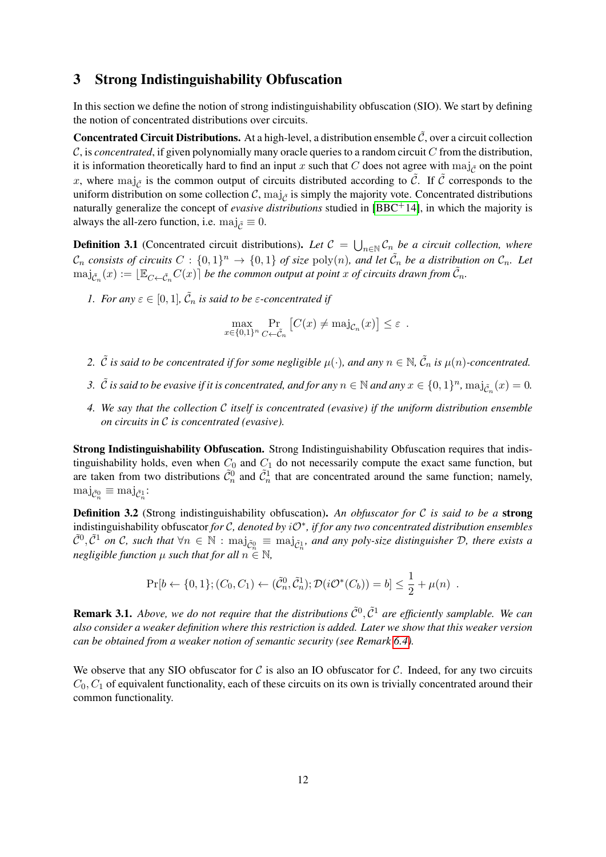### <span id="page-11-0"></span>3 Strong Indistinguishability Obfuscation

In this section we define the notion of strong indistinguishability obfuscation (SIO). We start by defining the notion of concentrated distributions over circuits.

**Concentrated Circuit Distributions.** At a high-level, a distribution ensemble  $\tilde{C}$ , over a circuit collection  $C$ , is *concentrated*, if given polynomially many oracle queries to a random circuit  $C$  from the distribution, it is information theoretically hard to find an input x such that C does not agree with maj<sub> $\tilde{C}$ </sub> on the point x, where maj<sub> $\tilde{\sigma}$ </sub> is the common output of circuits distributed according to  $\tilde{C}$ . If  $\tilde{C}$  corresponds to the uniform distribution on some collection  $C$ , maj<sub> $\tilde{C}$ </sub> is simply the majority vote. Concentrated distributions naturally generalize the concept of *evasive distributions* studied in [\[BBC](#page-40-12)+14], in which the majority is always the all-zero function, i.e.  $\text{maj}_{\tilde{C}} \equiv 0$ .

<span id="page-11-2"></span>**Definition 3.1** (Concentrated circuit distributions). Let  $C = \bigcup_{n \in \mathbb{N}} C_n$  be a circuit collection, where  $\mathcal{C}_n$  consists of circuits  $C: \{0,1\}^n \to \{0,1\}$  of size  $\text{poly}(n)$ , and let  $\tilde{\mathcal{C}}_n$  be a distribution on  $\mathcal{C}_n$ . Let  $\text{maj}_{\tilde{\mathcal{C}}_n}(x) := \lfloor \mathbb{E}_{C \leftarrow \tilde{\mathcal{C}}_n} C(x) \rceil$  be the common output at point x of circuits drawn from  $\tilde{\mathcal{C}}_n$ .

*1. For any*  $\varepsilon \in [0,1]$ ,  $\tilde{\mathcal{C}}_n$  *is said to be*  $\varepsilon$ *-concentrated if* 

$$
\max_{x \in \{0,1\}^n} \Pr_{C \leftarrow \tilde{C}_n} \left[ C(x) \neq \text{maj}_{C_n}(x) \right] \leq \varepsilon.
$$

- 2.  $\tilde{C}$  *is said to be concentrated if for some negligible*  $\mu(\cdot)$ , and any  $n \in \mathbb{N}$ ,  $\tilde{C}_n$  *is*  $\mu(n)$ -concentrated.
- 3.  $\tilde{C}$  is said to be evasive if it is concentrated, and for any  $n \in \mathbb{N}$  and any  $x \in \{0,1\}^n$ ,  $\text{maj}_{\tilde{\mathcal{C}}_n}(x) = 0$ .
- *4. We say that the collection* C *itself is concentrated (evasive) if the uniform distribution ensemble on circuits in* C *is concentrated (evasive).*

Strong Indistinguishability Obfuscation. Strong Indistinguishability Obfuscation requires that indistinguishability holds, even when  $C_0$  and  $C_1$  do not necessarily compute the exact same function, but are taken from two distributions  $\tilde{C}_n^0$  and  $\tilde{C}_n^1$  that are concentrated around the same function; namely,  $\text{maj}_{\tilde{C}_n^0} \equiv \text{maj}_{\tilde{C}_n^1}$ :

<span id="page-11-1"></span>Definition 3.2 (Strong indistinguishability obfuscation). *An obfuscator for* C *is said to be a* strong indistinguishability obfuscator *for* C*, denoted by* iO<sup>∗</sup> *, if for any two concentrated distribution ensembles*  $\tilde{C}^0$ ,  $\tilde{C}^1$  *on* C, such that  $\forall n \in \mathbb{N} : maj_{\tilde{C}_n^0} \equiv maj_{\tilde{C}_n^1}$ , and any poly-size distinguisher D, there exists a *negligible function*  $\mu$  *such that for all*  $n \in \mathbb{N}$ ,

$$
Pr[b \leftarrow \{0, 1\}; (C_0, C_1) \leftarrow (\tilde{C}_n^0, \tilde{C}_n^1); \mathcal{D}(i\mathcal{O}^*(C_b)) = b] \le \frac{1}{2} + \mu(n) .
$$

**Remark 3.1.** Above, we do not require that the distributions  $\tilde{C}^0$ ,  $\tilde{C}^1$  are efficiently samplable. We can *also consider a weaker definition where this restriction is added. Later we show that this weaker version can be obtained from a weaker notion of semantic security (see Remark [6.4\)](#page-26-0).*

We observe that any SIO obfuscator for C is also an IO obfuscator for C. Indeed, for any two circuits  $C_0, C_1$  of equivalent functionality, each of these circuits on its own is trivially concentrated around their common functionality.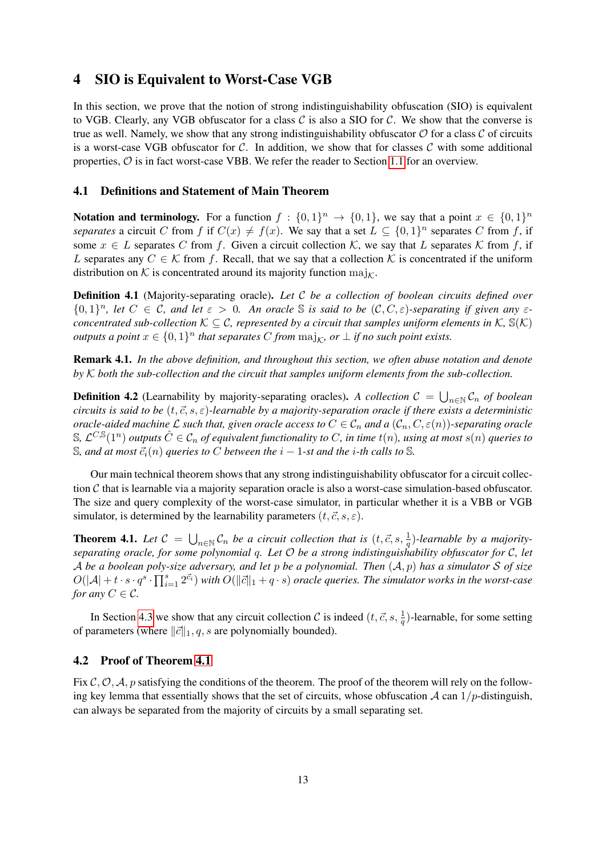## <span id="page-12-0"></span>4 SIO is Equivalent to Worst-Case VGB

In this section, we prove that the notion of strong indistinguishability obfuscation (SIO) is equivalent to VGB. Clearly, any VGB obfuscator for a class  $\mathcal C$  is also a SIO for  $\mathcal C$ . We show that the converse is true as well. Namely, we show that any strong indistinguishability obfuscator  $\mathcal O$  for a class  $\mathcal C$  of circuits is a worst-case VGB obfuscator for  $C$ . In addition, we show that for classes  $C$  with some additional properties,  $O$  is in fact worst-case VBB. We refer the reader to Section [1.1](#page-4-0) for an overview.

#### <span id="page-12-1"></span>4.1 Definitions and Statement of Main Theorem

**Notation and terminology.** For a function  $f: \{0,1\}^n \to \{0,1\}$ , we say that a point  $x \in \{0,1\}^n$ separates a circuit C from f if  $C(x) \neq f(x)$ . We say that a set  $L \subseteq \{0,1\}^n$  separates C from f, if some  $x \in L$  separates C from f. Given a circuit collection K, we say that L separates K from f, if L separates any  $C \in \mathcal{K}$  from f. Recall, that we say that a collection  $\mathcal{K}$  is concentrated if the uniform distribution on K is concentrated around its majority function  $\text{maj}_{\mathcal{K}}$ .

Definition 4.1 (Majority-separating oracle). *Let* C *be a collection of boolean circuits defined over*  $\{0,1\}^n$ , let  $C \in \mathcal{C}$ , and let  $\varepsilon > 0$ . An oracle S is said to be  $(\mathcal{C},C,\varepsilon)$ -separating if given any  $\varepsilon$ *concentrated sub-collection*  $K \subseteq \mathcal{C}$ *, represented by a circuit that samples uniform elements in* K,  $\mathbb{S}(K)$ *outputs a point*  $x \in \{0,1\}^n$  *that separates* C *from*  $\text{maj}_\mathcal{K}$ *, or*  $\perp$  *if no such point exists.* 

Remark 4.1. *In the above definition, and throughout this section, we often abuse notation and denote by* K *both the sub-collection and the circuit that samples uniform elements from the sub-collection.*

<span id="page-12-4"></span>**Definition 4.2** (Learnability by majority-separating oracles). A collection  $C = \bigcup_{n \in \mathbb{N}} C_n$  of boolean  $circuits$  is said to be  $(t, \vec{c}, s, \varepsilon)$ -learnable by a majority-separation oracle if there exists a deterministic *oracle-aided machine*  $\mathcal L$  *such that, given oracle access to*  $C \in \mathcal C_n$  *and a*  $(\mathcal C_n, C, \varepsilon(n))$ *-separating oracle* S,  $\mathcal{L}^{C, \mathbb{S}}(1^n)$  *outputs*  $\hat{C} \in \mathcal{C}_n$  of equivalent functionality to C, in time  $t(n)$ , using at most  $s(n)$  queries to  $\mathbb{S}$ *, and at most*  $\vec{c}_i(n)$  *queries to* C *between the*  $i - 1$ *-st and the i*-th calls to  $\mathbb{S}$ *.* 

Our main technical theorem shows that any strong indistinguishability obfuscator for a circuit collection C that is learnable via a majority separation oracle is also a worst-case simulation-based obfuscator. The size and query complexity of the worst-case simulator, in particular whether it is a VBB or VGB simulator, is determined by the learnability parameters  $(t, \vec{c}, s, \varepsilon)$ .

<span id="page-12-3"></span>**Theorem 4.1.** Let  $C = \bigcup_{n \in \mathbb{N}} C_n$  be a circuit collection that is  $(t, \vec{c}, s, \frac{1}{q})$ -learnable by a majority*separating oracle, for some polynomial* q*. Let* O *be a strong indistinguishability obfuscator for* C*, let* A *be a boolean poly-size adversary, and let* p *be a polynomial. Then* (A, p) *has a simulator* S *of size*  $O(|A|+t\cdot s\cdot q^s\cdot \prod_{i=1}^s 2^{\vec{c}_i})$  with  $O(||\vec{c}||_1+q\cdot s)$  *oracle queries. The simulator works in the worst-case for any*  $C \in \mathcal{C}$ *.* 

In Section [4.3](#page-15-0) we show that any circuit collection C is indeed  $(t, \vec{c}, s, \frac{1}{q})$ -learnable, for some setting of parameters (where  $\|\vec{c}\|_1, q, s$  are polynomially bounded).

#### <span id="page-12-2"></span>4.2 Proof of Theorem [4.1](#page-12-3)

Fix C,  $\mathcal{O}, \mathcal{A}, p$  satisfying the conditions of the theorem. The proof of the theorem will rely on the following key lemma that essentially shows that the set of circuits, whose obfuscation A can  $1/p$ -distinguish, can always be separated from the majority of circuits by a small separating set.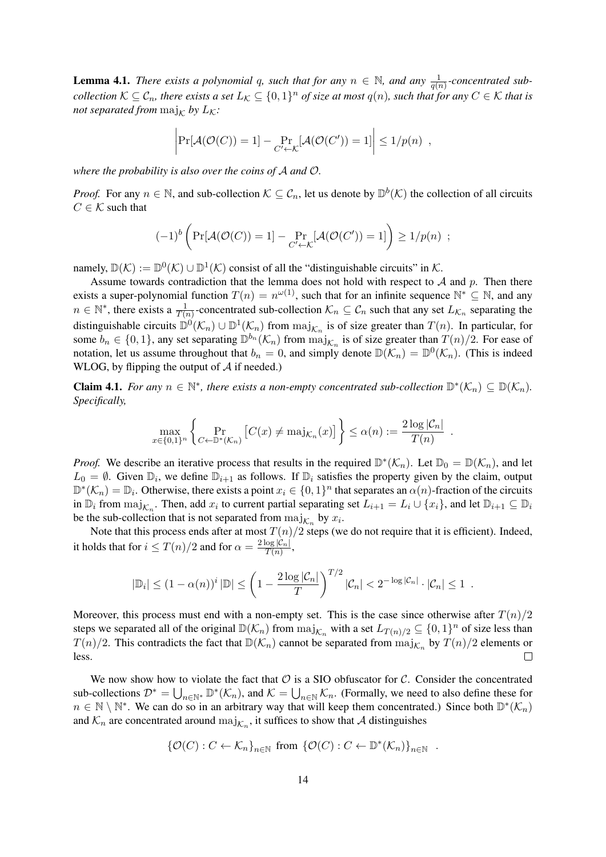<span id="page-13-0"></span>**Lemma 4.1.** *There exists a polynomial q, such that for any*  $n \in \mathbb{N}$ *, and any*  $\frac{1}{q(n)}$ -concentrated sub- $\text{collection } \mathcal{K} \subseteq \mathcal{C}_n$ , there exists a set  $L_\mathcal{K} \subseteq \{0,1\}^n$  of size at most  $q(n)$ , such that for any  $C \in \mathcal{K}$  that is *not separated from*  $\text{maj}_K$  *by*  $L_K$ *:* 

$$
\left|\Pr[\mathcal{A}(\mathcal{O}(C)) = 1] - \Pr_{C' \leftarrow \mathcal{K}}[\mathcal{A}(\mathcal{O}(C')) = 1]\right| \le 1/p(n) ,
$$

*where the probability is also over the coins of* A *and* O*.*

*Proof.* For any  $n \in \mathbb{N}$ , and sub-collection  $\mathcal{K} \subseteq \mathcal{C}_n$ , let us denote by  $\mathbb{D}^b(\mathcal{K})$  the collection of all circuits  $C \in \mathcal{K}$  such that

$$
(-1)^b \left( \Pr[\mathcal{A}(\mathcal{O}(C)) = 1] - \Pr_{C' \leftarrow \mathcal{K}}[\mathcal{A}(\mathcal{O}(C')) = 1] \right) \ge 1/p(n) ;
$$

namely,  $\mathbb{D}(\mathcal{K}) := \mathbb{D}^0(\mathcal{K}) \cup \mathbb{D}^1(\mathcal{K})$  consist of all the "distinguishable circuits" in  $\mathcal{K}$ .

Assume towards contradiction that the lemma does not hold with respect to  $A$  and  $p$ . Then there exists a super-polynomial function  $T(n) = n^{\omega(1)}$ , such that for an infinite sequence  $\mathbb{N}^* \subseteq \mathbb{N}$ , and any  $n \in \mathbb{N}^*$ , there exists a  $\frac{1}{T(n)}$ -concentrated sub-collection  $\mathcal{K}_n \subseteq \mathcal{C}_n$  such that any set  $L_{\mathcal{K}_n}$  separating the distinguishable circuits  $\mathbb{D}^0(\mathcal{K}_n) \cup \mathbb{D}^1(\mathcal{K}_n)$  from  $\text{maj}_{\mathcal{K}_n}$  is of size greater than  $T(n)$ . In particular, for some  $b_n \in \{0,1\}$ , any set separating  $\mathbb{D}^{b_n}(\mathcal{K}_n)$  from  $\text{maj}_{\mathcal{K}_n}$  is of size greater than  $T(n)/2$ . For ease of notation, let us assume throughout that  $b_n = 0$ , and simply denote  $\mathbb{D}(\mathcal{K}_n) = \mathbb{D}^0(\mathcal{K}_n)$ . (This is indeed WLOG, by flipping the output of  $A$  if needed.)

**Claim 4.1.** For any  $n \in \mathbb{N}^*$ , there exists a non-empty concentrated sub-collection  $\mathbb{D}^*(\mathcal{K}_n) \subseteq \mathbb{D}(\mathcal{K}_n)$ . *Specifically,*

$$
\max_{x \in \{0,1\}^n} \left\{ \Pr_{C \leftarrow \mathbb{D}^*(\mathcal{K}_n)} \left[ C(x) \neq \mathrm{maj}_{\mathcal{K}_n}(x) \right] \right\} \le \alpha(n) := \frac{2 \log |\mathcal{C}_n|}{T(n)}.
$$

*Proof.* We describe an iterative process that results in the required  $\mathbb{D}^*(\mathcal{K}_n)$ . Let  $\mathbb{D}_0 = \mathbb{D}(\mathcal{K}_n)$ , and let  $L_0 = \emptyset$ . Given  $\mathbb{D}_i$ , we define  $\mathbb{D}_{i+1}$  as follows. If  $\mathbb{D}_i$  satisfies the property given by the claim, output  $\mathbb{D}^*(\mathcal{K}_n) = \mathbb{D}_i$ . Otherwise, there exists a point  $x_i \in \{0,1\}^n$  that separates an  $\alpha(n)$ -fraction of the circuits in  $\mathbb{D}_i$  from  $\text{maj}_{\mathcal{K}_n}$ . Then, add  $x_i$  to current partial separating set  $L_{i+1} = L_i \cup \{x_i\}$ , and let  $\mathbb{D}_{i+1} \subseteq \mathbb{D}_i$ be the sub-collection that is not separated from  $\text{maj}_{\mathcal{K}_n}$  by  $x_i$ .

Note that this process ends after at most  $T(n)/2$  steps (we do not require that it is efficient). Indeed, it holds that for  $i \leq T(n)/2$  and for  $\alpha = \frac{2 \log |\mathcal{C}_n|}{T(n)}$  $\frac{\log |\mathcal{C}_n|}{T(n)},$ 

$$
|\mathbb{D}_i| \le (1 - \alpha(n))^i |\mathbb{D}| \le \left(1 - \frac{2 \log |\mathcal{C}_n|}{T}\right)^{T/2} |\mathcal{C}_n| < 2^{-\log |\mathcal{C}_n|} \cdot |\mathcal{C}_n| \le 1.
$$

Moreover, this process must end with a non-empty set. This is the case since otherwise after  $T(n)/2$ steps we separated all of the original  $\mathbb{D}(\mathcal{K}_n)$  from  $\text{maj}_{\mathcal{K}_n}$  with a set  $L_{T(n)/2} \subseteq \{0,1\}^n$  of size less than  $T(n)/2$ . This contradicts the fact that  $\mathbb{D}(\mathcal{K}_n)$  cannot be separated from  $\min_{\mathcal{K}_n}$  by  $T(n)/2$  elements or less.  $\Box$ 

We now show how to violate the fact that  $\mathcal O$  is a SIO obfuscator for  $\mathcal C$ . Consider the concentrated sub-collections  $\mathcal{D}^* = \bigcup_{n \in \mathbb{N}^*} \mathbb{D}^*(\mathcal{K}_n)$ , and  $\mathcal{K} = \bigcup_{n \in \mathbb{N}} \mathcal{K}_n$ . (Formally, we need to also define these for  $n \in \mathbb{N} \setminus \mathbb{N}^*$ . We can do so in an arbitrary way that will keep them concentrated.) Since both  $\mathbb{D}^*(\mathcal{K}_n)$ and  $\mathcal{K}_n$  are concentrated around  $\text{maj}_{\mathcal{K}_n}$ , it suffices to show that A distinguishes

$$
\{\mathcal{O}(C): C \leftarrow \mathcal{K}_n\}_{n \in \mathbb{N}} \text{ from } \{\mathcal{O}(C): C \leftarrow \mathbb{D}^*(\mathcal{K}_n)\}_{n \in \mathbb{N}}.
$$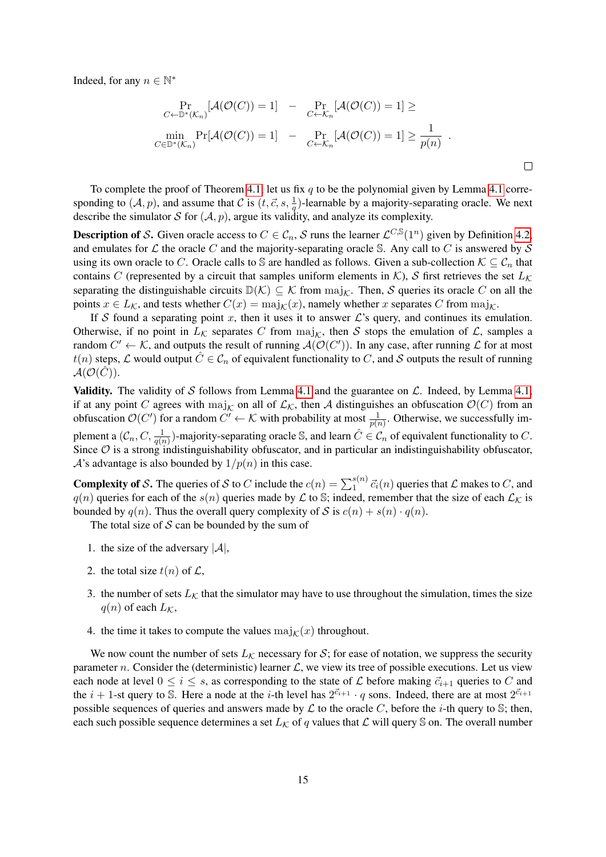Indeed, for any  $n \in \mathbb{N}^*$ 

$$
\Pr_{C \leftarrow \mathbb{D}^*(\mathcal{K}_n)}[\mathcal{A}(\mathcal{O}(C)) = 1] - \Pr_{C \leftarrow \mathcal{K}_n}[\mathcal{A}(\mathcal{O}(C)) = 1] \ge
$$
\n
$$
\min_{C \in \mathbb{D}^*(\mathcal{K}_n)} \Pr[\mathcal{A}(\mathcal{O}(C)) = 1] - \Pr_{C \leftarrow \mathcal{K}_n}[\mathcal{A}(\mathcal{O}(C)) = 1] \ge \frac{1}{p(n)}.
$$

To complete the proof of Theorem [4.1,](#page-12-3) let us fix q to be the polynomial given by Lemma [4.1](#page-13-0) corresponding to  $(A, p)$ , and assume that C is  $(t, \vec{c}, s, \frac{1}{q})$ -learnable by a majority-separating oracle. We next describe the simulator S for  $(A, p)$ , argue its validity, and analyze its complexity.

**Description of S.** Given oracle access to  $C \in \mathcal{C}_n$ , S runs the learner  $\mathcal{L}^{C, \mathbb{S}}(1^n)$  given by Definition [4.2,](#page-12-4) and emulates for  $\mathcal L$  the oracle  $C$  and the majority-separating oracle S. Any call to  $C$  is answered by  $\mathcal S$ using its own oracle to C. Oracle calls to S are handled as follows. Given a sub-collection  $K \subseteq \mathcal{C}_n$  that contains C (represented by a circuit that samples uniform elements in  $K$ ), S first retrieves the set  $L_K$ separating the distinguishable circuits  $\mathbb{D}(\mathcal{K}) \subseteq \mathcal{K}$  from  $\text{maj}_{\mathcal{K}}$ . Then, S queries its oracle C on all the points  $x \in L_K$ , and tests whether  $C(x) = \text{maj}_K(x)$ , namely whether x separates C from  $\text{maj}_K$ .

If S found a separating point x, then it uses it to answer  $\mathcal{L}$ 's query, and continues its emulation. Otherwise, if no point in  $L_K$  separates C from  $\text{maj}_K$ , then S stops the emulation of L, samples a random  $C' \leftarrow \mathcal{K}$ , and outputs the result of running  $\mathcal{A}(\mathcal{O}(C'))$ . In any case, after running  $\mathcal{L}$  for at most  $t(n)$  steps,  $\mathcal L$  would output  $\hat C \in \mathcal C_n$  of equivalent functionality to C, and S outputs the result of running  $\mathcal{A}(\mathcal{O}(\hat{C}))$ .

**Validity.** The validity of S follows from Lemma [4.1](#page-13-0) and the guarantee on  $\mathcal{L}$ . Indeed, by Lemma [4.1,](#page-13-0) if at any point C agrees with  $\text{maj}_{\mathcal{K}}$  on all of  $\mathcal{L}_{\mathcal{K}}$ , then A distinguishes an obfuscation  $\mathcal{O}(C)$  from an obfuscation  $\mathcal{O}(C')$  for a random  $C' \leftarrow \mathcal{K}$  with probability at most  $\frac{1}{p(n)}$ . Otherwise, we successfully implement a  $(\mathcal{C}_n, C, \frac{1}{q(n)})$ -majority-separating oracle S, and learn  $\hat{C} \in \mathcal{C}_n$  of equivalent functionality to  $C$ . Since  $\mathcal O$  is a strong indistinguishability obfuscator, and in particular an indistinguishability obfuscator, A's advantage is also bounded by  $1/p(n)$  in this case.

**Complexity of S.** The queries of S to C include the  $c(n) = \sum_{i=1}^{s(n)} \vec{c}_i(n)$  queries that L makes to C, and  $q(n)$  queries for each of the  $s(n)$  queries made by  $\mathcal L$  to S; indeed, remember that the size of each  $\mathcal L_K$  is bounded by  $q(n)$ . Thus the overall query complexity of S is  $c(n) + s(n) \cdot q(n)$ .

The total size of  $S$  can be bounded by the sum of

- 1. the size of the adversary  $|\mathcal{A}|$ ,
- 2. the total size  $t(n)$  of  $\mathcal{L}$ ,
- 3. the number of sets  $L<sub>K</sub>$  that the simulator may have to use throughout the simulation, times the size  $q(n)$  of each  $L_K$ ,
- 4. the time it takes to compute the values  $\text{maj}_{\mathcal{K}}(x)$  throughout.

We now count the number of sets  $L_K$  necessary for S; for ease of notation, we suppress the security parameter n. Consider the (deterministic) learner  $\mathcal{L}$ , we view its tree of possible executions. Let us view each node at level  $0 \le i \le s$ , as corresponding to the state of  $\mathcal L$  before making  $\vec c_{i+1}$  queries to C and the  $i + 1$ -st query to S. Here a node at the *i*-th level has  $2^{\vec{c}_{i+1}} \cdot q$  sons. Indeed, there are at most  $2^{\vec{c}_{i+1}}$ possible sequences of queries and answers made by  $\mathcal L$  to the oracle C, before the *i*-th query to S; then, each such possible sequence determines a set  $L<sub>K</sub>$  of q values that  $\mathcal L$  will query  $\mathcal S$  on. The overall number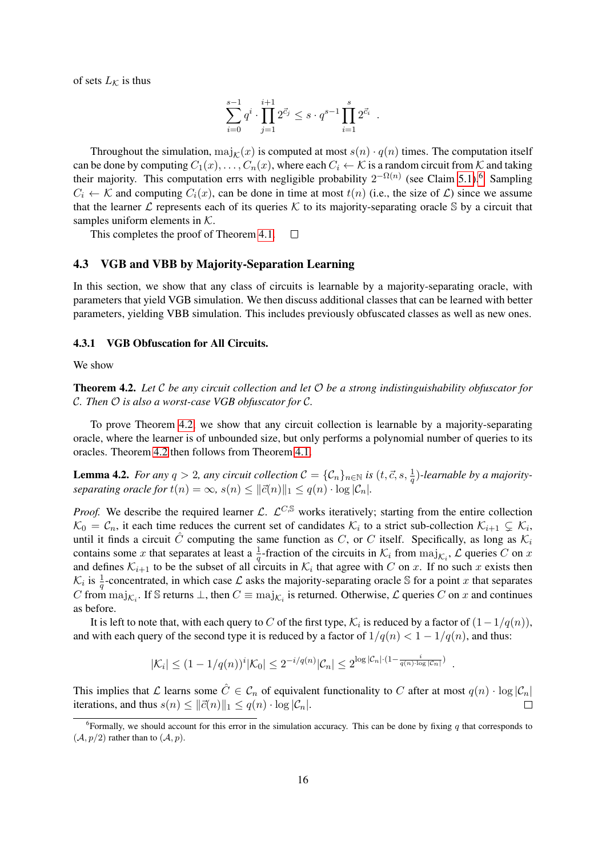of sets  $L_{\mathcal{K}}$  is thus

$$
\sum_{i=0}^{s-1} q^i \cdot \prod_{j=1}^{i+1} 2^{\vec{c}_j} \leq s \cdot q^{s-1} \prod_{i=1}^s 2^{\vec{c}_i} .
$$

Throughout the simulation,  $\text{maj}_K(x)$  is computed at most  $s(n) \cdot q(n)$  times. The computation itself can be done by computing  $C_1(x), \ldots, C_n(x)$ , where each  $C_i \leftarrow \mathcal{K}$  is a random circuit from  $\mathcal{K}$  and taking their majority. This computation errs with negligible probability  $2^{-\Omega(n)}$  (see Claim [5.1\)](#page-22-1).<sup>[6](#page-15-2)</sup> Sampling  $C_i \leftarrow \mathcal{K}$  and computing  $C_i(x)$ , can be done in time at most  $t(n)$  (i.e., the size of  $\mathcal{L}$ ) since we assume that the learner  $\mathcal L$  represents each of its queries  $\mathcal K$  to its majority-separating oracle  $\mathbb S$  by a circuit that samples uniform elements in  $K$ .

This completes the proof of Theorem [4.1.](#page-12-3)  $\Box$ 

#### <span id="page-15-0"></span>4.3 VGB and VBB by Majority-Separation Learning

In this section, we show that any class of circuits is learnable by a majority-separating oracle, with parameters that yield VGB simulation. We then discuss additional classes that can be learned with better parameters, yielding VBB simulation. This includes previously obfuscated classes as well as new ones.

#### <span id="page-15-1"></span>4.3.1 VGB Obfuscation for All Circuits.

We show

<span id="page-15-3"></span>Theorem 4.2. *Let* C *be any circuit collection and let* O *be a strong indistinguishability obfuscator for* C*. Then* O *is also a worst-case VGB obfuscator for* C*.*

To prove Theorem [4.2,](#page-15-3) we show that any circuit collection is learnable by a majority-separating oracle, where the learner is of unbounded size, but only performs a polynomial number of queries to its oracles. Theorem [4.2](#page-15-3) then follows from Theorem [4.1.](#page-12-3)

**Lemma 4.2.** *For any*  $q > 2$ , any circuit collection  $C = \{C_n\}_{n \in \mathbb{N}}$  is  $(t, \vec{c}, s, \frac{1}{q})$ -learnable by a majority*separating oracle for*  $t(n) = \infty$ ,  $s(n) \leq ||\vec{c}(n)||_1 \leq q(n) \cdot \log |\mathcal{C}_n|$ *.* 

*Proof.* We describe the required learner L.  $\mathcal{L}^{C, \mathbb{S}}$  works iteratively; starting from the entire collection  $\mathcal{K}_0 = \mathcal{C}_n$ , it each time reduces the current set of candidates  $\mathcal{K}_i$  to a strict sub-collection  $\mathcal{K}_{i+1} \subsetneq \mathcal{K}_i$ , until it finds a circuit  $\hat{C}$  computing the same function as  $C$ , or  $C$  itself. Specifically, as long as  $\mathcal{K}_i$ contains some x that separates at least a  $\frac{1}{q}$ -fraction of the circuits in  $\mathcal{K}_i$  from  $\text{maj}_{\mathcal{K}_i}$ ,  $\mathcal L$  queries C on x and defines  $\mathcal{K}_{i+1}$  to be the subset of all circuits in  $\mathcal{K}_i$  that agree with C on x. If no such x exists then  $\mathcal{K}_i$  is  $\frac{1}{q}$ -concentrated, in which case  $\mathcal L$  asks the majority-separating oracle S for a point x that separates C from  $maj_{\mathcal{K}_i}$ . If S returns  $\perp$ , then  $C \equiv maj_{\mathcal{K}_i}$  is returned. Otherwise,  $\mathcal L$  queries C on x and continues as before.

It is left to note that, with each query to C of the first type,  $\mathcal{K}_i$  is reduced by a factor of  $(1 - 1/q(n)),$ and with each query of the second type it is reduced by a factor of  $1/q(n) < 1-1/q(n)$ , and thus:

$$
|\mathcal{K}_i| \le (1 - 1/q(n))^i |\mathcal{K}_0| \le 2^{-i/q(n)} |\mathcal{C}_n| \le 2^{\log |\mathcal{C}_n| \cdot (1 - \frac{i}{q(n) \cdot \log |\mathcal{C}_n|})}
$$

.

This implies that L learns some  $\hat{C} \in \mathcal{C}_n$  of equivalent functionality to C after at most  $q(n) \cdot \log |\mathcal{C}_n|$ iterations, and thus  $s(n) \leq ||\vec{c}(n)||_1 \leq q(n) \cdot \log |\mathcal{C}_n|$ .  $\Box$ 

<span id="page-15-2"></span> $6$  Formally, we should account for this error in the simulation accuracy. This can be done by fixing  $q$  that corresponds to  $(A, p/2)$  rather than to  $(A, p)$ .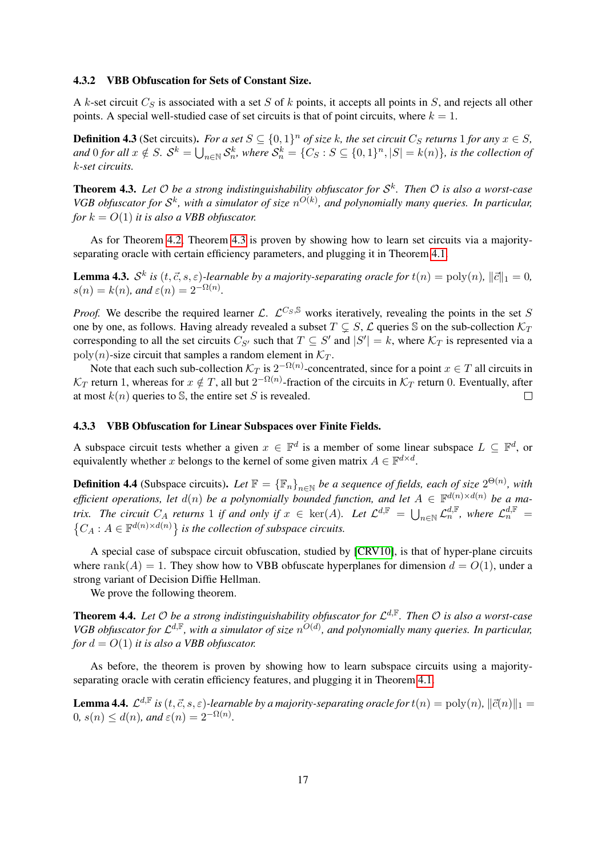#### <span id="page-16-0"></span>4.3.2 VBB Obfuscation for Sets of Constant Size.

A k-set circuit  $C_S$  is associated with a set S of k points, it accepts all points in S, and rejects all other points. A special well-studied case of set circuits is that of point circuits, where  $k = 1$ .

**Definition 4.3** (Set circuits). For a set  $S \subseteq \{0,1\}^n$  of size k, the set circuit  $C_S$  returns 1 for any  $x \in S$ , and 0 for all  $x \notin S$ *.*  $S^k = \bigcup_{n \in \mathbb{N}} S_n^k$ , where  $S_n^k = \{C_S : S \subseteq \{0,1\}^n, |S| = k(n)\}$ , is the collection of k*-set circuits.*

<span id="page-16-2"></span>Theorem 4.3. *Let* O *be a strong indistinguishability obfuscator for* S k *. Then* O *is also a worst-case VGB obfuscator for*  $S^k$ , with a simulator of size  $n^{O(k)}$ , and polynomially many queries. In particular, *for*  $k = O(1)$  *it is also a VBB obfuscator.* 

As for Theorem [4.2,](#page-15-3) Theorem [4.3](#page-16-2) is proven by showing how to learn set circuits via a majorityseparating oracle with certain efficiency parameters, and plugging it in Theorem [4.1.](#page-12-3)

**Lemma 4.3.**  $\mathcal{S}^k$  is  $(t, \vec{c}, s, \varepsilon)$ -learnable by a majority-separating oracle for  $t(n) = \text{poly}(n)$ ,  $\|\vec{c}\|_1 = 0$ ,  $s(n) = k(n)$ *, and*  $\varepsilon(n) = 2^{-\Omega(n)}$ *.* 

*Proof.* We describe the required learner L.  $\mathcal{L}^{C_S, \mathbb{S}}$  works iteratively, revealing the points in the set S one by one, as follows. Having already revealed a subset  $T \subsetneq S$ ,  $\mathcal L$  queries S on the sub-collection  $\mathcal K_T$ corresponding to all the set circuits  $C_{S'}$  such that  $T \subseteq S'$  and  $|S'| = k$ , where  $\mathcal{K}_T$  is represented via a  $poly(n)$ -size circuit that samples a random element in  $\mathcal{K}_T$ .

Note that each such sub-collection  $\mathcal{K}_T$  is  $2^{-\Omega(n)}$ -concentrated, since for a point  $x \in T$  all circuits in  $\mathcal{K}_T$  return 1, whereas for  $x \notin T$ , all but  $2^{-\Omega(n)}$ -fraction of the circuits in  $\mathcal{K}_T$  return 0. Eventually, after at most  $k(n)$  queries to S, the entire set S is revealed.  $\Box$ 

#### <span id="page-16-1"></span>4.3.3 VBB Obfuscation for Linear Subspaces over Finite Fields.

A subspace circuit tests whether a given  $x \in \mathbb{F}^d$  is a member of some linear subspace  $L \subseteq \mathbb{F}^d$ , or equivalently whether x belongs to the kernel of some given matrix  $A \in \mathbb{F}^{d \times d}$ .

**Definition 4.4** (Subspace circuits). Let  $\mathbb{F} = \{\mathbb{F}_n\}_{n \in \mathbb{N}}$  be a sequence of fields, each of size  $2^{\Theta(n)}$ , with efficient operations, let  $d(n)$  be a polynomially bounded function, and let  $A \in \mathbb{F}^{d(n)\times d(n)}$  be a ma*trix. The circuit*  $C_A$  *returns* 1 *if and only if*  $x \in \text{ker}(A)$ *. Let*  $\mathcal{L}^{d,\mathbb{F}} = \bigcup_{n \in \mathbb{N}} \mathcal{L}^{d,\mathbb{F}}_n$ *, where*  $\mathcal{L}^{d,\mathbb{F}}_n =$  ${C_A : A \in \mathbb{F}^{d(n) \times d(n)}}$  *is the collection of subspace circuits.* 

A special case of subspace circuit obfuscation, studied by [\[CRV10\]](#page-40-11), is that of hyper-plane circuits where rank( $A$ ) = 1. They show how to VBB obfuscate hyperplanes for dimension  $d = O(1)$ , under a strong variant of Decision Diffie Hellman.

We prove the following theorem.

Theorem 4.4. *Let* O *be a strong indistinguishability obfuscator for* L d,F *. Then* O *is also a worst-case VGB obfuscator for*  $\mathcal{L}^{d,\mathbb{F}}$ *, with a simulator of size*  $n^{O(d)}$ , and polynomially many queries. In particular, *for*  $d = O(1)$  *it is also a VBB obfuscator.* 

As before, the theorem is proven by showing how to learn subspace circuits using a majorityseparating oracle with ceratin efficiency features, and plugging it in Theorem [4.1.](#page-12-3)

**Lemma 4.4.**  $\mathcal{L}^{d,\mathbb{F}}$  is  $(t, \vec{c}, s, \varepsilon)$ -learnable by a majority-separating oracle for  $t(n) = \text{poly}(n)$ ,  $\|\vec{c}(n)\|_1 =$  $0, s(n) \leq d(n)$ , and  $\varepsilon(n) = 2^{-\Omega(n)}$ .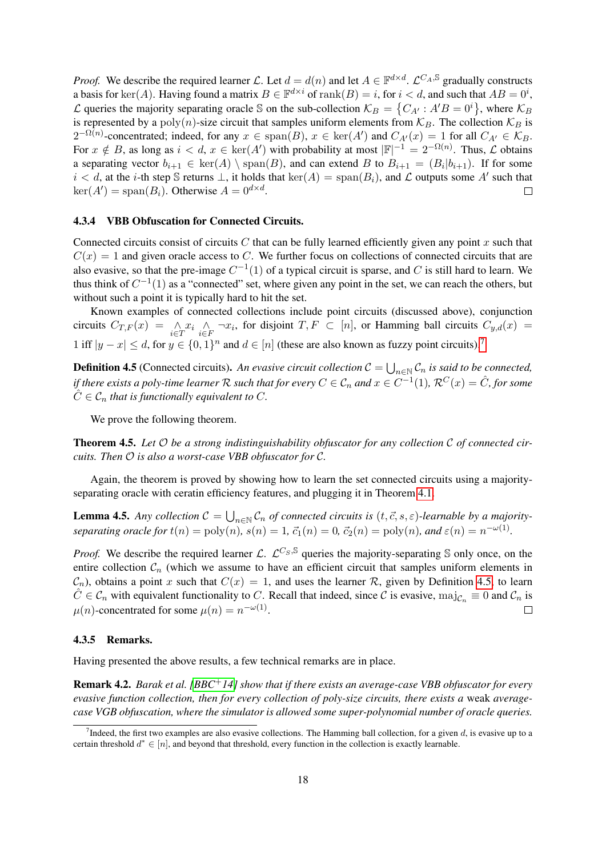*Proof.* We describe the required learner L. Let  $d = d(n)$  and let  $A \in \mathbb{F}^{d \times d}$ .  $\mathcal{L}^{C_A, \mathbb{S}}$  gradually constructs a basis for  $\text{ker}(A)$ . Having found a matrix  $B \in \mathbb{F}^{d \times i}$  of  $\text{rank}(B) = i$ , for  $i < d$ , and such that  $AB = 0^i$ ,  $\mathcal L$  queries the majority separating oracle S on the sub-collection  $\mathcal K_B = \{C_{A'} : A'B = 0^i\}$ , where  $\mathcal K_B$ is represented by a  $poly(n)$ -size circuit that samples uniform elements from  $\mathcal{K}_B$ . The collection  $\mathcal{K}_B$  is  $2^{-\Omega(n)}$ -concentrated; indeed, for any  $x \in \text{span}(B)$ ,  $x \in \text{ker}(A')$  and  $C_{A'}(x) = 1$  for all  $C_{A'} \in \mathcal{K}_B$ . For  $x \notin B$ , as long as  $i < d$ ,  $x \in \text{ker}(A')$  with probability at most  $|\mathbb{F}|^{-1} = 2^{-\Omega(n)}$ . Thus,  $\mathcal L$  obtains a separating vector  $b_{i+1} \in \text{ker}(A) \setminus \text{span}(B)$ , and can extend B to  $B_{i+1} = (B_i | b_{i+1})$ . If for some  $i < d$ , at the *i*-th step S returns  $\perp$ , it holds that  $\ker(A) = \text{span}(B_i)$ , and  $\mathcal L$  outputs some A' such that  $\ker(A') = \text{span}(B_i)$ . Otherwise  $A = 0^{d \times d}$ .  $\Box$ 

#### <span id="page-17-0"></span>4.3.4 VBB Obfuscation for Connected Circuits.

Connected circuits consist of circuits C that can be fully learned efficiently given any point x such that  $C(x) = 1$  and given oracle access to C. We further focus on collections of connected circuits that are also evasive, so that the pre-image  $C^{-1}(1)$  of a typical circuit is sparse, and C is still hard to learn. We thus think of  $C^{-1}(1)$  as a "connected" set, where given any point in the set, we can reach the others, but without such a point it is typically hard to hit the set.

Known examples of connected collections include point circuits (discussed above), conjunction circuits  $C_{T,F}(x) = \bigwedge_{i \in F} x_i \bigwedge_{i \in F} \neg x_i$ , for disjoint  $T, F \subset [n]$ , or Hamming ball circuits  $C_{y,d}(x) =$ 1 iff  $|y-x| \le d$ , for  $y \in \{0,1\}^n$  and  $d \in [n]$  (these are also known as fuzzy point circuits).<sup>[7](#page-17-2)</sup>

<span id="page-17-3"></span>**Definition 4.5** (Connected circuits). An evasive circuit collection  $C = \bigcup_{n\in\mathbb{N}} C_n$  is said to be connected, if there exists a poly-time learner  $\cal R$  such that for every  $C\in\cal C_n$  and  $x\in C^{-1}(1)$ ,  ${\cal R}^C(x)=\hat C$ , for some  $C \in \mathcal{C}_n$  *that is functionally equivalent to C.* 

We prove the following theorem.

Theorem 4.5. *Let* O *be a strong indistinguishability obfuscator for any collection* C *of connected circuits. Then* O *is also a worst-case VBB obfuscator for* C*.*

Again, the theorem is proved by showing how to learn the set connected circuits using a majorityseparating oracle with ceratin efficiency features, and plugging it in Theorem [4.1.](#page-12-3)

**Lemma 4.5.** Any collection  $C = \bigcup_{n \in \mathbb{N}} C_n$  of connected circuits is  $(t, \vec{c}, s, \varepsilon)$ -learnable by a majority*separating oracle for*  $t(n) = \text{poly}(n)$ *,*  $s(n) = 1$ *,*  $\vec{c}_1(n) = 0$ ,  $\vec{c}_2(n) = \text{poly}(n)$ *, and*  $\varepsilon(n) = n^{-\omega(1)}$ *.* 

*Proof.* We describe the required learner L.  $\mathcal{L}^{C_S, \mathbb{S}}$  queries the majority-separating S only once, on the entire collection  $C_n$  (which we assume to have an efficient circuit that samples uniform elements in  $\mathcal{C}_n$ ), obtains a point x such that  $C(x) = 1$ , and uses the learner R, given by Definition [4.5,](#page-17-3) to learn  $C \in \mathcal{C}_n$  with equivalent functionality to C. Recall that indeed, since C is evasive, maj<sub>Cn</sub> ≡ 0 and  $\mathcal{C}_n$  is  $\mu(n)$ -concentrated for some  $\mu(n) = n^{-\omega(1)}$ .  $\Box$ 

#### <span id="page-17-1"></span>4.3.5 Remarks.

Having presented the above results, a few technical remarks are in place.

Remark 4.2. *Barak et al. [\[BBC](#page-40-12)*+*14] show that if there exists an average-case VBB obfuscator for every evasive function collection, then for every collection of poly-size circuits, there exists a* weak *averagecase VGB obfuscation, where the simulator is allowed some super-polynomial number of oracle queries.*

<span id="page-17-2"></span><sup>&</sup>lt;sup>7</sup>Indeed, the first two examples are also evasive collections. The Hamming ball collection, for a given  $d$ , is evasive up to a certain threshold  $d^* \in [n]$ , and beyond that threshold, every function in the collection is exactly learnable.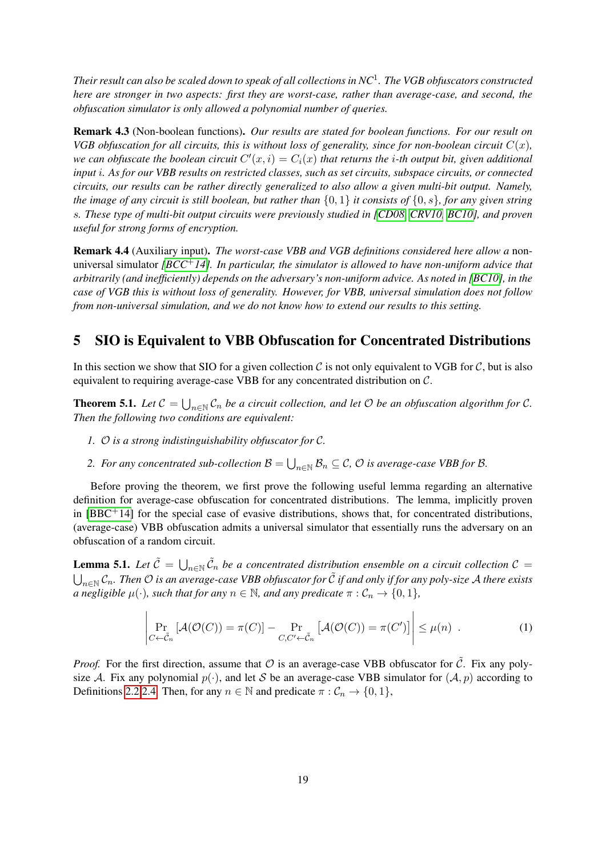*Their result can also be scaled down to speak of all collections in NC*<sup>1</sup> *. The VGB obfuscators constructed here are stronger in two aspects: first they are worst-case, rather than average-case, and second, the obfuscation simulator is only allowed a polynomial number of queries.*

Remark 4.3 (Non-boolean functions). *Our results are stated for boolean functions. For our result on VGB obfuscation for all circuits, this is without loss of generality, since for non-boolean circuit*  $C(x)$ , we can obfuscate the boolean circuit  $C'(x,i) = C_i(x)$  that returns the *i*-th output bit, given additional *input* i*. As for our VBB results on restricted classes, such as set circuits, subspace circuits, or connected circuits, our results can be rather directly generalized to also allow a given multi-bit output. Namely, the image of any circuit is still boolean, but rather than* {0, 1} *it consists of* {0, s}*, for any given string* s*. These type of multi-bit output circuits were previously studied in [\[CD08,](#page-40-14) [CRV10,](#page-40-11) [BC10\]](#page-40-3), and proven useful for strong forms of encryption.*

Remark 4.4 (Auxiliary input). *The worst-case VBB and VGB definitions considered here allow a* nonuniversal simulator *[\[BCC](#page-40-2)*+*14]. In particular, the simulator is allowed to have non-uniform advice that arbitrarily (and inefficiently) depends on the adversary's non-uniform advice. As noted in [\[BC10\]](#page-40-3), in the case of VGB this is without loss of generality. However, for VBB, universal simulation does not follow from non-universal simulation, and we do not know how to extend our results to this setting.*

## <span id="page-18-0"></span>5 SIO is Equivalent to VBB Obfuscation for Concentrated Distributions

In this section we show that SIO for a given collection  $C$  is not only equivalent to VGB for  $C$ , but is also equivalent to requiring average-case VBB for any concentrated distribution on C.

<span id="page-18-2"></span>**Theorem 5.1.** Let  $C = \bigcup_{n \in \mathbb{N}} C_n$  be a circuit collection, and let O be an obfuscation algorithm for C. *Then the following two conditions are equivalent:*

- *1.* O *is a strong indistinguishability obfuscator for* C*.*
- 2. For any concentrated sub-collection  $\mathcal{B} = \bigcup_{n\in\mathbb{N}} \mathcal{B}_n \subseteq \mathcal{C}$ ,  $\mathcal{O}$  is average-case VBB for  $\mathcal{B}$ .

Before proving the theorem, we first prove the following useful lemma regarding an alternative definition for average-case obfuscation for concentrated distributions. The lemma, implicitly proven in  $[BBC + 14]$  $[BBC + 14]$  for the special case of evasive distributions, shows that, for concentrated distributions, (average-case) VBB obfuscation admits a universal simulator that essentially runs the adversary on an obfuscation of a random circuit.

<span id="page-18-3"></span>**Lemma 5.1.** Let  $\tilde{C} = \bigcup_{n \in \mathbb{N}} \tilde{C}_n$  be a concentrated distribution ensemble on a circuit collection  $C =$  $\bigcup_{n\in\mathbb{N}}\mathcal{C}_n.$  Then  $\mathcal O$  is an average-case VBB obfuscator for  $\tilde{\mathcal C}$  if and only if for any poly-size  $\mathcal A$  there exists *a negligible*  $\mu(\cdot)$ *, such that for any*  $n \in \mathbb{N}$ *, and any predicate*  $\pi : \mathcal{C}_n \to \{0, 1\}$ *,* 

<span id="page-18-1"></span>
$$
\left| \Pr_{C \leftarrow \tilde{C}_n} \left[ \mathcal{A}(\mathcal{O}(C)) = \pi(C) \right] - \Pr_{C, C' \leftarrow \tilde{C}_n} \left[ \mathcal{A}(\mathcal{O}(C)) = \pi(C') \right] \right| \le \mu(n) . \tag{1}
$$

*Proof.* For the first direction, assume that  $\mathcal O$  is an average-case VBB obfuscator for  $\tilde{\mathcal C}$ . Fix any polysize A. Fix any polynomial  $p(\cdot)$ , and let S be an average-case VBB simulator for  $(A, p)$  according to Definitions [2.2,](#page-10-0)[2.4.](#page-10-2) Then, for any  $n \in \mathbb{N}$  and predicate  $\pi : \mathcal{C}_n \to \{0, 1\},\$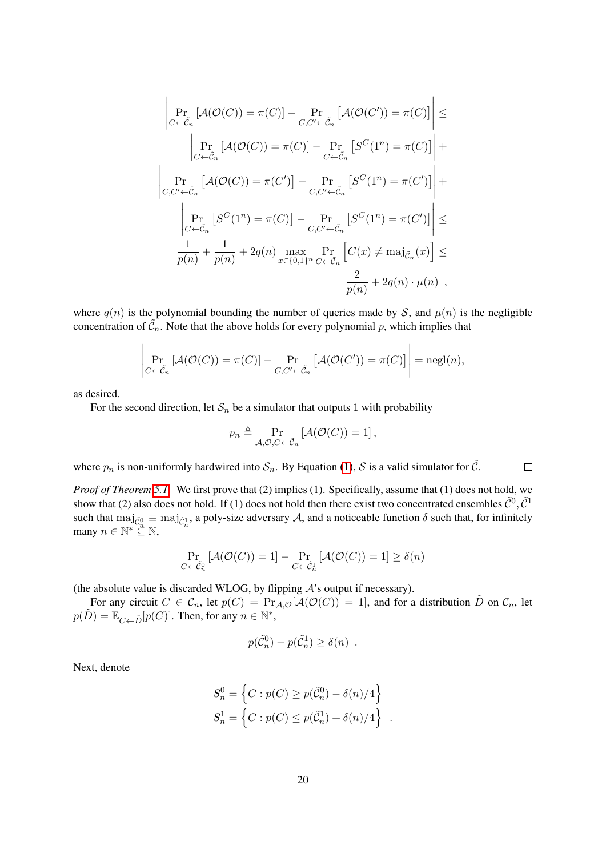$$
\begin{aligned}\n\left| \Pr_{C \leftarrow \tilde{C}_n} \left[ \mathcal{A}(\mathcal{O}(C)) = \pi(C) \right] - \Pr_{C, C' \leftarrow \tilde{C}_n} \left[ \mathcal{A}(\mathcal{O}(C')) = \pi(C) \right] \right| &\leq \\
\left| \Pr_{C \leftarrow \tilde{C}_n} \left[ \mathcal{A}(\mathcal{O}(C)) = \pi(C) \right] - \Pr_{C \leftarrow \tilde{C}_n} \left[ S^C(1^n) = \pi(C) \right] \right| + \\
\left| \Pr_{C, C' \leftarrow \tilde{C}_n} \left[ \mathcal{A}(\mathcal{O}(C)) = \pi(C') \right] - \Pr_{C, C' \leftarrow \tilde{C}_n} \left[ S^C(1^n) = \pi(C') \right] \right| + \\
\left| \Pr_{C \leftarrow \tilde{C}_n} \left[ S^C(1^n) = \pi(C) \right] - \Pr_{C, C' \leftarrow \tilde{C}_n} \left[ S^C(1^n) = \pi(C') \right] \right| &\leq \\
\frac{1}{p(n)} + \frac{1}{p(n)} + 2q(n) \max_{x \in \{0,1\}^n} \Pr_{C \leftarrow \tilde{C}_n} \left[ C(x) \neq \text{maj}_{\tilde{C}_n}(x) \right] &\leq \\
\frac{2}{p(n)} + 2q(n) \cdot \mu(n) ,\n\end{aligned}
$$

where  $q(n)$  is the polynomial bounding the number of queries made by S, and  $\mu(n)$  is the negligible concentration of  $\tilde{\mathcal{C}}_n$ . Note that the above holds for every polynomial p, which implies that

$$
\left|\Pr_{C \leftarrow \tilde{C}_n} \left[ \mathcal{A}(\mathcal{O}(C)) = \pi(C) \right] - \Pr_{C, C' \leftarrow \tilde{C}_n} \left[ \mathcal{A}(\mathcal{O}(C')) = \pi(C) \right] \right| = negl(n),
$$

as desired.

 $\overline{1}$ 

For the second direction, let  $S_n$  be a simulator that outputs 1 with probability

$$
p_n \triangleq \Pr_{\mathcal{A}, \mathcal{O}, C \leftarrow \tilde{\mathcal{C}}_n} \left[ \mathcal{A}(\mathcal{O}(C)) = 1 \right],
$$

where  $p_n$  is non-uniformly hardwired into  $S_n$ . By Equation [\(1\)](#page-18-1), S is a valid simulator for  $\tilde{C}$ .  $\Box$ 

*Proof of Theorem [5.1.](#page-18-2)* We first prove that (2) implies (1). Specifically, assume that (1) does not hold, we show that (2) also does not hold. If (1) does not hold then there exist two concentrated ensembles  $\tilde{C}^0$ ,  $\tilde{C}^1$ such that  $maj_{\tilde{C}_n^0} \equiv maj_{\tilde{C}_n^1}$ , a poly-size adversary A, and a noticeable function  $\delta$  such that, for infinitely many  $n \in \mathbb{N}^* \subseteq \mathbb{N}$ ,

$$
\Pr_{C \leftarrow \tilde{\mathcal{C}}_n^0}\left[\mathcal{A}(\mathcal{O}(C)) = 1\right] - \Pr_{C \leftarrow \tilde{\mathcal{C}}_n^1}\left[\mathcal{A}(\mathcal{O}(C)) = 1\right] \ge \delta(n)
$$

(the absolute value is discarded WLOG, by flipping  $A$ 's output if necessary).

For any circuit  $C \in \mathcal{C}_n$ , let  $p(C) = \Pr_{\mathcal{A}, \mathcal{O}}[\mathcal{A}(\mathcal{O}(C))] = 1$ , and for a distribution  $\tilde{D}$  on  $\mathcal{C}_n$ , let  $p(\tilde{D}) = \mathbb{E}_{C \leftarrow \tilde{D}}[p(C)]$ . Then, for any  $n \in \mathbb{N}^*$ ,

$$
p(\tilde{\mathcal{C}}_n^0) - p(\tilde{\mathcal{C}}_n^1) \ge \delta(n) .
$$

Next, denote

$$
S_n^0 = \left\{ C : p(C) \ge p(\tilde{C}_n^0) - \delta(n)/4 \right\}
$$
  

$$
S_n^1 = \left\{ C : p(C) \le p(\tilde{C}_n^1) + \delta(n)/4 \right\} .
$$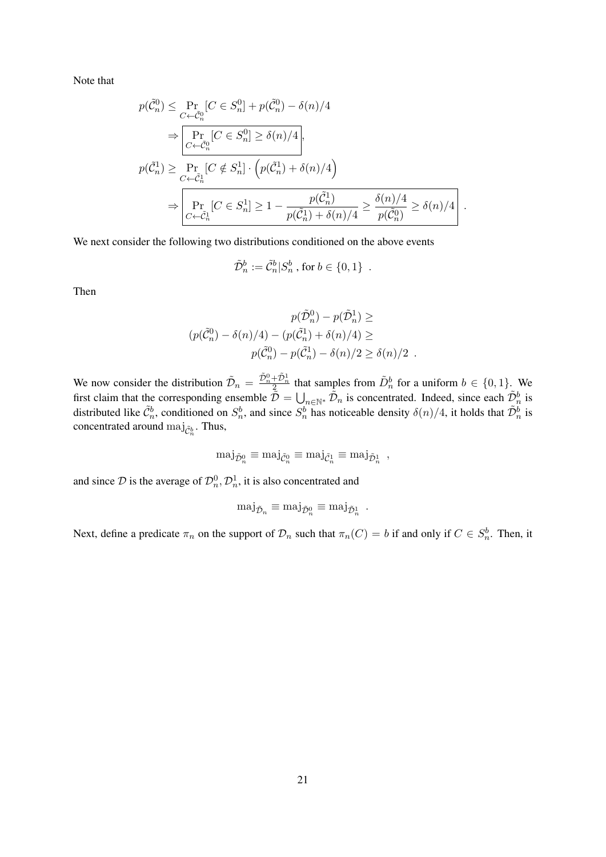Note that

$$
p(\tilde{\mathcal{C}}_n^0) \le \Pr_{C \leftarrow \tilde{\mathcal{C}}_n^0} [C \in S_n^0] + p(\tilde{\mathcal{C}}_n^0) - \delta(n)/4
$$
  
\n
$$
\Rightarrow \boxed{\Pr_{C \leftarrow \tilde{\mathcal{C}}_n^0} [C \in S_n^0] \ge \delta(n)/4},
$$
  
\n
$$
p(\tilde{\mathcal{C}}_n^1) \ge \Pr_{C \leftarrow \tilde{\mathcal{C}}_n^1} [C \notin S_n^1] \cdot \left( p(\tilde{\mathcal{C}}_n^1) + \delta(n)/4 \right)
$$
  
\n
$$
\Rightarrow \boxed{\Pr_{C \leftarrow \tilde{\mathcal{C}}_n^1} [C \in S_n^1] \ge 1 - \frac{p(\tilde{\mathcal{C}}_n^1)}{p(\tilde{\mathcal{C}}_n^1) + \delta(n)/4} \ge \frac{\delta(n)/4}{p(\tilde{\mathcal{C}}_n^0)} \ge \delta(n)/4}.
$$

We next consider the following two distributions conditioned on the above events

$$
\tilde{\mathcal{D}}_n^b := \tilde{\mathcal{C}}_n^b | S_n^b , \text{ for } b \in \{0, 1\} .
$$

Then

$$
p(\tilde{\mathcal{D}}_n^0) - p(\tilde{\mathcal{D}}_n^1) \ge
$$
  
\n
$$
(p(\tilde{\mathcal{C}}_n^0) - \delta(n)/4) - (p(\tilde{\mathcal{C}}_n^1) + \delta(n)/4) \ge
$$
  
\n
$$
p(\tilde{\mathcal{C}}_n^0) - p(\tilde{\mathcal{C}}_n^1) - \delta(n)/2 \ge \delta(n)/2.
$$

We now consider the distribution  $\tilde{\mathcal{D}}_n = \frac{\tilde{\mathcal{D}}_n^0 + \tilde{\mathcal{D}}_n^1}{2}$  that samples from  $\tilde{\mathcal{D}}_n^b$  for a uniform  $b \in \{0, 1\}$ . We first claim that the corresponding ensemble  $\tilde{D} = \bigcup_{n \in \mathbb{N}^*} \tilde{D}_n$  is concentrated. Indeed, since each  $\tilde{D}_n^b$  is distributed like  $\tilde{C}_n^b$ , conditioned on  $S_n^b$ , and since  $S_n^b$  has noticeable density  $\delta(n)/4$ , it holds that  $\tilde{D}_n^b$  is concentrated around  $\text{maj}_{\tilde{C}_n^b}$ . Thus,

$$
\text{maj}_{\tilde{\mathcal{D}}_n^0} \equiv \text{maj}_{\tilde{\mathcal{C}}_n^0} \equiv \text{maj}_{\tilde{\mathcal{C}}_n^1} \equiv \text{maj}_{\tilde{\mathcal{D}}_n^1} \enspace ,
$$

and since D is the average of  $\mathcal{D}_n^0$ ,  $\mathcal{D}_n^1$ , it is also concentrated and

$$
\text{maj}_{\tilde{\mathcal{D}}_n} \equiv \text{maj}_{\tilde{\mathcal{D}}_n^0} \equiv \text{maj}_{\tilde{\mathcal{D}}_n^1} \ .
$$

Next, define a predicate  $\pi_n$  on the support of  $\mathcal{D}_n$  such that  $\pi_n(C) = b$  if and only if  $C \in S_n^b$ . Then, it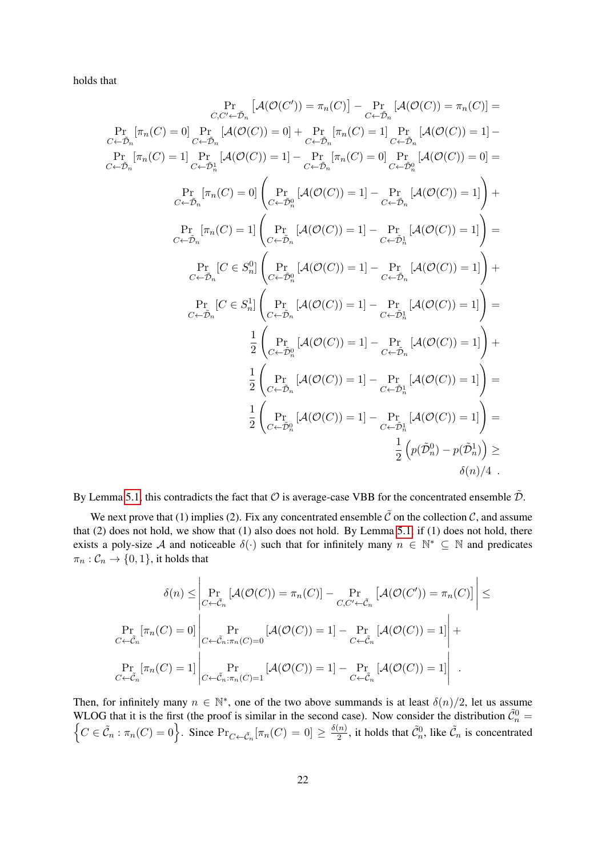holds that

$$
\Pr_{C,C'\leftarrow \hat{\mathcal{D}}_n} \left[ \mathcal{A}(\mathcal{O}(C')) = \pi_n(C) \right] - \Pr_{C\leftarrow \hat{\mathcal{D}}_n} \left[ \mathcal{A}(\mathcal{O}(C)) = \pi_n(C) \right] =
$$
\n
$$
\Pr_{C\leftarrow \hat{\mathcal{D}}_n} \left[ \pi_n(C) = 0 \right] \Pr_{C\leftarrow \hat{\mathcal{D}}_n} \left[ \mathcal{A}(\mathcal{O}(C')) = 0 \right] + \Pr_{C\leftarrow \hat{\mathcal{D}}_n} \left[ \pi_n(C) = 1 \right] \Pr_{C\leftarrow \hat{\mathcal{D}}_n} \left[ \mathcal{A}(\mathcal{O}(C)) = 1 \right] -
$$
\n
$$
\Pr_{C\leftarrow \hat{\mathcal{D}}_n} \left[ \pi_n(C) = 1 \right] \Pr_{C\leftarrow \hat{\mathcal{D}}_n} \left[ \mathcal{A}(\mathcal{O}(C')) = 1 \right] - \Pr_{C\leftarrow \hat{\mathcal{D}}_n} \left[ \mathcal{A}(\mathcal{O}(C)) = 0 \right] \Pr_{C\leftarrow \hat{\mathcal{D}}_n} \left[ \mathcal{A}(\mathcal{O}(C)) = 0 \right] =
$$
\n
$$
\Pr_{C\leftarrow \hat{\mathcal{D}}_n} \left[ \pi_n(C) = 0 \right] \left( \Pr_{C\leftarrow \hat{\mathcal{D}}_n} \left[ \mathcal{A}(\mathcal{O}(C)) = 1 \right] - \Pr_{C\leftarrow \hat{\mathcal{D}}_n} \left[ \mathcal{A}(\mathcal{O}(C)) = 1 \right] \right) +
$$
\n
$$
\Pr_{C\leftarrow \hat{\mathcal{D}}_n} \left[ \mathcal{C} \right] \left( \Pr_{C\leftarrow \hat{\mathcal{D}}_n} \left[ \mathcal{A}(\mathcal{O}(C)) = 1 \right] - \Pr_{C\leftarrow \hat{\mathcal{D}}_n} \left[ \mathcal{A}(\mathcal{O}(C)) = 1 \right] \right) +
$$
\n
$$
\Pr_{C\leftarrow \hat{\mathcal{D}}_n} \left[ C \in S_n^1 \right] \left( \Pr_{C\leftarrow \hat{\mathcal{D}}_n} \left[ \mathcal{A}(\mathcal{O}(C)) = 1 \right] - \
$$

By Lemma [5.1,](#page-18-3) this contradicts the fact that  $\hat{O}$  is average-case VBB for the concentrated ensemble  $\tilde{D}$ .

We next prove that (1) implies (2). Fix any concentrated ensemble  $\tilde{C}$  on the collection C, and assume that (2) does not hold, we show that (1) also does not hold. By Lemma [5.1,](#page-18-3) if (1) does not hold, there exists a poly-size A and noticeable  $\delta(\cdot)$  such that for infinitely many  $n \in \mathbb{N}^* \subseteq \mathbb{N}$  and predicates  $\pi_n : C_n \to \{0, 1\}$ , it holds that

$$
\delta(n) \leq \left| \Pr_{C \leftarrow \tilde{C}_n} [\mathcal{A}(\mathcal{O}(C)) = \pi_n(C)] - \Pr_{C, C' \leftarrow \tilde{C}_n} [\mathcal{A}(\mathcal{O}(C')) = \pi_n(C)] \right| \leq
$$
  

$$
\Pr_{C \leftarrow \tilde{C}_n} [\pi_n(C) = 0] \left| \Pr_{C \leftarrow \tilde{C}_n : \pi_n(C) = 0} [\mathcal{A}(\mathcal{O}(C)) = 1] - \Pr_{C \leftarrow \tilde{C}_n} [\mathcal{A}(\mathcal{O}(C)) = 1] \right| +
$$
  

$$
\Pr_{C \leftarrow \tilde{C}_n} [\pi_n(C) = 1] \left| \Pr_{C \leftarrow \tilde{C}_n : \pi_n(C) = 1} [\mathcal{A}(\mathcal{O}(C)) = 1] - \Pr_{C \leftarrow \tilde{C}_n} [\mathcal{A}(\mathcal{O}(C)) = 1] \right| \right|.
$$

Then, for infinitely many  $n \in \mathbb{N}^*$ , one of the two above summands is at least  $\delta(n)/2$ , let us assume WLOG that it is the first (the proof is similar in the second case). Now consider the distribution  $\tilde{C}_n^0 = \left\{ C \in \tilde{C}_n : \pi_n(C) = 0 \right\}$ . Since  $\Pr_{C \leftarrow \tilde{C}_n} [\pi_n(C) = 0] \ge \frac{\delta(n)}{2}$ , it holds that  $\tilde{C}_n^0$ , like  $\tilde$  $\frac{(n)}{2}$ , it holds that  $\tilde{\mathcal{C}}_n$ , like  $\tilde{\mathcal{C}}_n$  is concentrated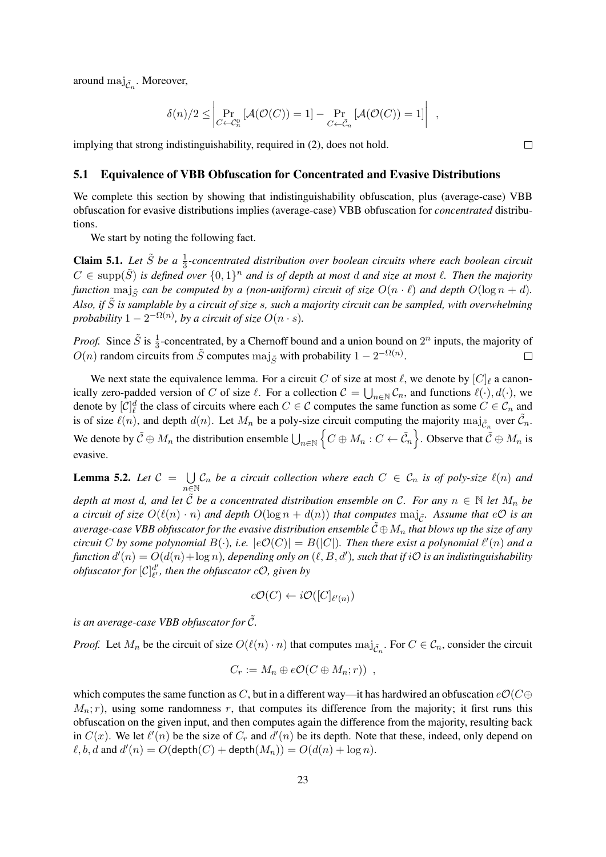around  $\text{maj}_{\tilde{\mathcal{C}}_n}$ . Moreover,

$$
\delta(n)/2 \leq \left| \Pr_{C \leftarrow C_n^0} \left[ \mathcal{A}(\mathcal{O}(C)) = 1 \right] - \Pr_{C \leftarrow \tilde{C}_n} \left[ \mathcal{A}(\mathcal{O}(C)) = 1 \right] \right| ,
$$

implying that strong indistinguishability, required in (2), does not hold.

#### <span id="page-22-0"></span>5.1 Equivalence of VBB Obfuscation for Concentrated and Evasive Distributions

We complete this section by showing that indistinguishability obfuscation, plus (average-case) VBB obfuscation for evasive distributions implies (average-case) VBB obfuscation for *concentrated* distributions.

We start by noting the following fact.

<span id="page-22-1"></span>**Claim 5.1.** Let  $\tilde{S}$  be a  $\frac{1}{3}$ -concentrated distribution over boolean circuits where each boolean circuit  $C \in \text{supp}(\tilde{S})$  is defined over  $\{0,1\}^n$  and is of depth at most d and size at most  $\ell$ . Then the majority *function* maj<sub> $\tilde{s}$ </sub> *can be computed by a (non-uniform) circuit of size*  $O(n \cdot \ell)$  *and depth*  $O(\log n + d)$ *. Also, if* S˜ *is samplable by a circuit of size* s*, such a majority circuit can be sampled, with overwhelming probability*  $1-2^{-\Omega(n)}$ , *by a circuit of size*  $O(n \cdot s)$ *.* 

*Proof.* Since  $\tilde{S}$  is  $\frac{1}{3}$ -concentrated, by a Chernoff bound and a union bound on  $2^n$  inputs, the majority of  $O(n)$  random circuits from  $\tilde{S}$  computes maj<sub> $\tilde{S}$ </sub> with probability  $1 - 2^{-\Omega(n)}$ .  $\Box$ 

We next state the equivalence lemma. For a circuit C of size at most  $\ell$ , we denote by  $[C]_\ell$  a canonically zero-padded version of C of size  $\ell$ . For a collection  $C = \bigcup_{n \in \mathbb{N}} C_n$ , and functions  $\ell(\cdot), d(\cdot)$ , we denote by  $[\mathcal{C}]_\ell^d$  the class of circuits where each  $C \in \mathcal{C}$  computes the same function as some  $C \in \mathcal{C}_n$  and is of size  $\ell(n)$ , and depth  $d(n)$ . Let  $M_n$  be a poly-size circuit computing the majority maj<sub> $\tilde{C}_n$ </sub> over  $\tilde{C}_n$ . We denote by  $\tilde{C} \oplus M_n$  the distribution ensemble  $\bigcup_{n\in\mathbb{N}} \left\{C \oplus M_n : C \leftarrow \tilde{C}_n\right\}$ . Observe that  $\tilde{C} \oplus M_n$  is evasive.

<span id="page-22-2"></span>**Lemma 5.2.** *Let*  $C = \bigcup$  $n\bar{\in}\mathbb{N}$  $\mathcal{C}_n$  *be a circuit collection where each*  $C \in \mathcal{C}_n$  *is of poly-size*  $\ell(n)$  *and depth at most d, and let* C *be a concentrated distribution ensemble on* C. For any  $n \in \mathbb{N}$  *let*  $M_n$  *be a circuit of size*  $O(\ell(n) \cdot n)$  *and depth*  $O(\log n + d(n))$  *that computes* maj<sub> $\tilde{C}$ *. Assume that*  $eO$  *is an*</sub> *average-case VBB obfuscator for the evasive distribution ensemble*  $\tilde{C} \oplus M_n$  *that blows up the size of any circuit* C by some polynomial  $B(\cdot)$ , i.e.  $|e\mathcal{O}(C)| = B(|C|)$ . Then there exist a polynomial  $\ell'(n)$  and a function  $d'(n) = O(d(n) + \log n)$ , depending only on  $(\ell, B, d')$ , such that if i $O$  is an indistinguishability *obfuscator for*  $\lbrack \mathcal{C}\rbrack^{d^{\prime}}_{\ell^{\prime}}$  $_{\ell'}^{\alpha'}$ , then the obfuscator cO, given by

$$
c\mathcal{O}(C) \leftarrow i\mathcal{O}([C]_{\ell'(n)})
$$

*is an average-case VBB obfuscator for*  $\tilde{C}$ *.* 

*Proof.* Let  $M_n$  be the circuit of size  $O(\ell(n) \cdot n)$  that computes maj<sub> $\tilde{C}_n$ </sub>. For  $C \in C_n$ , consider the circuit

$$
C_r := M_n \oplus e\mathcal{O}(C \oplus M_n; r)) ,
$$

which computes the same function as C, but in a different way—it has hardwired an obfuscation  $e\mathcal{O}(C\oplus$  $M_n; r$ ), using some randomness r, that computes its difference from the majority; it first runs this obfuscation on the given input, and then computes again the difference from the majority, resulting back in  $C(x)$ . We let  $\ell'(n)$  be the size of  $C_r$  and  $d'(n)$  be its depth. Note that these, indeed, only depend on  $\ell, b, d$  and  $d'(n) = O(\mathsf{depth}(C) + \mathsf{depth}(M_n)) = O(d(n) + \log n).$ 

 $\Box$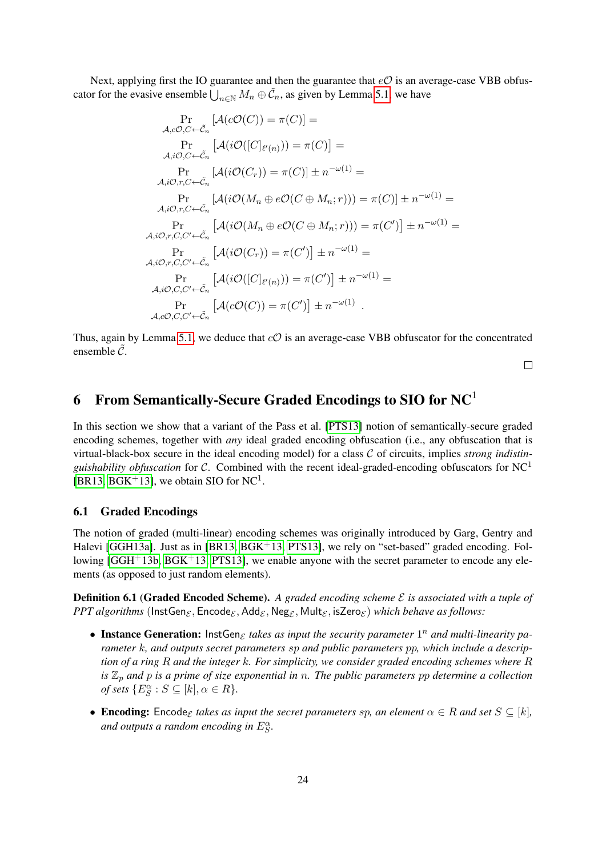Next, applying first the IO guarantee and then the guarantee that  $e\mathcal{O}$  is an average-case VBB obfuscator for the evasive ensemble  $\bigcup_{n\in\mathbb{N}} M_n \oplus \tilde{\mathcal{C}}_n$ , as given by Lemma [5.1,](#page-18-3) we have

$$
\Pr_{\mathcal{A},c\mathcal{O},C\leftarrow\tilde{\mathcal{C}}_n}[\mathcal{A}(c\mathcal{O}(C)) = \pi(C)] =
$$
\n
$$
\Pr_{\mathcal{A},i\mathcal{O},C\leftarrow\tilde{\mathcal{C}}_n}[\mathcal{A}(i\mathcal{O}([C]_{\ell'(n)})) = \pi(C)] =
$$
\n
$$
\Pr_{\mathcal{A},i\mathcal{O},r,C\leftarrow\tilde{\mathcal{C}}_n}[\mathcal{A}(i\mathcal{O}(C_r)) = \pi(C)] \pm n^{-\omega(1)} =
$$
\n
$$
\Pr_{\mathcal{A},i\mathcal{O},r,C\leftarrow\tilde{\mathcal{C}}_n}[\mathcal{A}(i\mathcal{O}(M_n \oplus e\mathcal{O}(C \oplus M_n; r))) = \pi(C)] \pm n^{-\omega(1)} =
$$
\n
$$
\Pr_{\mathcal{A},i\mathcal{O},r,C\leftarrow\tilde{\mathcal{C}}_n}[\mathcal{A}(i\mathcal{O}(M_n \oplus e\mathcal{O}(C \oplus M_n; r))) = \pi(C')] \pm n^{-\omega(1)} =
$$
\n
$$
\Pr_{\mathcal{A},i\mathcal{O},r,C\leftarrow\tilde{\mathcal{C}}_n}[\mathcal{A}(i\mathcal{O}(C_r)) = \pi(C')] \pm n^{-\omega(1)} =
$$
\n
$$
\Pr_{\mathcal{A},i\mathcal{O},r,C\leftarrow\tilde{\mathcal{C}}_n}[\mathcal{A}(i\mathcal{O}([C]_{\ell'(n)})) = \pi(C')] \pm n^{-\omega(1)} =
$$
\n
$$
\Pr_{\mathcal{A},c\mathcal{O},C\leftarrow\tilde{\mathcal{C}}_n}[\mathcal{A}(c\mathcal{O}(C)) = \pi(C')] \pm n^{-\omega(1)}.
$$

Thus, again by Lemma [5.1,](#page-18-3) we deduce that  $c\mathcal{O}$  is an average-case VBB obfuscator for the concentrated ensemble  $\tilde{C}$ .

 $\Box$ 

## <span id="page-23-0"></span>6 From Semantically-Secure Graded Encodings to SIO for  $NC<sup>1</sup>$

In this section we show that a variant of the Pass et al. [\[PTS13\]](#page-41-4) notion of semantically-secure graded encoding schemes, together with *any* ideal graded encoding obfuscation (i.e., any obfuscation that is virtual-black-box secure in the ideal encoding model) for a class C of circuits, implies *strong indistinguishability obfuscation* for C. Combined with the recent ideal-graded-encoding obfuscators for  $NC<sup>1</sup>$ [\[BR13,](#page-40-7) [BGK](#page-40-8)<sup>+</sup>13], we obtain SIO for NC<sup>1</sup>.

#### <span id="page-23-1"></span>6.1 Graded Encodings

The notion of graded (multi-linear) encoding schemes was originally introduced by Garg, Gentry and Halevi [\[GGH13a\]](#page-40-5). Just as in [\[BR13,](#page-40-7) [BGK](#page-40-8)<sup>+</sup>13, [PTS13\]](#page-41-4), we rely on "set-based" graded encoding. Following  $[GGH<sup>+</sup>13b, BGK<sup>+</sup>13, PTS13]$  $[GGH<sup>+</sup>13b, BGK<sup>+</sup>13, PTS13]$  $[GGH<sup>+</sup>13b, BGK<sup>+</sup>13, PTS13]$  $[GGH<sup>+</sup>13b, BGK<sup>+</sup>13, PTS13]$  $[GGH<sup>+</sup>13b, BGK<sup>+</sup>13, PTS13]$ , we enable anyone with the secret parameter to encode any elements (as opposed to just random elements).

Definition 6.1 (Graded Encoded Scheme). *A graded encoding scheme* E *is associated with a tuple of*  $PPT$   $algorithms$   $(\sf{InstGen}_{\cal E}, \sf{Encode}_{\cal E}, \sf{Add}_{\cal E}, \sf{Neg}_{\cal E}, \sf{Mult}_{\cal E}, \sf{isZero}_{\cal E})$  *which behave as follows:* 

- Instance Generation:  $\ln \frac{1}{\mathcal{E}}$  *takes as input the security parameter*  $1^n$  *and multi-linearity parameter* k*, and outputs secret parameters* sp *and public parameters* pp*, which include a description of a ring* R *and the integer* k*. For simplicity, we consider graded encoding schemes where* R *is* Z<sup>p</sup> *and* p *is a prime of size exponential in* n*. The public parameters* pp *determine a collection of sets*  $\{E_S^{\alpha}: S \subseteq [k], \alpha \in R\}.$
- **Encoding:** Encode<sub>E</sub> takes as input the secret parameters sp, an element  $\alpha \in R$  and set  $S \subseteq [k]$ , and outputs a random encoding in  $E_S^{\alpha}$ .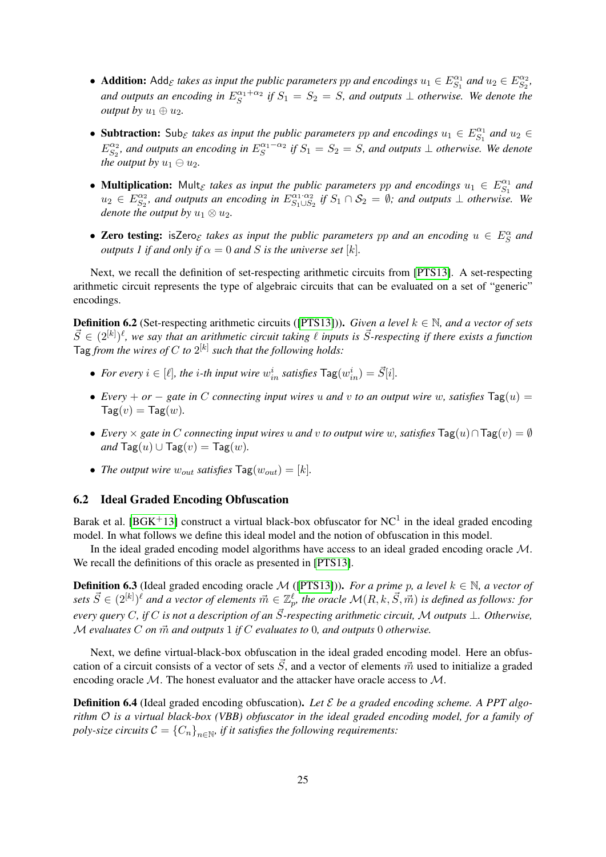- **Addition:** Add<sub>*E*</sub> takes as input the public parameters pp and encodings  $u_1 \in E_{S_1}^{\alpha_1}$  $S_1^{\alpha_1}$  and  $u_2 \in E_{S_2}^{\alpha_2}$  $S_2$ <sup>,</sup> and outputs an encoding in  $E_S^{\alpha_1+\alpha_2}$  if  $S_1 = S_2 = S$ , and outputs  $\perp$  otherwise. We denote the *output by*  $u_1 \oplus u_2$ *.*
- **Subtraction:** Sub<sub>E</sub> takes as input the public parameters pp and encodings  $u_1 \in E_{S_1}^{\alpha_1}$  $\int_{S_1}^{\alpha_1}$  and  $u_2 \in$  $E_{S_2}^{\alpha_2}$  $\frac{\alpha_2}{S_2}$ , and outputs an encoding in  $E_S^{\alpha_1-\alpha_2}$  if  $S_1=S_2=S$ , and outputs  $\perp$  otherwise. We denote *the output by*  $u_1 \ominus u_2$ .
- **Multiplication:** Mult<sub>E</sub> takes as input the public parameters pp and encodings  $u_1 \in E_{S_1}^{\alpha_1}$  $S_1^{\alpha_1}$  and  $u_2 \in E_{S_2}^{\alpha_2}$  $\frac{\alpha_2}{S_2}$ , and outputs an encoding in  $E_{S_1\cup S_2}^{\alpha_1\cdot\alpha_2}$  $S_1 \cup S_2$  *if*  $S_1 \cap S_2 = \emptyset$ *; and outputs* ⊥ *otherwise.* We *denote the output by*  $u_1 \otimes u_2$ *.*
- Zero testing: isZero<sub> $\varepsilon$ </sub> takes as input the public parameters pp and an encoding  $u \in E_S^{\alpha}$  and *outputs 1 if and only if*  $\alpha = 0$  *and S is the universe set* [k].

Next, we recall the definition of set-respecting arithmetic circuits from [\[PTS13\]](#page-41-4). A set-respecting arithmetic circuit represents the type of algebraic circuits that can be evaluated on a set of "generic" encodings.

<span id="page-24-3"></span>**Definition 6.2** (Set-respecting arithmetic circuits ([\[PTS13\]](#page-41-4))). *Given a level*  $k \in \mathbb{N}$ *, and a vector of sets*  $\vec{S} \in (2^{[k]})^{\ell}$ , we say that an arithmetic circuit taking  $\ell$  inputs is  $\vec{S}$ -respecting if there exists a function Tag *from the wires of*  $C$  to  $2^{[k]}$  such that the following holds:

- For every  $i \in [\ell]$ , the *i*-th input wire  $w_{in}^i$  satisfies  $\text{Tag}(w_{in}^i) = \vec{S}[i]$ .
- *Every* + *or* − *gate in* C *connecting input wires* u *and* v *to an output wire* w*, satisfies* Tag(u) =  $Tag(v) = Tag(w)$ .
- *Every*  $\times$  *gate in* C *connecting input wires* u *and* v *to output wire* w, *satisfies*  $\text{Tag}(u) \cap \text{Tag}(v) = \emptyset$ *and*  $\text{Tag}(u)$  ∪  $\text{Tag}(v) = \text{Tag}(w)$ .
- *The output wire*  $w_{out}$  *satisfies*  $\text{Tag}(w_{out}) = [k]$ *.*

#### <span id="page-24-0"></span>6.2 Ideal Graded Encoding Obfuscation

Barak et al. [\[BGK](#page-40-8)<sup>+</sup>13] construct a virtual black-box obfuscator for  $NC<sup>1</sup>$  in the ideal graded encoding model. In what follows we define this ideal model and the notion of obfuscation in this model.

In the ideal graded encoding model algorithms have access to an ideal graded encoding oracle M. We recall the definitions of this oracle as presented in [\[PTS13\]](#page-41-4).

<span id="page-24-1"></span>**Definition 6.3** (Ideal graded encoding oracle M ([\[PTS13\]](#page-41-4))). *For a prime p, a level*  $k \in \mathbb{N}$ , a vector of  $sets \ \vec{S} \in (2^{[k]})^{\ell}$  and a vector of elements  $\vec{m} \in \mathbb{Z}_p^\ell$ , the oracle  $\mathcal{M}(R,k,\vec{S},\vec{m})$  is defined as follows: for *every query* C*, if* C *is not a description of an* S~*-respecting arithmetic circuit,* M *outputs* ⊥*. Otherwise,*  $M$  *evaluates*  $C$  *on*  $\vec{m}$  *and outputs* 1 *if*  $C$  *evaluates to* 0*, and outputs* 0 *otherwise.* 

Next, we define virtual-black-box obfuscation in the ideal graded encoding model. Here an obfuscation of a circuit consists of a vector of sets  $\vec{S}$ , and a vector of elements  $\vec{m}$  used to initialize a graded encoding oracle  $M$ . The honest evaluator and the attacker have oracle access to  $M$ .

<span id="page-24-2"></span>**Definition 6.4** (Ideal graded encoding obfuscation). Let *E* be a graded encoding scheme. A PPT algo*rithm* O *is a virtual black-box (VBB) obfuscator in the ideal graded encoding model, for a family of*  $poly\text{-}size$  circuits  $\mathcal{C} = \left\{ C_n \right\}_{n\in\mathbb{N}}$ , if it satisfies the following requirements: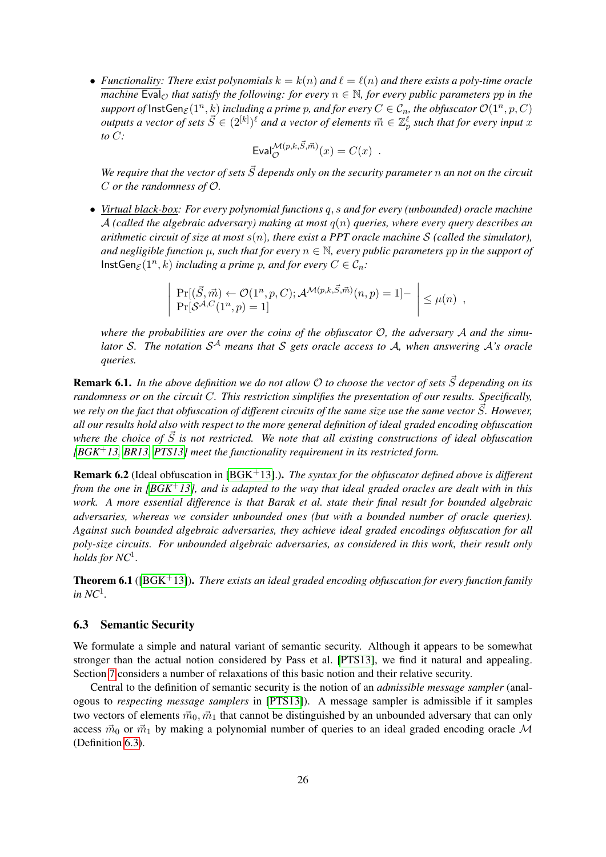• *Functionality: There exist polynomials*  $k = k(n)$  *and*  $\ell = \ell(n)$  *and there exists a poly-time oracle machine* Eval<sub> $\mathcal{O}$  *that satisfy the following: for every*  $n \in \mathbb{N}$ *, for every public parameters pp in the*</sub>  $s$ upport of  $\mathsf{InstGen}_{\mathcal{E}}(1^n, k)$  *including a prime p, and for every*  $C \in \mathcal{C}_n$ *, the obfuscator*  $\mathcal{O}(1^n, p, C)$ *outputs a vector of sets*  $\vec{S} \in (2^{[k]})^{\ell}$  *and a vector of elements*  $\vec{m} \in \mathbb{Z}_p^{\ell}$  *such that for every input* x *to* C*:*

$$
\mathsf{Eval}^{\mathcal{M}(p,k,\vec{S},\vec{m})}_{\mathcal{O}}(x) = C(x) .
$$

*We require that the vector of sets*  $\vec{S}$  *depends only on the security parameter* n *an not on the circuit* C *or the randomness of* O*.*

• *Virtual black-box: For every polynomial functions* q, s *and for every (unbounded) oracle machine* A *(called the algebraic adversary) making at most* q(n) *queries, where every query describes an arithmetic circuit of size at most*  $s(n)$ *, there exist a PPT oracle machine* S *(called the simulator)*, *and negligible function*  $\mu$ , such that for every  $n \in \mathbb{N}$ , every public parameters pp in the support of  $\textsf{InstGen}_{\mathcal{E}}(1^n, k)$  *including a prime p, and for every*  $C \in \mathcal{C}_n$ *:* 

$$
\Pr[(\vec{S}, \vec{m}) \leftarrow \mathcal{O}(1^n, p, C); \mathcal{A}^{\mathcal{M}(p,k, \vec{S}, \vec{m})}(n, p) = 1] - \left| \leq \mu(n) , \Pr[\mathcal{S}^{\mathcal{A}, C}(1^n, p) = 1] \right|
$$

*where the probabilities are over the coins of the obfuscator* O*, the adversary* A *and the simulator* S*. The notation* S <sup>A</sup> *means that* S *gets oracle access to* A*, when answering* A*'s oracle queries.*

<span id="page-25-2"></span>**Remark 6.1.** *In the above definition we do not allow*  $O$  *to choose the vector of sets*  $\vec{S}$  *depending on its randomness or on the circuit* C*. This restriction simplifies the presentation of our results. Specifically, we rely on the fact that obfuscation of different circuits of the same size use the same vector* S<sup>*.*</sup> However, *all our results hold also with respect to the more general definition of ideal graded encoding obfuscation where the choice of*  $\vec{S}$  *is not restricted. We note that all existing constructions of ideal obfuscation [\[BGK](#page-40-8)*+*13, [BR13,](#page-40-7) [PTS13\]](#page-41-4) meet the functionality requirement in its restricted form.*

Remark 6.2 (Ideal obfuscation in [\[BGK](#page-40-8)+13].). *The syntax for the obfuscator defined above is different from the one in [\[BGK](#page-40-8)*+*13], and is adapted to the way that ideal graded oracles are dealt with in this work. A more essential difference is that Barak et al. state their final result for bounded algebraic adversaries, whereas we consider unbounded ones (but with a bounded number of oracle queries). Against such bounded algebraic adversaries, they achieve ideal graded encodings obfuscation for all poly-size circuits. For unbounded algebraic adversaries, as considered in this work, their result only holds for NC*<sup>1</sup> *.*

<span id="page-25-1"></span>Theorem 6.1 ([\[BGK](#page-40-8)+13]). *There exists an ideal graded encoding obfuscation for every function family*  $in NC<sup>1</sup>$ .

#### <span id="page-25-0"></span>6.3 Semantic Security

 $\bigg\}$  $\bigg\}$  $\Big\}$  $\bigg\}$  $\begin{array}{c} \hline \end{array}$ 

We formulate a simple and natural variant of semantic security. Although it appears to be somewhat stronger than the actual notion considered by Pass et al. [\[PTS13\]](#page-41-4), we find it natural and appealing. Section [7](#page-29-0) considers a number of relaxations of this basic notion and their relative security.

Central to the definition of semantic security is the notion of an *admissible message sampler* (analogous to *respecting message samplers* in [\[PTS13\]](#page-41-4)). A message sampler is admissible if it samples two vectors of elements  $\vec{m}_0$ ,  $\vec{m}_1$  that cannot be distinguished by an unbounded adversary that can only access  $\vec{m}_0$  or  $\vec{m}_1$  by making a polynomial number of queries to an ideal graded encoding oracle M (Definition [6.3\)](#page-24-1).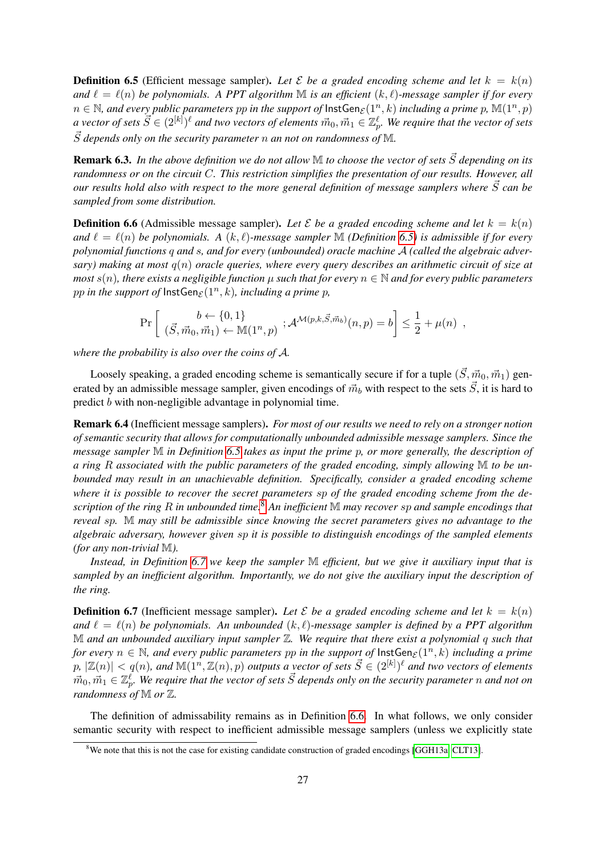<span id="page-26-1"></span>**Definition 6.5** (Efficient message sampler). Let  $\mathcal E$  be a graded encoding scheme and let  $k = k(n)$ *and*  $\ell = \ell(n)$  *be polynomials. A PPT algorithm* M *is an efficient*  $(k, \ell)$ *-message sampler if for every*  $n \in \mathbb{N}$ , and every public parameters  $pp$  in the support of  $\mathsf{InstGen}_{\mathcal{E}}(1^n, k)$  including a prime  $p$ ,  $\mathbb{M}(1^n, p)$ a vector of sets  $\vec{S} \in (2^{[k]})^{\ell}$  and two vectors of elements  $\vec{m}_0, \vec{m}_1 \in \mathbb{Z}_p^\ell$ . We require that the vector of sets  $\vec{S}$  *depends only on the security parameter* n *an not on randomness of* M.

<span id="page-26-5"></span>**Remark 6.3.** In the above definition we do not allow  $\mathbb{M}$  to choose the vector of sets  $\vec{S}$  depending on its *randomness or on the circuit* C*. This restriction simplifies the presentation of our results. However, all our results hold also with respect to the more general definition of message samplers where*  $\vec{S}$  *can be sampled from some distribution.*

<span id="page-26-4"></span>**Definition 6.6** (Admissible message sampler). Let  $\mathcal E$  be a graded encoding scheme and let  $k = k(n)$ *and*  $\ell = \ell(n)$  *be polynomials.* A  $(k, \ell)$ -message sampler M *(Definition* [6.5\)](#page-26-1) *is admissible if for every polynomial functions* q *and* s*, and for every (unbounded) oracle machine* A *(called the algebraic adversary) making at most* q(n) *oracle queries, where every query describes an arithmetic circuit of size at most*  $s(n)$ *, there exists a negligible function*  $\mu$  *such that for every*  $n \in \mathbb{N}$  *and for every public parameters*  $pp$  in the support of  $\mathsf{InstGen}_{\mathcal{E}}(1^n, k)$ , including a prime  $p$ ,

$$
\Pr\left[\begin{array}{cc}b \leftarrow \{0,1\} & \mathcal{A}^{\mathcal{M}(p,k,\vec{S},\vec{m}_b)}(n,p) = b\end{array}\right] \leq \frac{1}{2} + \mu(n) ,
$$

*where the probability is also over the coins of* A*.*

Loosely speaking, a graded encoding scheme is semantically secure if for a tuple  $(\vec{S}, \vec{m}_0, \vec{m}_1)$  generated by an admissible message sampler, given encodings of  $\vec{m}_b$  with respect to the sets  $\vec{S}$ , it is hard to predict b with non-negligible advantage in polynomial time.

<span id="page-26-0"></span>Remark 6.4 (Inefficient message samplers). *For most of our results we need to rely on a stronger notion of semantic security that allows for computationally unbounded admissible message samplers. Since the message sampler* M *in Definition [6.5](#page-26-1) takes as input the prime* p*, or more generally, the description of a ring* R *associated with the public parameters of the graded encoding, simply allowing* M *to be unbounded may result in an unachievable definition. Specifically, consider a graded encoding scheme where it is possible to recover the secret parameters* sp *of the graded encoding scheme from the description of the ring* R *in unbounded time.*[8](#page-26-2) *An inefficient* M *may recover* sp *and sample encodings that reveal* sp*.* M *may still be admissible since knowing the secret parameters gives no advantage to the algebraic adversary, however given* sp *it is possible to distinguish encodings of the sampled elements (for any non-trivial* M*).*

*Instead, in Definition [6.7](#page-26-3) we keep the sampler* M *efficient, but we give it auxiliary input that is sampled by an inefficient algorithm. Importantly, we do not give the auxiliary input the description of the ring.*

<span id="page-26-3"></span>**Definition 6.7** (Inefficient message sampler). Let  $\mathcal E$  be a graded encoding scheme and let  $k = k(n)$ *and*  $\ell = \ell(n)$  *be polynomials. An unbounded*  $(k, \ell)$ *-message sampler is defined by a PPT algorithm* M *and an unbounded auxiliary input sampler* Z*. We require that there exist a polynomial* q *such that*  $for\ every\ n\in\mathbb{N}$ , and every public parameters  $pp$  in the support of  $\mathsf{InstGen}_{\mathcal{E}}(1^n, k)$  including a prime  $p, \,|\mathbb{Z}(n)| < q(n)$ , and  $\mathbb{M}(1^n,\mathbb{Z}(n),p)$  outputs a vector of sets  $\vec{S} \in (2^{[k]})^{\ell}$  and two vectors of elements  $\vec{m}_0,\vec{m}_1\in\mathbb{Z}_p^\ell.$  We require that the vector of sets  $\vec{S}$  depends only on the security parameter  $n$  and not on *randomness of* M *or* Z*.*

The definition of admissability remains as in Definition [6.6.](#page-26-4) In what follows, we only consider semantic security with respect to inefficient admissible message samplers (unless we explicitly state

<span id="page-26-2"></span><sup>&</sup>lt;sup>8</sup>We note that this is not the case for existing candidate construction of graded encodings [\[GGH13a,](#page-40-5) [CLT13\]](#page-40-6).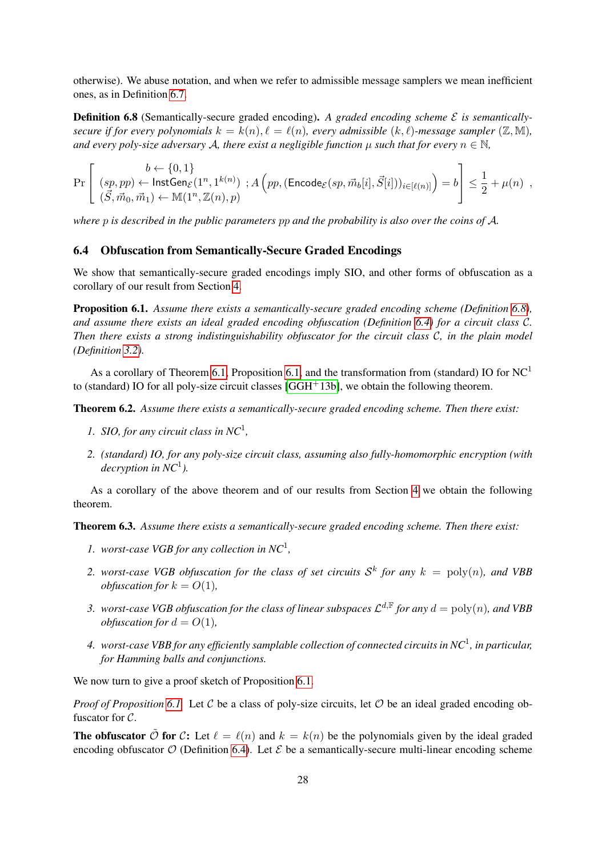otherwise). We abuse notation, and when we refer to admissible message samplers we mean inefficient ones, as in Definition [6.7.](#page-26-3)

<span id="page-27-1"></span>**Definition 6.8** (Semantically-secure graded encoding). A graded encoding scheme *ε* is semantically*secure if for every polynomials*  $k = k(n)$ ,  $\ell = \ell(n)$ *, every admissible*  $(k, \ell)$ *-message sampler* (Z, M), *and every poly-size adversary* A, there exist a negligible function  $\mu$  such that for every  $n \in \mathbb{N}$ ,

$$
\Pr\left[\begin{array}{c}b \leftarrow \{0,1\} \\ (sp,pp) \leftarrow \text{InstGen}_{\mathcal{E}}(1^n,1^{k(n)}) \end{array}; A\left(pp,(\text{Encode}_{\mathcal{E}}(sp,\vec{m}_b[i],\vec{S}[i]))_{i\in[\ell(n)]}\right) = b\right] \leq \frac{1}{2} + \mu(n) ,
$$
  

$$
(\vec{S},\vec{m}_0,\vec{m}_1) \leftarrow \mathbb{M}(1^n,\mathbb{Z}(n),p)
$$

*where* p *is described in the public parameters* pp *and the probability is also over the coins of* A*.*

#### <span id="page-27-0"></span>6.4 Obfuscation from Semantically-Secure Graded Encodings

We show that semantically-secure graded encodings imply SIO, and other forms of obfuscation as a corollary of our result from Section [4.](#page-12-0)

<span id="page-27-2"></span>Proposition 6.1. *Assume there exists a semantically-secure graded encoding scheme (Definition [6.8\)](#page-27-1), and assume there exists an ideal graded encoding obfuscation (Definition [6.4\)](#page-24-2) for a circuit class* C*. Then there exists a strong indistinguishability obfuscator for the circuit class* C*, in the plain model (Definition [3.2\)](#page-11-1).*

As a corollary of Theorem [6.1,](#page-27-2) Proposition 6.1, and the transformation from (standard) IO for  $NC<sup>1</sup>$ to (standard) IO for all poly-size circuit classes  $[GGH<sup>+</sup>13b]$  $[GGH<sup>+</sup>13b]$ , we obtain the following theorem.

<span id="page-27-3"></span>Theorem 6.2. *Assume there exists a semantically-secure graded encoding scheme. Then there exist:*

- *1. SIO, for any circuit class in NC*<sup>1</sup> *,*
- *2. (standard) IO, for any poly-size circuit class, assuming also fully-homomorphic encryption (with decryption in NC*<sup>1</sup> *).*

As a corollary of the above theorem and of our results from Section [4](#page-12-0) we obtain the following theorem.

Theorem 6.3. *Assume there exists a semantically-secure graded encoding scheme. Then there exist:*

- *1. worst-case VGB for any collection in NC*<sup>1</sup> *,*
- 2. worst-case VGB obfuscation for the class of set circuits  $\mathcal{S}^k$  for any  $k = \text{poly}(n)$ , and VBB *obfuscation for*  $k = O(1)$ ,
- 3. worst-case VGB obfuscation for the class of linear subspaces  $\mathcal{L}^{d,\mathbb{F}}$  for any  $d = \text{poly}(n)$ , and VBB *obfuscation for*  $d = O(1)$ ,
- *4. worst-case VBB for any efficiently samplable collection of connected circuits in NC*<sup>1</sup> *, in particular, for Hamming balls and conjunctions.*

We now turn to give a proof sketch of Proposition [6.1.](#page-27-2)

*Proof of Proposition* [6.1.](#page-27-2) Let C be a class of poly-size circuits, let O be an ideal graded encoding obfuscator for C.

**The obfuscator**  $\tilde{\mathcal{O}}$  for C: Let  $\ell = \ell(n)$  and  $k = k(n)$  be the polynomials given by the ideal graded encoding obfuscator  $O$  (Definition [6.4\)](#page-24-2). Let  $\mathcal E$  be a semantically-secure multi-linear encoding scheme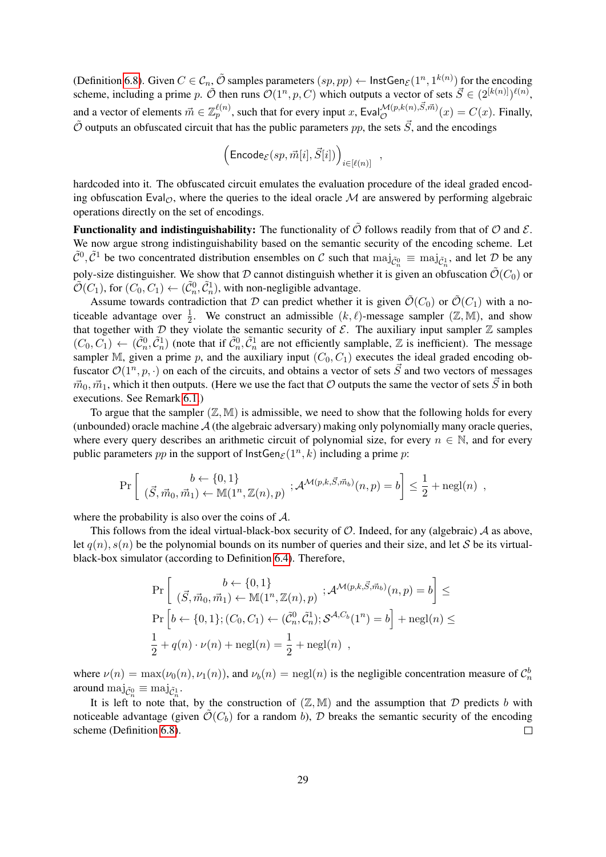(Definition [6.8\)](#page-27-1). Given  $C \in \mathcal{C}_n$ ,  $\tilde{\mathcal{O}}$  samples parameters  $(sp, pp) \leftarrow$  InstGen $_{\mathcal{E}}(1^n, 1^{k(n)})$  for the encoding scheme, including a prime p.  $\tilde{\mathcal{O}}$  then runs  $\mathcal{O}(1^n, p, C)$  which outputs a vector of sets  $\vec{S} \in (2^{[k(n)]})^{\ell(n)}$ , and a vector of elements  $\vec{m} \in \mathbb{Z}_p^{\ell(n)}$ , such that for every input x,  $\text{Eval}_{\mathcal{O}}^{\mathcal{M}(p,k(n),\vec{S},\vec{m})}(x) = C(x)$ . Finally,  $\tilde{O}$  outputs an obfuscated circuit that has the public parameters pp, the sets  $\vec{S}$ , and the encodings

$$
\left(\mathsf{Encode}_{\mathcal{E}}(\mathit{sp},\vec{m}[i],\vec{S}[i])\right)_{i\in [\ell(n)]}
$$

,

hardcoded into it. The obfuscated circuit emulates the evaluation procedure of the ideal graded encoding obfuscation Eval<sub> $\varphi$ </sub>, where the queries to the ideal oracle M are answered by performing algebraic operations directly on the set of encodings.

**Functionality and indistinguishability:** The functionality of  $\tilde{\mathcal{O}}$  follows readily from that of  $\mathcal{O}$  and  $\mathcal{E}$ . We now argue strong indistinguishability based on the semantic security of the encoding scheme. Let  $\tilde{C}^0$ ,  $\tilde{C}^1$  be two concentrated distribution ensembles on C such that  $maj_{\tilde{C}_n^0} \equiv maj_{\tilde{C}_n^1}$ , and let D be any poly-size distinguisher. We show that D cannot distinguish whether it is given an obfuscation  $\tilde{\mathcal{O}}(C_0)$  or  $\widetilde{\mathcal{O}}(C_1)$ , for  $(C_0, C_1) \leftarrow (\widetilde{\mathcal{C}}_n^0, \widetilde{\mathcal{C}}_n^1)$ , with non-negligible advantage.

Assume towards contradiction that D can predict whether it is given  $\tilde{\mathcal{O}}(C_0)$  or  $\tilde{\mathcal{O}}(C_1)$  with a noticeable advantage over  $\frac{1}{2}$ . We construct an admissible  $(k, \ell)$ -message sampler  $(\mathbb{Z}, \mathbb{M})$ , and show that together with D they violate the semantic security of  $\mathcal{E}$ . The auxiliary input sampler  $\mathbb Z$  samples  $(C_0, C_1) \leftarrow (\tilde{C}_n^0, \tilde{C}_n^1)$  (note that if  $\tilde{C}_n^0, \tilde{C}_n^1$  are not efficiently samplable,  $\mathbb Z$  is inefficient). The message sampler M, given a prime p, and the auxiliary input  $(C_0, C_1)$  executes the ideal graded encoding obfuscator  $\mathcal{O}(1^n, p, \cdot)$  on each of the circuits, and obtains a vector of sets  $\vec{S}$  and two vectors of messages  $\vec{m}_0$ ,  $\vec{m}_1$ , which it then outputs. (Here we use the fact that O outputs the same the vector of sets  $\vec{S}$  in both executions. See Remark [6.1.](#page-25-2))

To argue that the sampler  $(\mathbb{Z}, \mathbb{M})$  is admissible, we need to show that the following holds for every (unbounded) oracle machine  $A$  (the algebraic adversary) making only polynomially many oracle queries, where every query describes an arithmetic circuit of polynomial size, for every  $n \in \mathbb{N}$ , and for every public parameters  $pp$  in the support of  $\mathsf{InstGen}_{\mathcal{E}}(1^n, k)$  including a prime  $p$ :

$$
\Pr\left[\begin{array}{cc}b \leftarrow \{0,1\} & \mathcal{A}^{(p,k,\vec{S},\vec{m}_b)}(n,p) \end{array} \right] \leq \frac{1}{2} + \operatorname{negl}(n) ,
$$

where the probability is also over the coins of  $A$ .

This follows from the ideal virtual-black-box security of  $\mathcal O$ . Indeed, for any (algebraic)  $\mathcal A$  as above, let  $q(n)$ ,  $s(n)$  be the polynomial bounds on its number of queries and their size, and let S be its virtualblack-box simulator (according to Definition [6.4\)](#page-24-2). Therefore,

$$
\Pr\left[\begin{array}{c}b \leftarrow \{0,1\}\\(\vec{S}, \vec{m}_0, \vec{m}_1) \leftarrow \mathbb{M}(1^n, \mathbb{Z}(n), p) \end{array} ; \mathcal{A}^{\mathcal{M}(p,k,\vec{S},\vec{m}_b)}(n, p) = b\right] \le
$$
\n
$$
\Pr\left[b \leftarrow \{0,1\}; (C_0, C_1) \leftarrow (\tilde{\mathcal{C}}_n^0, \tilde{\mathcal{C}}_n^1); \mathcal{S}^{\mathcal{A},C_b}(1^n) = b\right] + \text{negl}(n) \le
$$
\n
$$
\frac{1}{2} + q(n) \cdot \nu(n) + \text{negl}(n) = \frac{1}{2} + \text{negl}(n) ,
$$

where  $\nu(n) = \max(\nu_0(n), \nu_1(n))$ , and  $\nu_b(n) = \text{negl}(n)$  is the negligible concentration measure of  $\mathcal{C}_n^b$ around  $\text{maj}_{\tilde{C}_n^0} \equiv \text{maj}_{\tilde{C}_n^1}$ .

It is left to note that, by the construction of  $(\mathbb{Z}, \mathbb{M})$  and the assumption that D predicts b with noticeable advantage (given  $\mathcal{O}(C_b)$ ) for a random b), D breaks the semantic security of the encoding scheme (Definition [6.8\)](#page-27-1).  $\Box$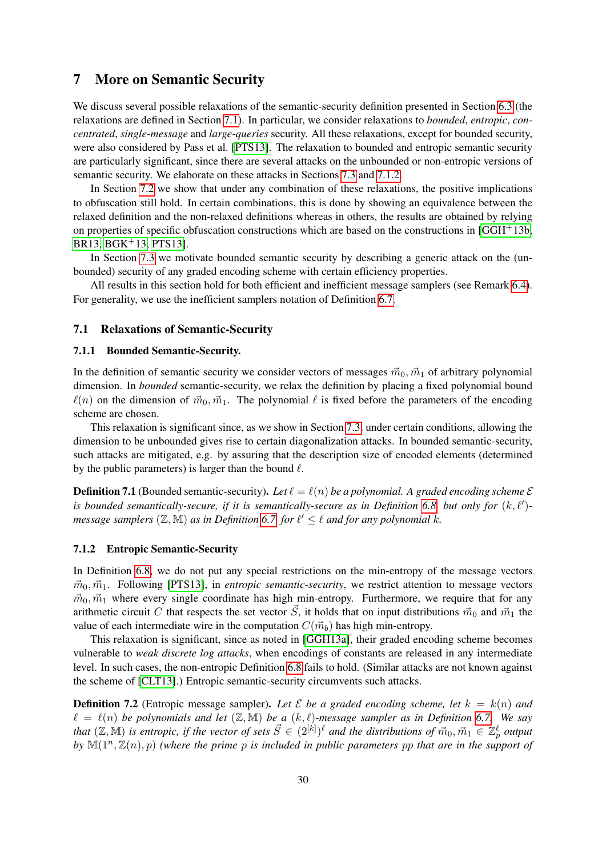## <span id="page-29-0"></span>7 More on Semantic Security

We discuss several possible relaxations of the semantic-security definition presented in Section [6.3](#page-25-0) (the relaxations are defined in Section [7.1\)](#page-29-1). In particular, we consider relaxations to *bounded*, *entropic*, *concentrated*, *single-message* and *large-queries* security. All these relaxations, except for bounded security, were also considered by Pass et al. [\[PTS13\]](#page-41-4). The relaxation to bounded and entropic semantic security are particularly significant, since there are several attacks on the unbounded or non-entropic versions of semantic security. We elaborate on these attacks in Sections [7.3](#page-35-0) and [7.1.2.](#page-29-3)

In Section [7.2](#page-31-1) we show that under any combination of these relaxations, the positive implications to obfuscation still hold. In certain combinations, this is done by showing an equivalence between the relaxed definition and the non-relaxed definitions whereas in others, the results are obtained by relying on properties of specific obfuscation constructions which are based on the constructions in  $[GGH^+13b,$  $[GGH^+13b,$ [BR13,](#page-40-7) [BGK](#page-40-8)+13, [PTS13\]](#page-41-4).

In Section [7.3](#page-35-0) we motivate bounded semantic security by describing a generic attack on the (unbounded) security of any graded encoding scheme with certain efficiency properties.

All results in this section hold for both efficient and inefficient message samplers (see Remark [6.4\)](#page-26-0). For generality, we use the inefficient samplers notation of Definition [6.7.](#page-26-3)

#### <span id="page-29-1"></span>7.1 Relaxations of Semantic-Security

#### <span id="page-29-2"></span>7.1.1 Bounded Semantic-Security.

In the definition of semantic security we consider vectors of messages  $\vec{m}_0$ ,  $\vec{m}_1$  of arbitrary polynomial dimension. In *bounded* semantic-security, we relax the definition by placing a fixed polynomial bound  $\ell(n)$  on the dimension of  $\vec{m}_0, \vec{m}_1$ . The polynomial  $\ell$  is fixed before the parameters of the encoding scheme are chosen.

This relaxation is significant since, as we show in Section [7.3,](#page-35-0) under certain conditions, allowing the dimension to be unbounded gives rise to certain diagonalization attacks. In bounded semantic-security, such attacks are mitigated, e.g. by assuring that the description size of encoded elements (determined by the public parameters) is larger than the bound  $\ell$ .

<span id="page-29-4"></span>**Definition 7.1** (Bounded semantic-security). Let  $\ell = \ell(n)$  be a polynomial. A graded encoding scheme  $\mathcal E$ is bounded semantically-secure, if it is semantically-secure as in Definition [6.8,](#page-27-1) but only for  $(k, \ell')$ *message samplers*  $(\mathbb{Z}, \mathbb{M})$  *as in Definition* [6.7,](#page-26-3) *for*  $\ell' \leq \ell$  *and for any polynomial*  $k$ *.* 

#### <span id="page-29-3"></span>7.1.2 Entropic Semantic-Security

In Definition [6.8,](#page-27-1) we do not put any special restrictions on the min-entropy of the message vectors  $\vec{m}_0$ ,  $\vec{m}_1$ . Following [\[PTS13\]](#page-41-4), in *entropic semantic-security*, we restrict attention to message vectors  $\vec{m}_0$ ,  $\vec{m}_1$  where every single coordinate has high min-entropy. Furthermore, we require that for any arithmetic circuit C that respects the set vector  $\vec{S}$ , it holds that on input distributions  $\vec{m}_0$  and  $\vec{m}_1$  the value of each intermediate wire in the computation  $C(\vec{m}_b)$  has high min-entropy.

This relaxation is significant, since as noted in [\[GGH13a\]](#page-40-5), their graded encoding scheme becomes vulnerable to *weak discrete log attacks*, when encodings of constants are released in any intermediate level. In such cases, the non-entropic Definition [6.8](#page-27-1) fails to hold. (Similar attacks are not known against the scheme of [\[CLT13\]](#page-40-6).) Entropic semantic-security circumvents such attacks.

**Definition 7.2** (Entropic message sampler). Let  $\mathcal{E}$  be a graded encoding scheme, let  $k = k(n)$  and  $\ell = \ell(n)$  *be polynomials and let*  $(\mathbb{Z}, \mathbb{M})$  *be a*  $(k, \ell)$ *-message sampler as in Definition* [6.7.](#page-26-3) *We say* that  $(\mathbb{Z}, \mathbb{M})$  is entropic, if the vector of sets  $\vec{S} \in (2^{[k]})^{\ell}$  and the distributions of  $\vec{m}_0, \vec{m}_1 \in \mathbb{Z}_p^\ell$  output by  $\mathbb{M}(1^n, \mathbb{Z}(n), p)$  *(where the prime p is included in public parameters pp that are in the support of*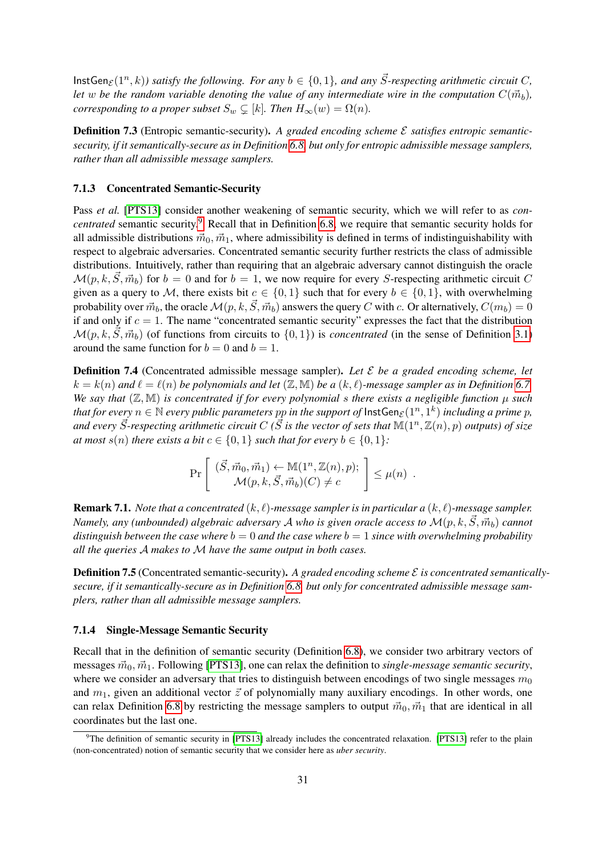$\textsf{InstGen}_{\mathcal{E}}(1^n, k)$ *) satisfy the following. For any*  $b \in \{0, 1\}$ *, and any*  $\vec{S}$ -respecting arithmetic circuit C, *let* w be the random variable denoting the value of any intermediate wire in the computation  $C(\vec{m}_b)$ , *corresponding to a proper subset*  $S_w \subsetneq [k]$ *. Then*  $H_\infty(w) = \Omega(n)$ *.* 

Definition 7.3 (Entropic semantic-security). *A graded encoding scheme* E *satisfies entropic semanticsecurity, if it semantically-secure as in Definition [6.8,](#page-27-1) but only for entropic admissible message samplers, rather than all admissible message samplers.*

#### <span id="page-30-0"></span>7.1.3 Concentrated Semantic-Security

Pass *et al.* [\[PTS13\]](#page-41-4) consider another weakening of semantic security, which we will refer to as *concentrated* semantic security.<sup>[9](#page-30-2)</sup> Recall that in Definition [6.8,](#page-27-1) we require that semantic security holds for all admissible distributions  $\vec{m}_0, \vec{m}_1$ , where admissibility is defined in terms of indistinguishability with respect to algebraic adversaries. Concentrated semantic security further restricts the class of admissible distributions. Intuitively, rather than requiring that an algebraic adversary cannot distinguish the oracle  $\mathcal{M}(p, k, \vec{S}, \vec{m}_b)$  for  $b = 0$  and for  $b = 1$ , we now require for every S-respecting arithmetic circuit C given as a query to M, there exists bit  $c \in \{0, 1\}$  such that for every  $b \in \{0, 1\}$ , with overwhelming probability over  $\vec{m}_b$ , the oracle  $\mathcal{M}(p,k,\vec{S},\vec{m}_b)$  answers the query  $C$  with c. Or alternatively,  $C(m_b) = 0$ if and only if  $c = 1$ . The name "concentrated semantic security" expresses the fact that the distribution  $\mathcal{M}(p, k, \vec{S}, \vec{m}_b)$  (of functions from circuits to  $\{0, 1\}$ ) is *concentrated* (in the sense of Definition [3.1\)](#page-11-2) around the same function for  $b = 0$  and  $b = 1$ .

<span id="page-30-3"></span>Definition 7.4 (Concentrated admissible message sampler). *Let* E *be a graded encoding scheme, let*  $k = k(n)$  and  $\ell = \ell(n)$  be polynomials and let  $(\mathbb{Z}, \mathbb{M})$  be a  $(k, \ell)$ -message sampler as in Definition [6.7.](#page-26-3) *We say that*  $(\mathbb{Z}, \mathbb{M})$  *is concentrated if for every polynomial s there exists a negligible function*  $\mu$  *such* that for every  $n \in \mathbb{N}$  every public parameters  $pp$  in the support of  $\mathsf{InstGen}_{\mathcal{E}}(1^n,1^k)$  including a prime  $p$ , and every  $\vec{S}$ -respecting arithmetic circuit C ( $\vec{S}$  is the vector of sets that  $\mathbb{M}(1^n, \mathbb{Z}(n), p)$  outputs) of size *at most*  $s(n)$  *there exists a bit*  $c \in \{0, 1\}$  *such that for every*  $b \in \{0, 1\}$ *:* 

$$
\Pr\left[\begin{array}{c}(\vec{S}, \vec{m}_0, \vec{m}_1) \leftarrow \mathbb{M}(1^n, \mathbb{Z}(n), p);\ \mathcal{M}(p, k, \vec{S}, \vec{m}_b)(C) \neq c\end{array}\right] \leq \mu(n) .
$$

**Remark 7.1.** *Note that a concentrated*  $(k, \ell)$ -message sampler is in particular a  $(k, \ell)$ -message sampler. *Namely, any (unbounded) algebraic adversary A who is given oracle access to*  $\mathcal{M}(p,k,\vec{S},\vec{m}_b)$  *cannot distinguish between the case where*  $b = 0$  *and the case where*  $b = 1$  *since with overwhelming probability all the queries* A *makes to* M *have the same output in both cases.*

Definition 7.5 (Concentrated semantic-security). A graded encoding scheme *ε is concentrated semanticallysecure, if it semantically-secure as in Definition [6.8,](#page-27-1) but only for concentrated admissible message samplers, rather than all admissible message samplers.*

#### <span id="page-30-1"></span>7.1.4 Single-Message Semantic Security

Recall that in the definition of semantic security (Definition [6.8\)](#page-27-1), we consider two arbitrary vectors of messages  $\vec{m}_0$ ,  $\vec{m}_1$ . Following [\[PTS13\]](#page-41-4), one can relax the definition to *single-message semantic security*, where we consider an adversary that tries to distinguish between encodings of two single messages  $m_0$ and  $m_1$ , given an additional vector  $\vec{z}$  of polynomially many auxiliary encodings. In other words, one can relax Definition [6.8](#page-27-1) by restricting the message samplers to output  $\vec{m}_0$ ,  $\vec{m}_1$  that are identical in all coordinates but the last one.

<span id="page-30-2"></span> $9$ The definition of semantic security in [\[PTS13\]](#page-41-4) already includes the concentrated relaxation. [PTS13] refer to the plain (non-concentrated) notion of semantic security that we consider here as *uber security*.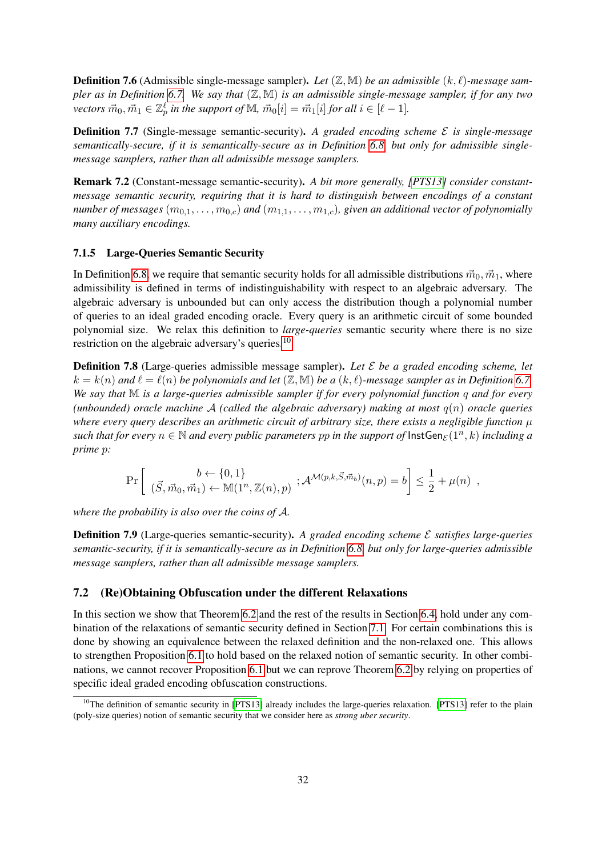<span id="page-31-4"></span>**Definition 7.6** (Admissible single-message sampler). Let  $(\mathbb{Z}, \mathbb{M})$  be an admissible  $(k, \ell)$ -message sam*pler as in Definition [6.7.](#page-26-3) We say that* (Z, M) *is an admissible single-message sampler, if for any two vectors*  $\vec{m}_0, \vec{m}_1 \in \mathbb{Z}_p^\ell$  in the support of  $M$ ,  $\vec{m}_0[i] = \vec{m}_1[i]$  for all  $i \in [\ell - 1]$ .

<span id="page-31-3"></span>Definition 7.7 (Single-message semantic-security). *A graded encoding scheme* E *is single-message semantically-secure, if it is semantically-secure as in Definition [6.8,](#page-27-1) but only for admissible singlemessage samplers, rather than all admissible message samplers.*

Remark 7.2 (Constant-message semantic-security). *A bit more generally, [\[PTS13\]](#page-41-4) consider constantmessage semantic security, requiring that it is hard to distinguish between encodings of a constant number of messages*  $(m_{0,1}, \ldots, m_{0,c})$  *and*  $(m_{1,1}, \ldots, m_{1,c})$ *, given an additional vector of polynomially many auxiliary encodings.*

#### <span id="page-31-0"></span>7.1.5 Large-Queries Semantic Security

In Definition [6.8,](#page-27-1) we require that semantic security holds for all admissible distributions  $\vec{m}_0, \vec{m}_1$ , where admissibility is defined in terms of indistinguishability with respect to an algebraic adversary. The algebraic adversary is unbounded but can only access the distribution though a polynomial number of queries to an ideal graded encoding oracle. Every query is an arithmetic circuit of some bounded polynomial size. We relax this definition to *large-queries* semantic security where there is no size restriction on the algebraic adversary's queries.<sup>[10](#page-31-2)</sup>

Definition 7.8 (Large-queries admissible message sampler). *Let* E *be a graded encoding scheme, let*  $k = k(n)$  and  $\ell = \ell(n)$  be polynomials and let  $(\mathbb{Z}, \mathbb{M})$  be a  $(k, \ell)$ -message sampler as in Definition [6.7.](#page-26-3) *We say that* M *is a large-queries admissible sampler if for every polynomial function* q *and for every (unbounded) oracle machine* A *(called the algebraic adversary) making at most*  $q(n)$  *oracle queries where every query describes an arithmetic circuit of arbitrary size, there exists a negligible function*  $\mu$  $s$ uch that for every  $n \in \mathbb{N}$  and every public parameters  $pp$  in the support of  $\mathsf{InstGen}_{\mathcal{E}}(1^n, k)$  including a *prime* p*:*

$$
\Pr\left[\begin{array}{cc}b \leftarrow \{0,1\} & \mathcal{A}^{\mathcal{M}(p,k,\vec{S},\vec{m}_b)}(n,p) = b\end{array}\right] \leq \frac{1}{2} + \mu(n) ,
$$

*where the probability is also over the coins of* A*.*

Definition 7.9 (Large-queries semantic-security). *A graded encoding scheme* E *satisfies large-queries semantic-security, if it is semantically-secure as in Definition [6.8,](#page-27-1) but only for large-queries admissible message samplers, rather than all admissible message samplers.*

#### <span id="page-31-1"></span>7.2 (Re)Obtaining Obfuscation under the different Relaxations

In this section we show that Theorem [6.2](#page-27-3) and the rest of the results in Section [6.4,](#page-27-0) hold under any combination of the relaxations of semantic security defined in Section [7.1.](#page-29-1) For certain combinations this is done by showing an equivalence between the relaxed definition and the non-relaxed one. This allows to strengthen Proposition [6.1](#page-27-2) to hold based on the relaxed notion of semantic security. In other combinations, we cannot recover Proposition [6.1](#page-27-2) but we can reprove Theorem [6.2](#page-27-3) by relying on properties of specific ideal graded encoding obfuscation constructions.

<span id="page-31-2"></span> $10$ The definition of semantic security in [\[PTS13\]](#page-41-4) already includes the large-queries relaxation. [PTS13] refer to the plain (poly-size queries) notion of semantic security that we consider here as *strong uber security*.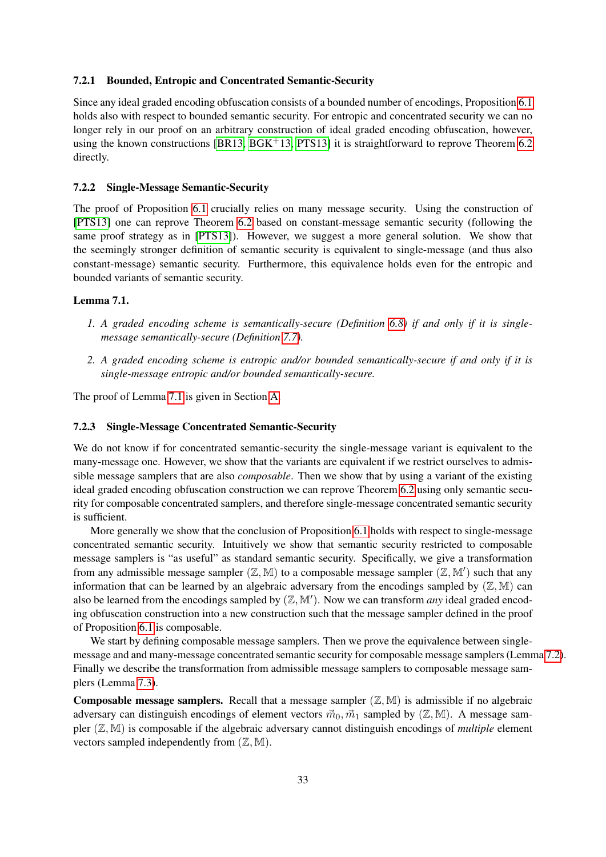#### <span id="page-32-0"></span>7.2.1 Bounded, Entropic and Concentrated Semantic-Security

Since any ideal graded encoding obfuscation consists of a bounded number of encodings, Proposition [6.1](#page-27-2) holds also with respect to bounded semantic security. For entropic and concentrated security we can no longer rely in our proof on an arbitrary construction of ideal graded encoding obfuscation, however, using the known constructions [\[BR13,](#page-40-7) [BGK](#page-40-8)<sup>+</sup>13, [PTS13\]](#page-41-4) it is straightforward to reprove Theorem [6.2](#page-27-3) directly.

#### <span id="page-32-1"></span>7.2.2 Single-Message Semantic-Security

The proof of Proposition [6.1](#page-27-2) crucially relies on many message security. Using the construction of [\[PTS13\]](#page-41-4) one can reprove Theorem [6.2](#page-27-3) based on constant-message semantic security (following the same proof strategy as in [\[PTS13\]](#page-41-4)). However, we suggest a more general solution. We show that the seemingly stronger definition of semantic security is equivalent to single-message (and thus also constant-message) semantic security. Furthermore, this equivalence holds even for the entropic and bounded variants of semantic security.

#### <span id="page-32-4"></span><span id="page-32-3"></span>Lemma 7.1.

- *1. A graded encoding scheme is semantically-secure (Definition [6.8\)](#page-27-1) if and only if it is singlemessage semantically-secure (Definition [7.7\)](#page-31-3).*
- <span id="page-32-5"></span>*2. A graded encoding scheme is entropic and/or bounded semantically-secure if and only if it is single-message entropic and/or bounded semantically-secure.*

The proof of Lemma [7.1](#page-32-3) is given in Section [A.](#page-41-6)

#### <span id="page-32-2"></span>7.2.3 Single-Message Concentrated Semantic-Security

We do not know if for concentrated semantic-security the single-message variant is equivalent to the many-message one. However, we show that the variants are equivalent if we restrict ourselves to admissible message samplers that are also *composable*. Then we show that by using a variant of the existing ideal graded encoding obfuscation construction we can reprove Theorem [6.2](#page-27-3) using only semantic security for composable concentrated samplers, and therefore single-message concentrated semantic security is sufficient.

More generally we show that the conclusion of Proposition [6.1](#page-27-2) holds with respect to single-message concentrated semantic security. Intuitively we show that semantic security restricted to composable message samplers is "as useful" as standard semantic security. Specifically, we give a transformation from any admissible message sampler  $(\mathbb{Z}, \mathbb{M})$  to a composable message sampler  $(\mathbb{Z}, \mathbb{M}')$  such that any information that can be learned by an algebraic adversary from the encodings sampled by  $(\mathbb{Z}, \mathbb{M})$  can also be learned from the encodings sampled by  $(\mathbb{Z}, \mathbb{M}')$ . Now we can transform *any* ideal graded encoding obfuscation construction into a new construction such that the message sampler defined in the proof of Proposition [6.1](#page-27-2) is composable.

We start by defining composable message samplers. Then we prove the equivalence between singlemessage and and many-message concentrated semantic security for composable message samplers (Lemma [7.2\)](#page-33-0). Finally we describe the transformation from admissible message samplers to composable message samplers (Lemma [7.3\)](#page-33-1).

**Composable message samplers.** Recall that a message sampler  $(\mathbb{Z}, \mathbb{M})$  is admissible if no algebraic adversary can distinguish encodings of element vectors  $\vec{m}_0, \vec{m}_1$  sampled by (Z, M). A message sampler  $(\mathbb{Z}, \mathbb{M})$  is composable if the algebraic adversary cannot distinguish encodings of *multiple* element vectors sampled independently from  $(\mathbb{Z}, \mathbb{M})$ .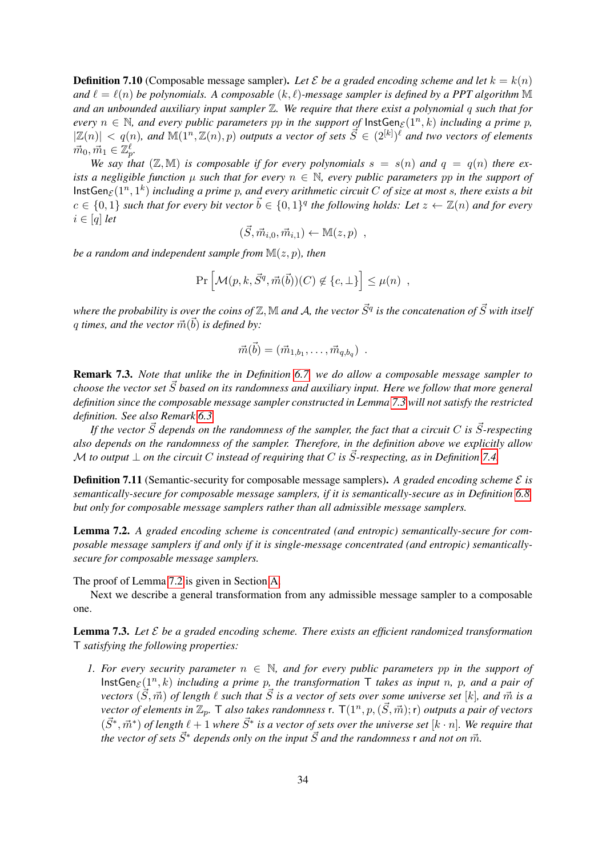**Definition 7.10** (Composable message sampler). Let  $\mathcal E$  be a graded encoding scheme and let  $k = k(n)$ *and*  $\ell = \ell(n)$  *be polynomials. A composable*  $(k, \ell)$ *-message sampler is defined by a PPT algorithm* M *and an unbounded auxiliary input sampler* Z*. We require that there exist a polynomial* q *such that for*  $e^{i\omega}$   $n \in \mathbb{N}$ , and every public parameters  $pp$  in the support of  $\textsf{InstGen}_{\mathcal{E}}(1^n, k)$  including a prime  $p$ ,  $|\mathbb{Z}(n)| < q(n)$ , and  $\mathbb{M}(1^n, \mathbb{Z}(n), p)$  outputs a vector of sets  $\vec{S} \in (2^{[k]})^{\ell}$  and two vectors of elements  $\vec{m}_0, \vec{m}_1 \in \mathbb{Z}_p^\ell.$ 

We say that  $(\mathbb{Z}, \mathbb{M})$  is composable if for every polynomials  $s = s(n)$  and  $q = q(n)$  there ex*ists a negligible function*  $\mu$  *such that for every*  $n \in \mathbb{N}$ *, every public parameters pp in the support of*  $\textsf{InstGen}_{\mathcal{E}}(1^n, 1^k)$  including a prime p, and every arithmetic circuit C of size at most s, there exists a bit  $c \in \{0,1\}$  such that for every bit vector  $\vec{b} \in \{0,1\}^q$  the following holds: Let  $z \leftarrow \mathbb{Z}(n)$  and for every  $i \in [q]$  *let* 

$$
(\vec{S}, \vec{m}_{i,0}, \vec{m}_{i,1}) \leftarrow \mathbb{M}(z, p) ,
$$

*be a random and independent sample from* M(z, p)*, then*

$$
\Pr\left[\mathcal{M}(p,k,\vec{S}^q,\vec{m}(\vec{b}))(C) \not\in \{c,\perp\}\right] \leq \mu(n) ,
$$

where the probability is over the coins of  $\mathbb{Z},\mathbb{M}$  and  $\mathcal{A}$ , the vector  $\vec{S}^q$  is the concatenation of  $\vec{S}$  with itself  $q$  times, and the vector  $\vec{m}(\vec{b})$  is defined by:

$$
\vec{m}(\vec{b}) = (\vec{m}_{1,b_1}, \dots, \vec{m}_{q,b_q}) \ .
$$

<span id="page-33-2"></span>Remark 7.3. *Note that unlike the in Definition [6.7,](#page-26-3) we do allow a composable message sampler to choose the vector set*  $\vec{S}$  *based on its randomness and auxiliary input. Here we follow that more general definition since the composable message sampler constructed in Lemma [7.3](#page-33-1) will not satisfy the restricted definition. See also Remark [6.3.](#page-26-5)*

*If the vector*  $\vec{S}$  *depends on the randomness of the sampler, the fact that a circuit* C *is*  $\vec{S}$ -*respecting also depends on the randomness of the sampler. Therefore, in the definition above we explicitly allow* M *to output* ⊥ *on the circuit* C *instead of requiring that* C *is* S~*-respecting, as in Definition [7.4.](#page-30-3)*

**Definition 7.11** (Semantic-security for composable message samplers). A graded encoding scheme  $\mathcal{E}$  is *semantically-secure for composable message samplers, if it is semantically-secure as in Definition [6.8,](#page-27-1) but only for composable message samplers rather than all admissible message samplers.*

<span id="page-33-0"></span>Lemma 7.2. *A graded encoding scheme is concentrated (and entropic) semantically-secure for composable message samplers if and only if it is single-message concentrated (and entropic) semanticallysecure for composable message samplers.*

The proof of Lemma [7.2](#page-33-0) is given in Section [A.](#page-43-0)

Next we describe a general transformation from any admissible message sampler to a composable one.

<span id="page-33-1"></span>Lemma 7.3. *Let* E *be a graded encoding scheme. There exists an efficient randomized transformation* T *satisfying the following properties:*

*1. For every security parameter*  $n \in \mathbb{N}$ , and for every public parameters pp in the support of  $\textsf{InstGen}_{\mathcal{E}}(1^n, k)$  *including a prime p, the transformation* T *takes as input n, p, and a pair of vectors*  $(\vec{S}, \vec{m})$  *of length*  $\ell$  *such that*  $\vec{S}$  *is a vector of sets over some universe set* [k], *and*  $\vec{m}$  *is a vector of elements in*  $\mathbb{Z}_p$ . T also takes randomness r.  $T(1^n, p, (\vec{S}, \vec{m}); r)$  *outputs a pair of vectors*  $(\vec{S}^*, \vec{m}^*)$  of length  $\ell + 1$  where  $\vec{S}^*$  is a vector of sets over the universe set  $[k \cdot n]$ . We require that *the vector of sets*  $\vec{S}^*$  *depends only on the input*  $\vec{S}$  *and the randomness* r *and not on*  $\vec{m}$ *.*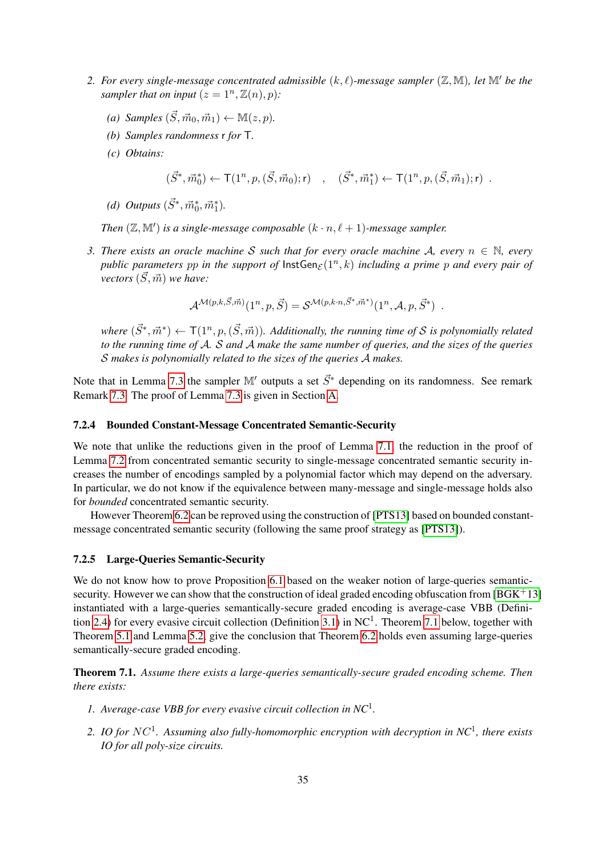- 2. For every single-message concentrated admissible  $(k, \ell)$ -message sampler  $(\mathbb{Z}, \mathbb{M})$ , let  $\mathbb{M}'$  be the sampler that on input  $(z = 1<sup>n</sup>, Z(n), p)$ :
	- $(a)$  *Samples*  $(\vec{S}, \vec{m}_0, \vec{m}_1) \leftarrow \mathbb{M}(z, p)$ *.*
	- *(b) Samples randomness* r *for* T*.*
	- *(c) Obtains:*

$$
(\vec{S}^*, \vec{m}_0^*) \leftarrow \mathsf{T}(1^n, p, (\vec{S}, \vec{m}_0); \mathsf{r}) \quad , \quad (\vec{S}^*, \vec{m}_1^*) \leftarrow \mathsf{T}(1^n, p, (\vec{S}, \vec{m}_1); \mathsf{r}) \; .
$$

*(d) Outputs*  $(\vec{S}^*, \vec{m}_0^*, \vec{m}_1^*)$ *.* 

*Then*  $(\mathbb{Z}, \mathbb{M}')$  *is a single-message composable*  $(k \cdot n, \ell + 1)$ *-message sampler.* 

*3. There exists an oracle machine* S such that for every oracle machine A, every  $n \in \mathbb{N}$ , every  $p$ ublic parameters  $pp$  in the support of  $\mathsf{InstGen}_{\mathcal{E}}(1^n, k)$  including a prime  $p$  and every pair of *vectors*  $(\vec{S}, \vec{m})$  *we have:* 

$$
\mathcal{A}^{\mathcal{M}(p,k,\vec{S},\vec{m})}(1^n,p,\vec{S}) = \mathcal{S}^{\mathcal{M}(p,k\cdot n,\vec{S}^*,\vec{m}^*)}(1^n,\mathcal{A},p,\vec{S}^*)\enspace.
$$

 $where ( \vec{S}^*, \vec{m}^*) \leftarrow T(1^n, p, (\vec{S}, \vec{m}))$ . Additionally, the running time of S is polynomially related *to the running time of* A*.* S *and* A *make the same number of queries, and the sizes of the queries* S *makes is polynomially related to the sizes of the queries* A *makes.*

Note that in Lemma [7.3](#page-33-1) the sampler M' outputs a set  $\vec{S}^*$  depending on its randomness. See remark Remark [7.3.](#page-33-2) The proof of Lemma [7.3](#page-33-1) is given in Section [A.](#page-45-0)

#### <span id="page-34-0"></span>7.2.4 Bounded Constant-Message Concentrated Semantic-Security

We note that unlike the reductions given in the proof of Lemma [7.1,](#page-32-3) the reduction in the proof of Lemma [7.2](#page-33-0) from concentrated semantic security to single-message concentrated semantic security increases the number of encodings sampled by a polynomial factor which may depend on the adversary. In particular, we do not know if the equivalence between many-message and single-message holds also for *bounded* concentrated semantic security.

However Theorem [6.2](#page-27-3) can be reproved using the construction of [\[PTS13\]](#page-41-4) based on bounded constantmessage concentrated semantic security (following the same proof strategy as [\[PTS13\]](#page-41-4)).

#### <span id="page-34-1"></span>7.2.5 Large-Queries Semantic-Security

We do not know how to prove Proposition [6.1](#page-27-2) based on the weaker notion of large-queries semantic-security. However we can show that the construction of ideal graded encoding obfuscation from [\[BGK](#page-40-8)+13] instantiated with a large-queries semantically-secure graded encoding is average-case VBB (Defini-tion [2.4\)](#page-10-2) for every evasive circuit collection (Definition [3.1\)](#page-11-2) in  $NC<sup>1</sup>$ . Theorem [7.1](#page-34-2) below, together with Theorem [5.1](#page-18-2) and Lemma [5.2,](#page-22-2) give the conclusion that Theorem [6.2](#page-27-3) holds even assuming large-queries semantically-secure graded encoding.

<span id="page-34-2"></span>Theorem 7.1. *Assume there exists a large-queries semantically-secure graded encoding scheme. Then there exists:*

- *1. Average-case VBB for every evasive circuit collection in NC*<sup>1</sup> *.*
- *2. IO for* NC<sup>1</sup> *. Assuming also fully-homomorphic encryption with decryption in NC*<sup>1</sup> *, there exists IO for all poly-size circuits.*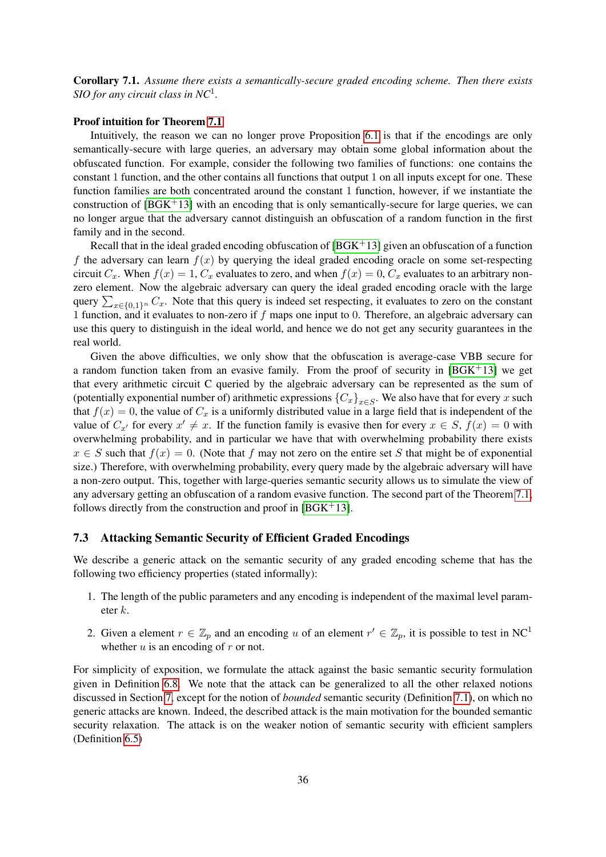Corollary 7.1. *Assume there exists a semantically-secure graded encoding scheme. Then there exists SIO for any circuit class in NC*<sup>1</sup> *.*

#### Proof intuition for Theorem [7.1](#page-34-2)

Intuitively, the reason we can no longer prove Proposition [6.1](#page-27-2) is that if the encodings are only semantically-secure with large queries, an adversary may obtain some global information about the obfuscated function. For example, consider the following two families of functions: one contains the constant 1 function, and the other contains all functions that output 1 on all inputs except for one. These function families are both concentrated around the constant 1 function, however, if we instantiate the construction of  $[B G K^+ 13]$  with an encoding that is only semantically-secure for large queries, we can no longer argue that the adversary cannot distinguish an obfuscation of a random function in the first family and in the second.

Recall that in the ideal graded encoding obfuscation of  $[B G K^+ 13]$  given an obfuscation of a function f the adversary can learn  $f(x)$  by querying the ideal graded encoding oracle on some set-respecting circuit  $C_x$ . When  $f(x) = 1$ ,  $C_x$  evaluates to zero, and when  $f(x) = 0$ ,  $C_x$  evaluates to an arbitrary nonzero element. Now the algebraic adversary can query the ideal graded encoding oracle with the large query  $\sum_{x\in\{0,1\}^n} C_x$ . Note that this query is indeed set respecting, it evaluates to zero on the constant 1 function, and it evaluates to non-zero if  $f$  maps one input to 0. Therefore, an algebraic adversary can use this query to distinguish in the ideal world, and hence we do not get any security guarantees in the real world.

Given the above difficulties, we only show that the obfuscation is average-case VBB secure for a random function taken from an evasive family. From the proof of security in  $[B G K^+ 13]$  we get that every arithmetic circuit C queried by the algebraic adversary can be represented as the sum of (potentially exponential number of) arithmetic expressions  ${C_x}_{x \in S}$ . We also have that for every x such that  $f(x) = 0$ , the value of  $C_x$  is a uniformly distributed value in a large field that is independent of the value of  $C_{x'}$  for every  $x' \neq x$ . If the function family is evasive then for every  $x \in S$ ,  $f(x) = 0$  with overwhelming probability, and in particular we have that with overwhelming probability there exists  $x \in S$  such that  $f(x) = 0$ . (Note that f may not zero on the entire set S that might be of exponential size.) Therefore, with overwhelming probability, every query made by the algebraic adversary will have a non-zero output. This, together with large-queries semantic security allows us to simulate the view of any adversary getting an obfuscation of a random evasive function. The second part of the Theorem [7.1,](#page-34-2) follows directly from the construction and proof in  $[BGK^+13]$  $[BGK^+13]$ .

#### <span id="page-35-0"></span>7.3 Attacking Semantic Security of Efficient Graded Encodings

We describe a generic attack on the semantic security of any graded encoding scheme that has the following two efficiency properties (stated informally):

- 1. The length of the public parameters and any encoding is independent of the maximal level parameter k.
- 2. Given a element  $r \in \mathbb{Z}_p$  and an encoding u of an element  $r' \in \mathbb{Z}_p$ , it is possible to test in NC<sup>1</sup> whether  $u$  is an encoding of  $r$  or not.

For simplicity of exposition, we formulate the attack against the basic semantic security formulation given in Definition [6.8.](#page-27-1) We note that the attack can be generalized to all the other relaxed notions discussed in Section [7,](#page-29-0) except for the notion of *bounded* semantic security (Definition [7.1\)](#page-29-4), on which no generic attacks are known. Indeed, the described attack is the main motivation for the bounded semantic security relaxation. The attack is on the weaker notion of semantic security with efficient samplers (Definition [6.5\)](#page-26-1)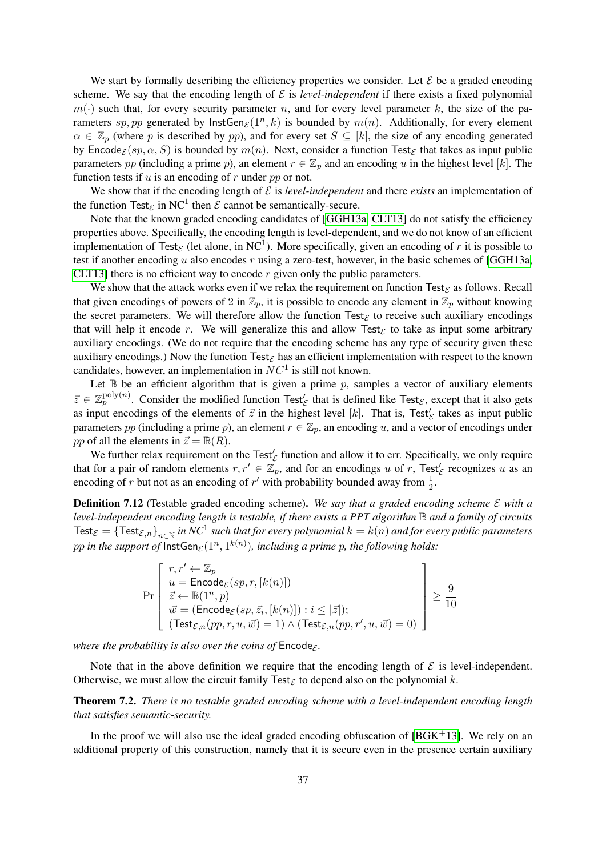We start by formally describing the efficiency properties we consider. Let  $\mathcal E$  be a graded encoding scheme. We say that the encoding length of  $\mathcal E$  is *level-independent* if there exists a fixed polynomial  $m(\cdot)$  such that, for every security parameter n, and for every level parameter k, the size of the parameters sp, pp generated by  $\textsf{InstGen}_{\mathcal{E}}(1^n, k)$  is bounded by  $m(n)$ . Additionally, for every element  $\alpha \in \mathbb{Z}_p$  (where p is described by pp), and for every set  $S \subseteq [k]$ , the size of any encoding generated by Encode $\varepsilon(sp, \alpha, S)$  is bounded by  $m(n)$ . Next, consider a function Test $\varepsilon$  that takes as input public parameters pp (including a prime p), an element  $r \in \mathbb{Z}_p$  and an encoding u in the highest level [k]. The function tests if  $u$  is an encoding of  $r$  under  $pp$  or not.

We show that if the encoding length of  $\mathcal E$  is *level-independent* and there *exists* an implementation of the function Test $_{\mathcal{E}}$  in NC<sup>1</sup> then  $\mathcal{E}$  cannot be semantically-secure.

Note that the known graded encoding candidates of [\[GGH13a,](#page-40-5) [CLT13\]](#page-40-6) do not satisfy the efficiency properties above. Specifically, the encoding length is level-dependent, and we do not know of an efficient implementation of Test<sub> $\mathcal{E}$ </sub> (let alone, in NC<sup>1</sup>). More specifically, given an encoding of r it is possible to test if another encoding u also encodes r using a zero-test, however, in the basic schemes of [\[GGH13a,](#page-40-5) [CLT13\]](#page-40-6) there is no efficient way to encode  $r$  given only the public parameters.

We show that the attack works even if we relax the requirement on function  $\text{Test}_{\mathcal{E}}$  as follows. Recall that given encodings of powers of 2 in  $\mathbb{Z}_p$ , it is possible to encode any element in  $\mathbb{Z}_p$  without knowing the secret parameters. We will therefore allow the function  $\text{Test}_{\mathcal{E}}$  to receive such auxiliary encodings that will help it encode r. We will generalize this and allow Test $_{\mathcal{E}}$  to take as input some arbitrary auxiliary encodings. (We do not require that the encoding scheme has any type of security given these auxiliary encodings.) Now the function Test $\epsilon$  has an efficient implementation with respect to the known candidates, however, an implementation in  $NC<sup>1</sup>$  is still not known.

Let  $\mathbb B$  be an efficient algorithm that is given a prime p, samples a vector of auxiliary elements  $\vec{z} \in \mathbb{Z}_p^{\text{poly}(n)}$ . Consider the modified function Test $'_{\mathcal{E}}$  that is defined like Test $_{\mathcal{E}}$ , except that it also gets as input encodings of the elements of  $\vec{z}$  in the highest level [k]. That is, Test $\zeta$  takes as input public parameters pp (including a prime p), an element  $r \in \mathbb{Z}_p$ , an encoding u, and a vector of encodings under pp of all the elements in  $\vec{z} = \mathbb{B}(R)$ .

We further relax requirement on the  $Test'_{\mathcal{E}}$  function and allow it to err. Specifically, we only require that for a pair of random elements  $r, r' \in \mathbb{Z}_p$ , and for an encodings u of r, Test $'_\mathcal{E}$  recognizes u as an encoding of r but not as an encoding of r' with probability bounded away from  $\frac{1}{2}$ .

<span id="page-36-1"></span>Definition 7.12 (Testable graded encoding scheme). *We say that a graded encoding scheme* E *with a level-independent encoding length is testable, if there exists a PPT algorithm* B *and a family of circuits*  $\mathsf{Test}_\mathcal{E} = \{\mathsf{Test}_{\mathcal{E},n}\}_{n\in\mathbb{N}}$  in NC<sup>1</sup> such that for every polynomial  $k=k(n)$  and for every public parameters  $pp$  in the support of  ${\sf InstGen}_{\mathcal E}(1^n,1^{k(n)}),$  including a prime  $p$ , the following holds:

$$
\Pr\left[\begin{array}{l} r, r' \leftarrow \mathbb{Z}_p \\ u = \mathsf{Encode}_{\mathcal{E}}(sp, r, [k(n)]) \\ \vec{z} \leftarrow \mathbb{B}(1^n, p) \\ \vec{w} = (\mathsf{Encode}_{\mathcal{E}}(sp, \vec{z}_i, [k(n)]) : i \leq |\vec{z}|); \\ (\mathsf{Test}_{\mathcal{E},n}(pp, r, u, \vec{w}) = 1) \land (\mathsf{Test}_{\mathcal{E},n}(pp, r', u, \vec{w}) = 0) \end{array}\right] \geq \frac{9}{10}
$$

*where the probability is also over the coins of*  $\textsf{Encode}_{\mathcal{E}}$ *.* 

Note that in the above definition we require that the encoding length of  $\mathcal E$  is level-independent. Otherwise, we must allow the circuit family  $\text{Test}_{\mathcal{E}}$  to depend also on the polynomial k.

<span id="page-36-0"></span>Theorem 7.2. *There is no testable graded encoding scheme with a level-independent encoding length that satisfies semantic-security.*

In the proof we will also use the ideal graded encoding obfuscation of  $[BGK^+13]$  $[BGK^+13]$ . We rely on an additional property of this construction, namely that it is secure even in the presence certain auxiliary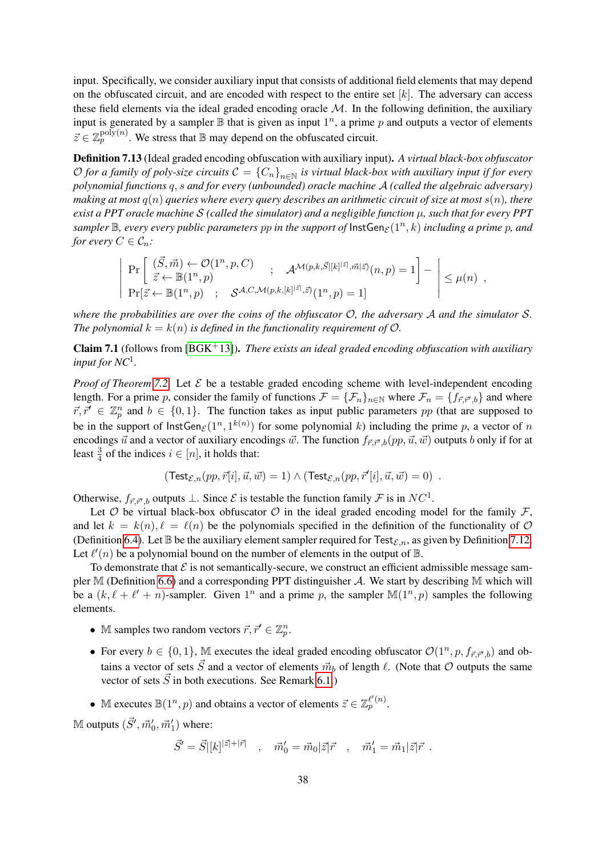input. Specifically, we consider auxiliary input that consists of additional field elements that may depend on the obfuscated circuit, and are encoded with respect to the entire set  $[k]$ . The adversary can access these field elements via the ideal graded encoding oracle  $M$ . In the following definition, the auxiliary input is generated by a sampler  $\mathbb B$  that is given as input  $1^n$ , a prime p and outputs a vector of elements  $\vec{z} \in \mathbb{Z}_p^{\text{poly}(n)}$ . We stress that  $\mathbb B$  may depend on the obfuscated circuit.

Definition 7.13 (Ideal graded encoding obfuscation with auxiliary input). *A virtual black-box obfuscator* O for a family of poly-size circuits  $C = {C_n}_{n \in \mathbb{N}}$  is virtual black-box with auxiliary input if for every *polynomial functions* q, s *and for every (unbounded) oracle machine* A *(called the algebraic adversary) making at most*  $q(n)$  *queries where every query describes an arithmetic circuit of size at most*  $s(n)$ *, there exist a PPT oracle machine* S *(called the simulator) and a negligible function*  $\mu$ *, such that for every PPT*  $s$ *ampler*  $\mathbb B$ *, every every public parameters*  $pp$  *in the support of*  $\mathsf{InstGen}_{\mathcal{E}}(1^n, k)$  *including a prime*  $p$ *, and for every*  $C \in \mathcal{C}_n$ *:* 

$$
\Pr\left[\begin{array}{l}\n(\vec{S}, \vec{m}) \leftarrow \mathcal{O}(1^n, p, C) \\
\vec{z} \leftarrow \mathbb{B}(1^n, p) \\
\text{Pr}[\vec{z} \leftarrow \mathbb{B}(1^n, p) \quad ; \quad \mathcal{S}^{\mathcal{A}, C, \mathcal{M}(p, k, [\vec{k}]^{|\vec{z}|}, \vec{z})}(1^n, p) = 1\n\end{array}\right] - \left| \begin{array}{l} \leq \mu(n) , \end{array}\right.\right.
$$

*where the probabilities are over the coins of the obfuscator* O*, the adversary* A *and the simulator* S*. The polynomial*  $k = k(n)$  *is defined in the functionality requirement of O.* 

Claim 7.1 (follows from [\[BGK](#page-40-8)+13]). *There exists an ideal graded encoding obfuscation with auxiliary input for NC*<sup>1</sup> *.*

*Proof of Theorem* [7.2.](#page-36-0) Let  $\mathcal E$  be a testable graded encoding scheme with level-independent encoding length. For a prime p, consider the family of functions  $\mathcal{F} = \{\mathcal{F}_n\}_{n\in\mathbb{N}}$  where  $\mathcal{F}_n = \{f_{\vec{r},\vec{r}',b}\}$  and where  $\vec{r}, \vec{r}' \in \mathbb{Z}_p^n$  and  $b \in \{0, 1\}$ . The function takes as input public parameters pp (that are supposed to be in the support of  $\textsf{InstGen}_{\mathcal{E}}(1^n, 1^{k(n)})$  for some polynomial k) including the prime p, a vector of n encodings  $\vec{u}$  and a vector of auxiliary encodings  $\vec{w}$ . The function  $f_{\vec{r},\vec{r}',b}(pp,\vec{u},\vec{w})$  outputs b only if for at least  $\frac{3}{4}$  of the indices  $i \in [n]$ , it holds that:

$$
(\mathsf{Test}_{\mathcal{E},n}(pp,\vec{r}[i],\vec{u},\vec{w})=1)\wedge(\mathsf{Test}_{\mathcal{E},n}(pp,\vec{r}'[i],\vec{u},\vec{w})=0) .
$$

Otherwise,  $f_{\vec{r}, \vec{r}', b}$  outputs  $\perp$ . Since  $\mathcal E$  is testable the function family  $\mathcal F$  is in  $NC^1$ .

Let  $\mathcal O$  be virtual black-box obfuscator  $\mathcal O$  in the ideal graded encoding model for the family  $\mathcal F$ , and let  $k = k(n)$ ,  $\ell = \ell(n)$  be the polynomials specified in the definition of the functionality of O (Definition [6.4\)](#page-24-2). Let  $\mathbb B$  be the auxiliary element sampler required for Test<sub>E,n</sub>, as given by Definition [7.12.](#page-36-1) Let  $\ell'(n)$  be a polynomial bound on the number of elements in the output of  $\mathbb B$ .

To demonstrate that  $\mathcal E$  is not semantically-secure, we construct an efficient admissible message sam-pler M (Definition [6.6\)](#page-26-4) and a corresponding PPT distinguisher A. We start by describing M which will be a  $(k, \ell + \ell' + n)$ -sampler. Given  $1^n$  and a prime p, the sampler  $\mathbb{M}(1^n, p)$  samples the following elements.

- M samples two random vectors  $\vec{r}, \vec{r}' \in \mathbb{Z}_p^n$ .
- For every  $b \in \{0, 1\}$ , M executes the ideal graded encoding obfuscator  $\mathcal{O}(1^n, p, f_{\vec{r}, \vec{r}', b})$  and obtains a vector of sets  $\vec{S}$  and a vector of elements  $\vec{m}_b$  of length  $\ell$ . (Note that  $\mathcal O$  outputs the same vector of sets  $\vec{S}$  in both executions. See Remark [6.1.](#page-25-2))
- M executes  $\mathbb{B}(1^n, p)$  and obtains a vector of elements  $\vec{z} \in \mathbb{Z}_p^{\ell'(n)}$ .

 $\mathbb M$  outputs  $(\vec{S}', \vec{m}'_0, \vec{m}'_1)$  where:

 $\bigg\}$  $\bigg\}$  $\Big\}$  $\bigg\}$  $\Big\}$  $\begin{array}{c} \end{array}$ 

$$
\vec{S}' = \vec{S} |[k]|^{\vec{z}|+|\vec{r}|} \quad , \quad \vec{m}'_0 = \vec{m}_0 |\vec{z}| \vec{r} \quad , \quad \vec{m}'_1 = \vec{m}_1 |\vec{z}| \vec{r} \ .
$$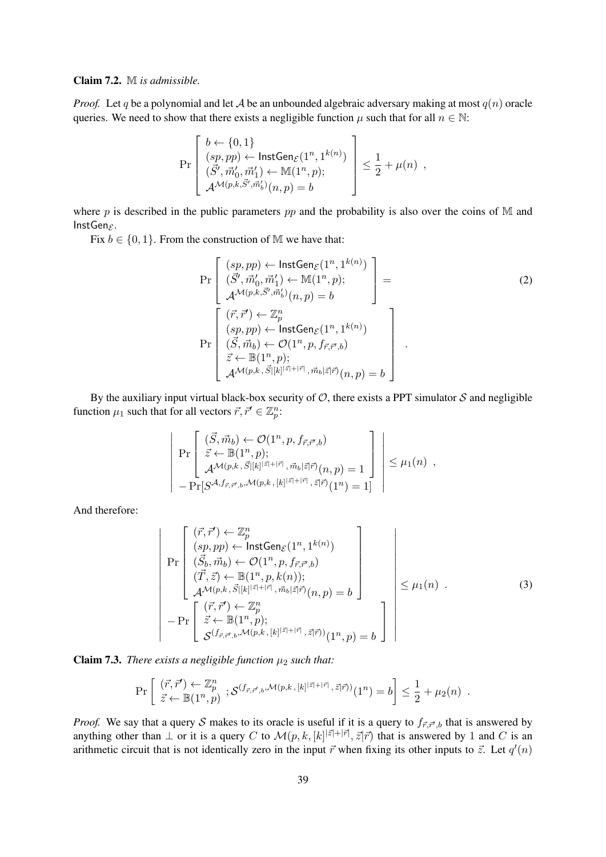#### Claim 7.2. M *is admissible.*

*Proof.* Let q be a polynomial and let A be an unbounded algebraic adversary making at most  $q(n)$  oracle queries. We need to show that there exists a negligible function  $\mu$  such that for all  $n \in \mathbb{N}$ :

$$
\Pr\left[\begin{array}{l} b \leftarrow \{0,1\} \\ (sp,pp) \leftarrow \text{InstGen}_{\mathcal{E}}(1^n,1^{k(n)}) \\ (\vec{S}',\vec{m}'_0,\vec{m}'_1) \leftarrow \mathbb{M}(1^n,p); \\ \mathcal{A}^{\mathcal{M}(p,k,\vec{S}',\vec{m}'_b)}(n,p) = b \end{array}\right]\leq \frac{1}{2}+\mu(n) ,
$$

where p is described in the public parameters pp and the probability is also over the coins of M and InstGen $_{\mathcal{E}}$ .

Fix  $b \in \{0, 1\}$ . From the construction of M we have that:

<span id="page-38-0"></span>
$$
\Pr\left[\begin{array}{c} (sp, pp) \leftarrow \text{InstGen}_{\mathcal{E}}(1^n, 1^{k(n)})\\ (\vec{S}', \vec{m}'_0, \vec{m}'_1) \leftarrow \mathbb{M}(1^n, p);\\ \mathcal{A}^{\mathcal{M}(p,k,\vec{S}',\vec{m}'_b)}(n, p) = b \end{array}\right] = (2)
$$
\n
$$
\Pr\left[\begin{array}{c} (\vec{r}, \vec{r}') \leftarrow \mathbb{Z}_p^n\\ (sp, pp) \leftarrow \text{InstGen}_{\mathcal{E}}(1^n, 1^{k(n)})\\ (\vec{S}, \vec{m}_b) \leftarrow \mathcal{O}(1^n, p, f_{\vec{r}, \vec{r}', b})\\ \vec{z} \leftarrow \mathbb{B}(1^n, p);\\ \mathcal{A}^{\mathcal{M}(p,k, \vec{S}||k|^{|\vec{z}|+|\vec{r}|}, \vec{m}_b|\vec{z}|\vec{r})}(n, p) = b \end{array}\right]\right].
$$

By the auxiliary input virtual black-box security of  $O$ , there exists a PPT simulator  $S$  and negligible function  $\mu_1$  such that for all vectors  $\vec{r}, \vec{r}' \in \mathbb{Z}_p^n$ :

$$
\begin{array}{|c|}\n\hline\n\end{array}\n\left\{\n\begin{array}{l}\n\vec{S}, \vec{m}_b) \leftarrow \mathcal{O}(1^n, p, f_{\vec{r}, \vec{r}', b}) \\
\vec{z} \leftarrow \mathbb{B}(1^n, p); \\
\mathcal{A}^{\mathcal{M}(p,k, \vec{S}[[k]^{|\vec{z}|+|\vec{r}|}, \vec{m}_b|\vec{z}|\vec{r})}(n, p) = 1 \\
-\Pr[S^{\mathcal{A}, f_{\vec{r}, \vec{r}', b}, \mathcal{M}(p,k, [k]^{|\vec{z}|+|\vec{r}|}, \vec{z}|\vec{r})}(1^n) = 1]\n\end{array}\n\right\} \leq \mu_1(n) ,\n\end{array}
$$

And therefore:

 $\bigg\}$  $\Big\}$   $\bigg\}$  $\Big\}$  $\bigg\}$  $\Big\}$  $\bigg\}$  $\Big\}$  $\bigg\}$  $\Big\}$  $\bigg\}$  $\Big\}$  $\bigg\}$  $\Big\}$   $\begin{array}{c} \end{array}$ 

<span id="page-38-1"></span>
$$
\Pr\left[\begin{array}{l}\n(\vec{r},\vec{r}') \leftarrow \mathbb{Z}_{p}^{n} \\
(sp,pp) \leftarrow \text{InstGen}_{\mathcal{E}}(1^{n},1^{k(n)}) \\
(\vec{S}_{b},\vec{m}_{b}) \leftarrow \mathcal{O}(1^{n},p,f_{\vec{r},\vec{r}',b}) \\
(\vec{T},\vec{z}) \leftarrow \mathbb{B}(1^{n},p,k(n)); \\
\mathcal{A}^{\mathcal{M}(p,k},\vec{S}||k|^{|\vec{z}|+|\vec{r}|},\vec{m}_{b}|\vec{z}|\vec{r})(n,p) = b\n\end{array}\right]\n\right] \leq \mu_{1}(n) .
$$
\n(3)\n
$$
-\Pr\left[\begin{array}{l}\n(\vec{r},\vec{r}') \leftarrow \mathbb{Z}_{p}^{n} \\
\vec{z} \leftarrow \mathbb{B}(1^{n},p);\n\end{array}\right]\n\left(\vec{S}(f_{\vec{r},\vec{r}',b},\mathcal{M}(p,k,[k||\vec{z}|+|\vec{r}|,\vec{z}|\vec{r}))(1^{n},p) = b\n\end{array}\right]
$$

<span id="page-38-2"></span>**Claim 7.3.** *There exists a negligible function*  $\mu_2$  *such that:* 

$$
\Pr\left[\begin{array}{l} (\vec{r},\vec{r}') \leftarrow \mathbb{Z}_p^n \\ \vec{z} \leftarrow \mathbb{B}(1^n,p) \end{array}; \mathcal{S}^{(f_{\vec{r},\vec{r}',b},\mathcal{M}(p,k,[k]^{|\vec{z}|+|\vec{r}|},\vec{z}|\vec{r}))}(1^n) = b\right] \leq \frac{1}{2} + \mu_2(n) \ .
$$

*Proof.* We say that a query S makes to its oracle is useful if it is a query to  $f_{\vec{r},\vec{r}',b}$  that is answered by anything other than  $\perp$  or it is a query C to  $\mathcal{M}(p,k,[k]^{|\vec{z}|+|\vec{r}|},\vec{z}|\vec{r})$  that is answered by 1 and C is an arithmetic circuit that is not identically zero in the input  $\vec{r}$  when fixing its other inputs to  $\vec{z}$ . Let  $q'(n)$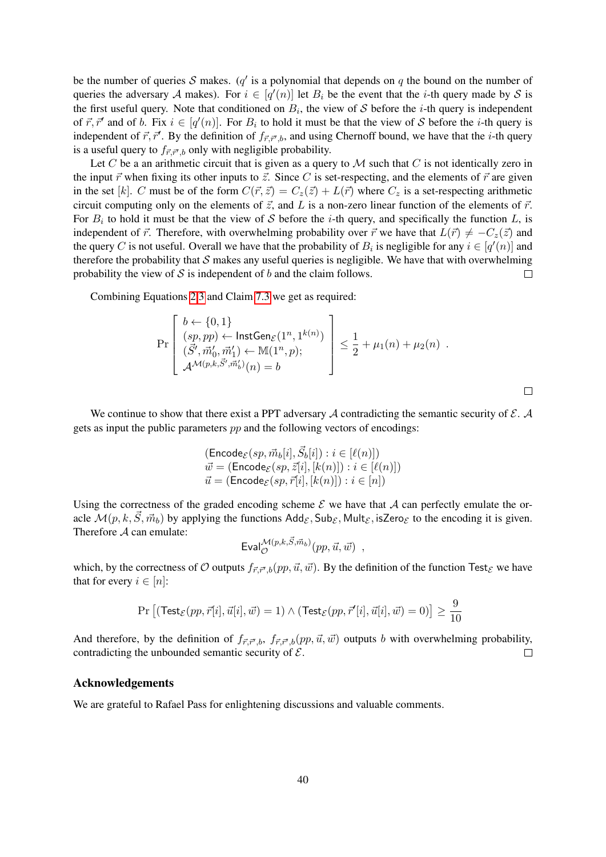be the number of queries S makes. (q' is a polynomial that depends on q the bound on the number of queries the adversary A makes). For  $i \in [q'(n)]$  let  $B_i$  be the event that the *i*-th query made by S is the first useful query. Note that conditioned on  $B_i$ , the view of S before the *i*-th query is independent of  $\vec{r}, \vec{r}'$  and of b. Fix  $i \in [q'(n)]$ . For  $B_i$  to hold it must be that the view of S before the *i*-th query is independent of  $\vec{r}, \vec{r}'$ . By the definition of  $f_{\vec{r}, \vec{r}'}, b$ , and using Chernoff bound, we have that the *i*-th query is a useful query to  $f_{\vec{r}, \vec{r}', b}$  only with negligible probability.

Let C be a an arithmetic circuit that is given as a query to  $M$  such that C is not identically zero in the input  $\vec{r}$  when fixing its other inputs to  $\vec{z}$ . Since C is set-respecting, and the elements of  $\vec{r}$  are given in the set  $[k]$ . C must be of the form  $C(\vec{r}, \vec{z}) = C_z(\vec{z}) + L(\vec{r})$  where  $C_z$  is a set-respecting arithmetic circuit computing only on the elements of  $\vec{z}$ , and L is a non-zero linear function of the elements of  $\vec{r}$ . For  $B_i$  to hold it must be that the view of S before the *i*-th query, and specifically the function L, is independent of  $\vec{r}$ . Therefore, with overwhelming probability over  $\vec{r}$  we have that  $L(\vec{r}) \neq -C_z(\vec{z})$  and the query C is not useful. Overall we have that the probability of  $B_i$  is negligible for any  $i \in [q'(n)]$  and therefore the probability that  $S$  makes any useful queries is negligible. We have that with overwhelming probability the view of  $S$  is independent of  $b$  and the claim follows.  $\Box$ 

Combining Equations [2,](#page-38-0)[3](#page-38-1) and Claim [7.3](#page-38-2) we get as required:

$$
\Pr\left[\begin{array}{l}b \leftarrow \{0,1\} \\ (sp,pp) \leftarrow \mathsf{InstGen}_{\mathcal{E}}(1^n,1^{k(n)}) \\ (\vec{S}',\vec{m}'_0,\vec{m}'_1) \leftarrow \mathbb{M}(1^n,p); \\ \mathcal{A}^{\mathcal{M}(p,k,\vec{S}',\vec{m}'_b)}(n) = b\end{array}\right]\leq \frac{1}{2} + \mu_1(n) + \mu_2(n) .
$$

 $\Box$ 

We continue to show that there exist a PPT adversary A contradicting the semantic security of  $\mathcal{E}$ . A gets as input the public parameters pp and the following vectors of encodings:

$$
(\mathsf{Encode}_{\mathcal{E}}(sp, \vec{m}_b[i], \vec{S}_b[i]) : i \in [\ell(n)])
$$
  

$$
\vec{w} = (\mathsf{Encode}_{\mathcal{E}}(sp, \vec{z}[i], [k(n)]) : i \in [\ell(n)])
$$
  

$$
\vec{u} = (\mathsf{Encode}_{\mathcal{E}}(sp, \vec{r}[i], [k(n)]) : i \in [n])
$$

Using the correctness of the graded encoding scheme  $\mathcal E$  we have that  $\mathcal A$  can perfectly emulate the oracle  $\mathcal{M}(p, k, \vec{S}, \vec{m}_b)$  by applying the functions  $\text{Add}_{\mathcal{E}}$ , Sub $_{\mathcal{E}}$ , Mult $_{\mathcal{E}}$ , isZero $_{\mathcal{E}}$  to the encoding it is given. Therefore  $A$  can emulate:

$$
\text{Eval}_{\mathcal{O}}^{\mathcal{M}(p,k,\vec{S},\vec{m}_b)}(pp,\vec{u},\vec{w}) \enspace,
$$

which, by the correctness of O outputs  $f_{\vec{r},\vec{r}',b}(pp, \vec{u}, \vec{w})$ . By the definition of the function Test<sub>E</sub> we have that for every  $i \in [n]$ :

$$
\Pr\left[\left(\mathsf{Test}_{\mathcal{E}}(pp,\vec{r}[i],\vec{u}[i],\vec{w})=1\right) \land \left(\mathsf{Test}_{\mathcal{E}}(pp,\vec{r}'[i],\vec{u}[i],\vec{w}\right)=0\right)\right] \geq \frac{9}{10}
$$

And therefore, by the definition of  $f_{\vec{r},\vec{r}',b}$ ,  $f_{\vec{r},\vec{r}',b}(pp,\vec{u},\vec{w})$  outputs b with overwhelming probability, contradicting the unbounded semantic security of  $\mathcal{E}$ .  $\Box$ 

#### Acknowledgements

We are grateful to Rafael Pass for enlightening discussions and valuable comments.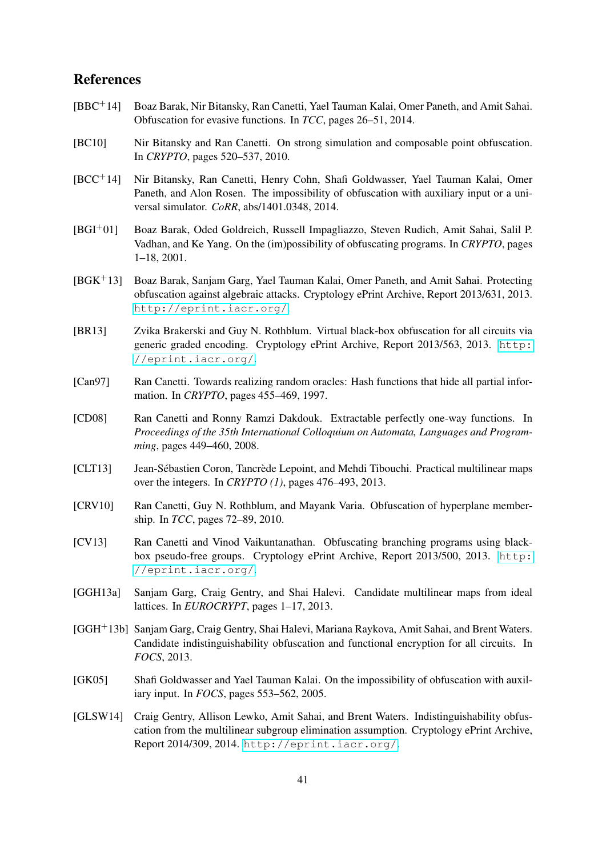## References

- <span id="page-40-12"></span>[BBC+14] Boaz Barak, Nir Bitansky, Ran Canetti, Yael Tauman Kalai, Omer Paneth, and Amit Sahai. Obfuscation for evasive functions. In *TCC*, pages 26–51, 2014.
- <span id="page-40-3"></span>[BC10] Nir Bitansky and Ran Canetti. On strong simulation and composable point obfuscation. In *CRYPTO*, pages 520–537, 2010.
- <span id="page-40-2"></span>[BCC+14] Nir Bitansky, Ran Canetti, Henry Cohn, Shafi Goldwasser, Yael Tauman Kalai, Omer Paneth, and Alon Rosen. The impossibility of obfuscation with auxiliary input or a universal simulator. *CoRR*, abs/1401.0348, 2014.
- <span id="page-40-0"></span>[BGI+01] Boaz Barak, Oded Goldreich, Russell Impagliazzo, Steven Rudich, Amit Sahai, Salil P. Vadhan, and Ke Yang. On the (im)possibility of obfuscating programs. In *CRYPTO*, pages 1–18, 2001.
- <span id="page-40-8"></span>[BGK+13] Boaz Barak, Sanjam Garg, Yael Tauman Kalai, Omer Paneth, and Amit Sahai. Protecting obfuscation against algebraic attacks. Cryptology ePrint Archive, Report 2013/631, 2013. <http://eprint.iacr.org/>.
- <span id="page-40-7"></span>[BR13] Zvika Brakerski and Guy N. Rothblum. Virtual black-box obfuscation for all circuits via generic graded encoding. Cryptology ePrint Archive, Report 2013/563, 2013. [http:](http://eprint.iacr.org/) [//eprint.iacr.org/](http://eprint.iacr.org/).
- <span id="page-40-10"></span>[Can97] Ran Canetti. Towards realizing random oracles: Hash functions that hide all partial information. In *CRYPTO*, pages 455–469, 1997.
- <span id="page-40-14"></span>[CD08] Ran Canetti and Ronny Ramzi Dakdouk. Extractable perfectly one-way functions. In *Proceedings of the 35th International Colloquium on Automata, Languages and Programming*, pages 449–460, 2008.
- <span id="page-40-6"></span>[CLT13] Jean-Sébastien Coron, Tancrède Lepoint, and Mehdi Tibouchi. Practical multilinear maps over the integers. In *CRYPTO (1)*, pages 476–493, 2013.
- <span id="page-40-11"></span>[CRV10] Ran Canetti, Guy N. Rothblum, and Mayank Varia. Obfuscation of hyperplane membership. In *TCC*, pages 72–89, 2010.
- <span id="page-40-9"></span>[CV13] Ran Canetti and Vinod Vaikuntanathan. Obfuscating branching programs using blackbox pseudo-free groups. Cryptology ePrint Archive, Report 2013/500, 2013. [http:](http://eprint.iacr.org/) [//eprint.iacr.org/](http://eprint.iacr.org/).
- <span id="page-40-5"></span>[GGH13a] Sanjam Garg, Craig Gentry, and Shai Halevi. Candidate multilinear maps from ideal lattices. In *EUROCRYPT*, pages 1–17, 2013.
- <span id="page-40-4"></span>[GGH+13b] Sanjam Garg, Craig Gentry, Shai Halevi, Mariana Raykova, Amit Sahai, and Brent Waters. Candidate indistinguishability obfuscation and functional encryption for all circuits. In *FOCS*, 2013.
- <span id="page-40-1"></span>[GK05] Shafi Goldwasser and Yael Tauman Kalai. On the impossibility of obfuscation with auxiliary input. In *FOCS*, pages 553–562, 2005.
- <span id="page-40-13"></span>[GLSW14] Craig Gentry, Allison Lewko, Amit Sahai, and Brent Waters. Indistinguishability obfuscation from the multilinear subgroup elimination assumption. Cryptology ePrint Archive, Report 2014/309, 2014. <http://eprint.iacr.org/>.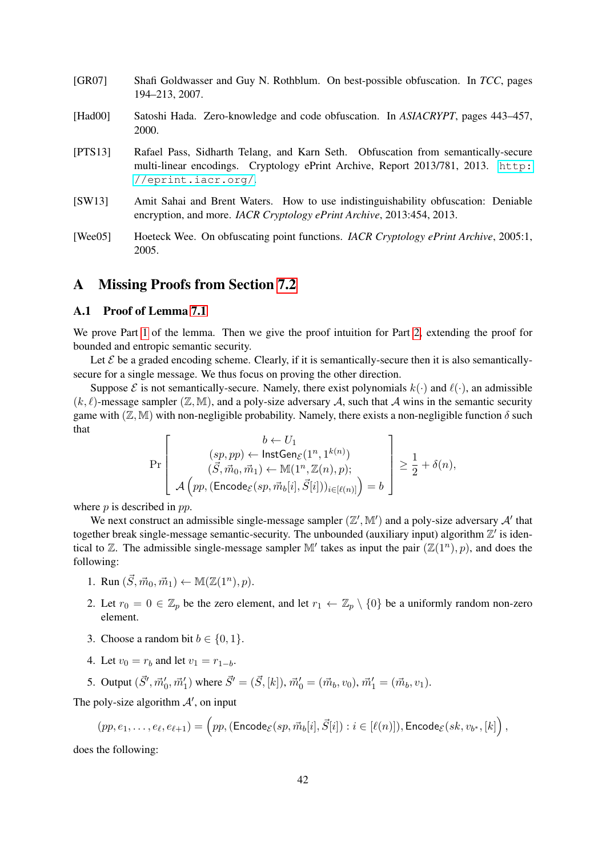<span id="page-41-4"></span><span id="page-41-2"></span><span id="page-41-1"></span>

| [GR07]  | Shafi Goldwasser and Guy N. Rothblum. On best-possible obfuscation. In TCC, pages<br>194-213, 2007.                                                                                         |
|---------|---------------------------------------------------------------------------------------------------------------------------------------------------------------------------------------------|
| [Had00] | Satoshi Hada. Zero-knowledge and code obfuscation. In ASIACRYPT, pages 443–457,<br>2000.                                                                                                    |
| [PTS13] | Rafael Pass, Sidharth Telang, and Karn Seth. Obfuscation from semantically-secure<br>multi-linear encodings. Cryptology ePrint Archive, Report 2013/781, 2013. http:<br>//eprint.iacr.org/. |
| [SW13]  | Amit Sahai and Brent Waters. How to use indistinguishability obfuscation: Deniable<br>encryption, and more. <i>IACR Cryptology ePrint Archive</i> , 2013:454, 2013.                         |
| [Wee05] | Hoeteck Wee. On obfuscating point functions. <i>IACR Cryptology ePrint Archive</i> , 2005:1,<br>2005.                                                                                       |

## <span id="page-41-5"></span><span id="page-41-3"></span><span id="page-41-0"></span>A Missing Proofs from Section [7.2](#page-31-1)

#### <span id="page-41-6"></span>A.1 Proof of Lemma [7.1](#page-32-3)

We prove Part [1](#page-32-4) of the lemma. Then we give the proof intuition for Part [2,](#page-32-5) extending the proof for bounded and entropic semantic security.

Let  $\mathcal E$  be a graded encoding scheme. Clearly, if it is semantically-secure then it is also semanticallysecure for a single message. We thus focus on proving the other direction.

Suppose  $\mathcal E$  is not semantically-secure. Namely, there exist polynomials  $k(\cdot)$  and  $\ell(\cdot)$ , an admissible  $(k, \ell)$ -message sampler  $(\mathbb{Z}, \mathbb{M})$ , and a poly-size adversary A, such that A wins in the semantic security game with  $(\mathbb{Z}, \mathbb{M})$  with non-negligible probability. Namely, there exists a non-negligible function  $\delta$  such that

$$
\Pr\left[\begin{array}{c}b \leftarrow U_1 \\ (sp,pp) \leftarrow \text{InstGen}_{\mathcal{E}}(1^n,1^{k(n)}) \\ (\vec{S},\vec{m}_0,\vec{m}_1) \leftarrow \mathbb{M}(1^n,\mathbb{Z}(n),p); \\ \mathcal{A}\left(pp,(\text{Encode}_{\mathcal{E}}(sp,\vec{m}_b[i],\vec{S}[i]))_{i\in[\ell(n)]}\right)=b\end{array}\right]\geq \frac{1}{2}+\delta(n),
$$

where  $p$  is described in  $pp$ .

We next construct an admissible single-message sampler  $(\mathbb{Z}', \mathbb{M}')$  and a poly-size adversary  $\mathcal{A}'$  that together break single-message semantic-security. The unbounded (auxiliary input) algorithm  $\mathbb{Z}'$  is identical to  $\mathbb Z$ . The admissible single-message sampler M' takes as input the pair  $(\mathbb Z(1^n), p)$ , and does the following:

- 1. Run  $(\vec{S}, \vec{m}_0, \vec{m}_1) \leftarrow \mathbb{M}(\mathbb{Z}(1^n), p)$ .
- 2. Let  $r_0 = 0 \in \mathbb{Z}_p$  be the zero element, and let  $r_1 \leftarrow \mathbb{Z}_p \setminus \{0\}$  be a uniformly random non-zero element.
- 3. Choose a random bit  $b \in \{0, 1\}$ .
- 4. Let  $v_0 = r_b$  and let  $v_1 = r_{1-b}$ .

5. Output  $(\vec{S}', \vec{m}'_0, \vec{m}'_1)$  where  $\vec{S}' = (\vec{S}, [k]), \vec{m}'_0 = (\vec{m}_b, v_0), \vec{m}'_1 = (\vec{m}_b, v_1)$ .

The poly-size algorithm  $A'$ , on input

$$
(pp,e_1,\ldots,e_\ell,e_{\ell+1})=\left(pp,(\mathsf{Encode}_{\mathcal{E}}(sp,\vec{m}_b[i],\vec{S}[i]):i\in [\ell(n)]),\mathsf{Encode}_{\mathcal{E}}(sk,v_{b^*},[k]\right),
$$

does the following: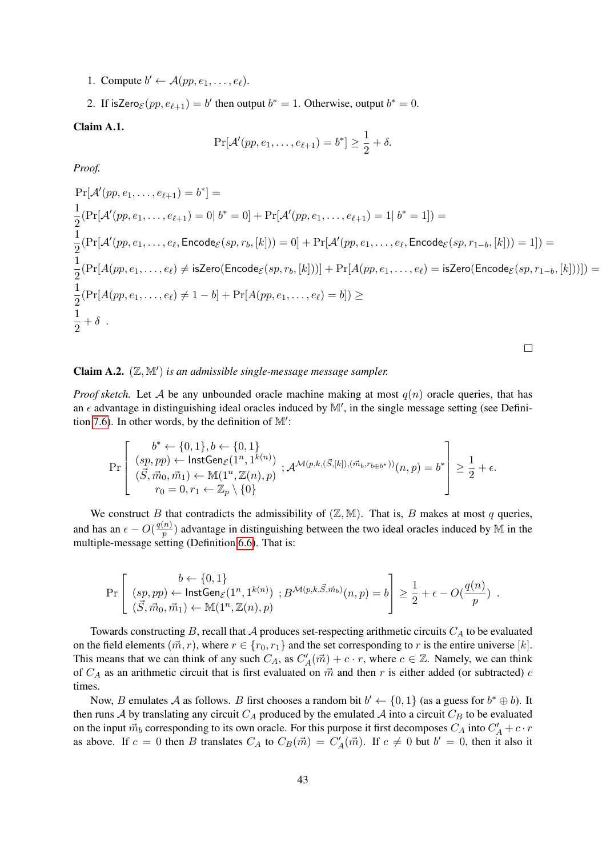- 1. Compute  $b' \leftarrow \mathcal{A}(pp, e_1, \dots, e_\ell)$ .
- 2. If isZero $_{\mathcal{E}}(pp, e_{\ell+1}) = b'$  then output  $b^* = 1$ . Otherwise, output  $b^* = 0$ .

#### Claim A.1.

$$
\Pr[\mathcal{A}'(pp, e_1, \ldots, e_{\ell+1}) = b^*] \ge \frac{1}{2} + \delta.
$$

*Proof.*

$$
\Pr[\mathcal{A}'(pp, e_1, \dots, e_{\ell+1}) = b^*] =
$$
\n
$$
\frac{1}{2} (\Pr[\mathcal{A}'(pp, e_1, \dots, e_{\ell+1}) = 0 | b^* = 0] + \Pr[\mathcal{A}'(pp, e_1, \dots, e_{\ell+1}) = 1 | b^* = 1]) =
$$
\n
$$
\frac{1}{2} (\Pr[\mathcal{A}'(pp, e_1, \dots, e_{\ell}, \text{Encode}_{\mathcal{E}}(sp, r_b, [k])) = 0] + \Pr[\mathcal{A}'(pp, e_1, \dots, e_{\ell}, \text{Encode}_{\mathcal{E}}(sp, r_{1-b}, [k])) = 1]) =
$$
\n
$$
\frac{1}{2} (\Pr[A(pp, e_1, \dots, e_{\ell}) \neq \text{isZero}(\text{Encode}_{\mathcal{E}}(sp, r_b, [k]))] + \Pr[A(pp, e_1, \dots, e_{\ell}) = \text{isZero}(\text{Encode}_{\mathcal{E}}(sp, r_{1-b}, [k]))]) =
$$
\n
$$
\frac{1}{2} (\Pr[A(pp, e_1, \dots, e_{\ell}) \neq 1 - b] + \Pr[A(pp, e_1, \dots, e_{\ell}) = b]) \ge
$$
\n
$$
\frac{1}{2} + \delta.
$$

 $\Box$ 

## Claim  $A.2.$   $(\mathbb{Z}, \mathbb{M}')$  is an admissible single-message message sampler.

*Proof sketch.* Let A be any unbounded oracle machine making at most  $q(n)$  oracle queries, that has an  $\epsilon$  advantage in distinguishing ideal oracles induced by  $\mathbb{M}'$ , in the single message setting (see Defini-tion [7.6\)](#page-31-4). In other words, by the definition of  $M'$ :

$$
\Pr\left[\begin{array}{c}b^* \leftarrow \{0,1\}, b \leftarrow \{0,1\}\\(sp,pp) \leftarrow \text{InstGen}_{\mathcal{E}}(1^n, 1^{k(n)})\\(\vec{S}, \vec{m}_0, \vec{m}_1) \leftarrow \mathbb{M}(1^n, \mathbb{Z}(n), p)\\r_0 = 0, r_1 \leftarrow \mathbb{Z}_p \setminus \{0\}\end{array}\right; \mathcal{A}^{\mathcal{M}(p,k, (\vec{S}, [k]), (\vec{m}_b, r_{b \oplus b^*}))}(n, p) = b^*\right] \ge \frac{1}{2} + \epsilon.
$$

We construct B that contradicts the admissibility of  $(\mathbb{Z}, \mathbb{M})$ . That is, B makes at most q queries, and has an  $\epsilon - O(\frac{q(n)}{n})$  $\binom{n}{p}$  advantage in distinguishing between the two ideal oracles induced by M in the multiple-message setting (Definition [6.6\)](#page-26-4). That is:

$$
\Pr\left[\begin{array}{c} b \leftarrow \{0,1\} \\ (sp,pp) \leftarrow \mathsf{InstGen}_{\mathcal{E}}(1^n,1^{k(n)}) \ ; B^{{\mathcal{M}}(p,k,\vec{S},\vec{m}_b)}(n,p) = b \\ (\vec{S},\vec{m}_0,\vec{m}_1) \leftarrow \mathbb{M}(1^n,\mathbb{Z}(n),p) \end{array}\right] \geq \frac{1}{2} + \epsilon - O(\frac{q(n)}{p}) \enspace.
$$

Towards constructing B, recall that A produces set-respecting arithmetic circuits  $C_A$  to be evaluated on the field elements  $(\vec{m}, r)$ , where  $r \in \{r_0, r_1\}$  and the set corresponding to r is the entire universe [k]. This means that we can think of any such  $C_A$ , as  $C'_A(\vec{m}) + c \cdot r$ , where  $c \in \mathbb{Z}$ . Namely, we can think of  $C_A$  as an arithmetic circuit that is first evaluated on  $\vec{m}$  and then r is either added (or subtracted) c times.

Now, B emulates A as follows. B first chooses a random bit  $b' \leftarrow \{0, 1\}$  (as a guess for  $b^* \oplus b$ ). It then runs A by translating any circuit  $C_A$  produced by the emulated A into a circuit  $C_B$  to be evaluated on the input  $\vec{m}_b$  corresponding to its own oracle. For this purpose it first decomposes  $C_A$  into  $C'_A + c \cdot r$ as above. If  $c = 0$  then B translates  $C_A$  to  $C_B(\vec{m}) = C'_A(\vec{m})$ . If  $c \neq 0$  but  $b' = 0$ , then it also it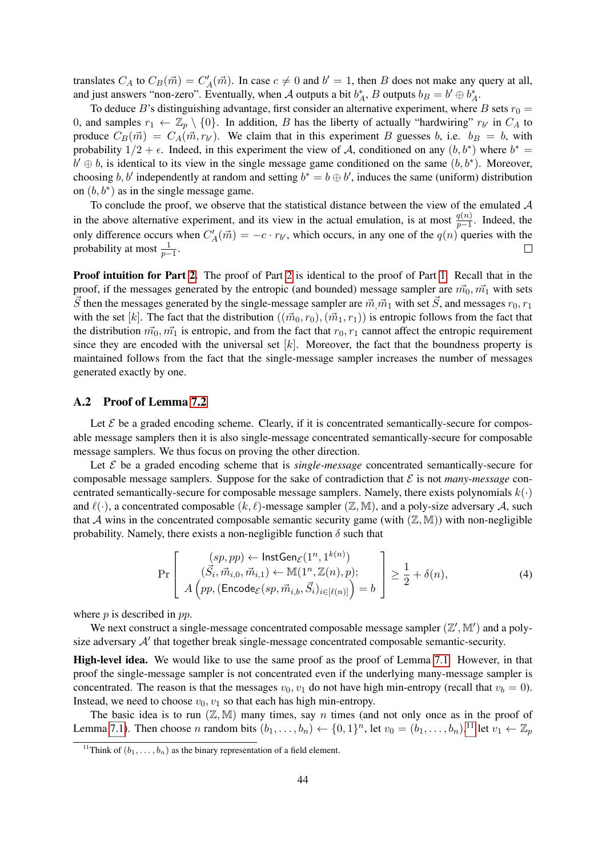translates  $C_A$  to  $C_B(\vec{m}) = C'_A(\vec{m})$ . In case  $c \neq 0$  and  $b' = 1$ , then B does not make any query at all, and just answers "non-zero". Eventually, when A outputs a bit  $b_A^*$ , B outputs  $b_B = b' \oplus b_A^*$ .

To deduce B's distinguishing advantage, first consider an alternative experiment, where B sets  $r_0 =$ 0, and samples  $r_1 \leftarrow \mathbb{Z}_p \setminus \{0\}$ . In addition, B has the liberty of actually "hardwiring"  $r_{b'}$  in  $C_A$  to produce  $C_B(\vec{m}) = C_A(\vec{m}, r_{b'})$ . We claim that in this experiment B guesses b, i.e.  $b_B = b$ , with probability  $1/2 + \epsilon$ . Indeed, in this experiment the view of A, conditioned on any  $(b, b^*)$  where  $b^* =$  $b' \oplus b$ , is identical to its view in the single message game conditioned on the same  $(b, b^*)$ . Moreover, choosing b, b' independently at random and setting  $b^* = b \oplus b'$ , induces the same (uniform) distribution on  $(b, b^*)$  as in the single message game.

To conclude the proof, we observe that the statistical distance between the view of the emulated  $A$ in the above alternative experiment, and its view in the actual emulation, is at most  $\frac{q(n)}{p-1}$ . Indeed, the only difference occurs when  $C'_A(\vec{m}) = -c \cdot r_{b'}$ , which occurs, in any one of the  $q(n)$  queries with the probability at most  $\frac{1}{p-1}$ .  $\Box$ 

Proof intuition for Part [2.](#page-32-5) The proof of Part [2](#page-32-5) is identical to the proof of Part [1.](#page-32-4) Recall that in the proof, if the messages generated by the entropic (and bounded) message sampler are  $\vec{m_0}, \vec{m_1}$  with sets S then the messages generated by the single-message sampler are  $\vec{m}$ ,  $\vec{m}_1$  with set  $\vec{S}$ , and messages  $r_0, r_1$ with the set [k]. The fact that the distribution  $((\vec{m}_0, r_0), (\vec{m}_1, r_1))$  is entropic follows from the fact that the distribution  $\vec{m_0}, \vec{m_1}$  is entropic, and from the fact that  $r_0, r_1$  cannot affect the entropic requirement since they are encoded with the universal set  $[k]$ . Moreover, the fact that the boundness property is maintained follows from the fact that the single-message sampler increases the number of messages generated exactly by one.

#### <span id="page-43-0"></span>A.2 Proof of Lemma [7.2](#page-33-0)

Let  $\mathcal E$  be a graded encoding scheme. Clearly, if it is concentrated semantically-secure for composable message samplers then it is also single-message concentrated semantically-secure for composable message samplers. We thus focus on proving the other direction.

Let  $\mathcal E$  be a graded encoding scheme that is *single-message* concentrated semantically-secure for composable message samplers. Suppose for the sake of contradiction that  $\mathcal E$  is not *many-message* concentrated semantically-secure for composable message samplers. Namely, there exists polynomials  $k(\cdot)$ and  $\ell(\cdot)$ , a concentrated composable  $(k, \ell)$ -message sampler  $(\mathbb{Z}, \mathbb{M})$ , and a poly-size adversary A, such that A wins in the concentrated composable semantic security game (with  $(\mathbb{Z}, \mathbb{M})$ ) with non-negligible probability. Namely, there exists a non-negligible function  $\delta$  such that

<span id="page-43-2"></span>
$$
\Pr\left[\begin{array}{c} (sp, pp) \leftarrow \mathsf{InstGen}_{\mathcal{E}}(1^n, 1^{k(n)})\\ (\vec{S}_i, \vec{m}_{i,0}, \vec{m}_{i,1}) \leftarrow \mathbb{M}(1^n, \mathbb{Z}(n), p);\\ A\left(pp, (\mathsf{Encode}_{\mathcal{E}}(sp, \vec{m}_{i,b}, \vec{S}_i)_{i \in [\ell(n)]}\right) = b \end{array}\right] \ge \frac{1}{2} + \delta(n),\tag{4}
$$

where  $p$  is described in  $pp$ .

We next construct a single-message concentrated composable message sampler  $(\mathbb{Z}', \mathbb{M}')$  and a polysize adversary  $A'$  that together break single-message concentrated composable semantic-security.

High-level idea. We would like to use the same proof as the proof of Lemma [7.1.](#page-32-3) However, in that proof the single-message sampler is not concentrated even if the underlying many-message sampler is concentrated. The reason is that the messages  $v_0, v_1$  do not have high min-entropy (recall that  $v_b = 0$ ). Instead, we need to choose  $v_0$ ,  $v_1$  so that each has high min-entropy.

The basic idea is to run  $(\mathbb{Z}, \mathbb{M})$  many times, say n times (and not only once as in the proof of Lemma [7.1\)](#page-32-3). Then choose n random bits  $(b_1, \ldots, b_n) \leftarrow \{0,1\}^n$ , let  $v_0 = (b_1, \ldots, b_n)$ ,  $\{1\}$  let  $v_1 \leftarrow \mathbb{Z}_p$ 

<span id="page-43-1"></span><sup>&</sup>lt;sup>11</sup>Think of  $(b_1, \ldots, b_n)$  as the binary representation of a field element.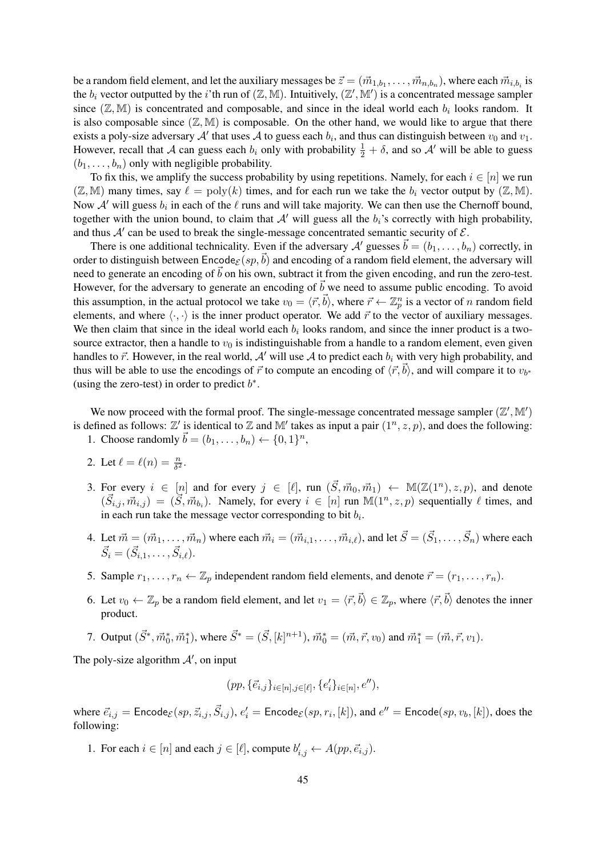be a random field element, and let the auxiliary messages be  $\vec{z}=(\vec{m}_{1,b_1},\ldots,\vec{m}_{n,b_n})$ , where each  $\vec{m}_{i,b_i}$  is the  $b_i$  vector outputted by the i'th run of  $(\mathbb{Z}, \mathbb{M})$ . Intuitively,  $(\mathbb{Z}', \mathbb{M}')$  is a concentrated message sampler since  $(\mathbb{Z}, \mathbb{M})$  is concentrated and composable, and since in the ideal world each  $b_i$  looks random. It is also composable since  $(\mathbb{Z}, \mathbb{M})$  is composable. On the other hand, we would like to argue that there exists a poly-size adversary  $A'$  that uses A to guess each  $b_i$ , and thus can distinguish between  $v_0$  and  $v_1$ . However, recall that A can guess each  $b_i$  only with probability  $\frac{1}{2} + \delta$ , and so A' will be able to guess  $(b_1, \ldots, b_n)$  only with negligible probability.

To fix this, we amplify the success probability by using repetitions. Namely, for each  $i \in [n]$  we run  $(\mathbb{Z}, \mathbb{M})$  many times, say  $\ell = \text{poly}(k)$  times, and for each run we take the  $b_i$  vector output by  $(\mathbb{Z}, \mathbb{M})$ . Now  $A'$  will guess  $b_i$  in each of the  $\ell$  runs and will take majority. We can then use the Chernoff bound, together with the union bound, to claim that  $A'$  will guess all the  $b_i$ 's correctly with high probability, and thus  $A'$  can be used to break the single-message concentrated semantic security of  $E$ .

There is one additional technicality. Even if the adversary A' guesses  $\vec{b} = (b_1, \ldots, b_n)$  correctly, in order to distinguish between  $\mathsf{Encode}_{\mathcal{E}}(sp,b)$  and encoding of a random field element, the adversary will need to generate an encoding of  $\vec{b}$  on his own, subtract it from the given encoding, and run the zero-test. However, for the adversary to generate an encoding of  $\vec{b}$  we need to assume public encoding. To avoid this assumption, in the actual protocol we take  $v_0 = \langle \vec{r}, \vec{b} \rangle$ , where  $\vec{r} \leftarrow \mathbb{Z}_p^n$  is a vector of n random field elements, and where  $\langle \cdot, \cdot \rangle$  is the inner product operator. We add  $\vec{r}$  to the vector of auxiliary messages. We then claim that since in the ideal world each  $b_i$  looks random, and since the inner product is a twosource extractor, then a handle to  $v_0$  is indistinguishable from a handle to a random element, even given handles to  $\vec{r}$ . However, in the real world,  $A'$  will use A to predict each  $b_i$  with very high probability, and thus will be able to use the encodings of  $\vec{r}$  to compute an encoding of  $\langle \vec{r}, \vec{b} \rangle$ , and will compare it to  $v_{b^*}$ (using the zero-test) in order to predict  $b^*$ .

We now proceed with the formal proof. The single-message concentrated message sampler  $(\mathbb{Z}', \mathbb{M}')$ is defined as follows:  $\mathbb{Z}'$  is identical to  $\mathbb Z$  and  $\mathbb M'$  takes as input a pair  $(1^n, z, p)$ , and does the following: 1. Choose randomly  $\vec{b} = (b_1, ..., b_n) \leftarrow \{0, 1\}^n$ ,

- 2. Let  $\ell = \ell(n) = \frac{n}{\delta^2}$ .
- 3. For every  $i \in [n]$  and for every  $j \in [\ell]$ , run  $(\vec{S}, \vec{m}_0, \vec{m}_1) \leftarrow \mathbb{M}(\mathbb{Z}(1^n), z, p)$ , and denote  $(\vec{S}_{i,j}, \vec{m}_{i,j}) = (\vec{S}, \vec{m}_{b_i})$ . Namely, for every  $i \in [n]$  run  $\mathbb{M}(1^n, z, p)$  sequentially  $\ell$  times, and in each run take the message vector corresponding to bit  $b_i$ .
- 4. Let  $\vec{m} = (\vec{m}_1, \dots, \vec{m}_n)$  where each  $\vec{m}_i = (\vec{m}_{i,1}, \dots, \vec{m}_{i,\ell})$ , and let  $\vec{S} = (\vec{S}_1, \dots, \vec{S}_n)$  where each  $\vec{S}_i = (\vec{S}_{i,1}, \ldots, \vec{S}_{i,\ell}).$
- 5. Sample  $r_1, \ldots, r_n \leftarrow \mathbb{Z}_p$  independent random field elements, and denote  $\vec{r} = (r_1, \ldots, r_n)$ .
- 6. Let  $v_0 \leftarrow \mathbb{Z}_p$  be a random field element, and let  $v_1 = \langle \vec{r}, \vec{b} \rangle \in \mathbb{Z}_p$ , where  $\langle \vec{r}, \vec{b} \rangle$  denotes the inner product.
- 7. Output  $(\vec{S}^*, \vec{m}_0^*, \vec{m}_1^*)$ , where  $\vec{S}^* = (\vec{S}, [k]^{n+1})$ ,  $\vec{m}_0^* = (\vec{m}, \vec{r}, v_0)$  and  $\vec{m}_1^* = (\vec{m}, \vec{r}, v_1)$ .

The poly-size algorithm  $A'$ , on input

$$
(pp, \{\vec{e}_{i,j}\}_{i \in [n], j \in [\ell]}, \{e'_i\}_{i \in [n]}, e''),
$$

where  $\vec{e}_{i,j} =$  Encode $_{\mathcal{E}}(sp, \vec{z}_{i,j}, \vec{S}_{i,j})$ ,  $e'_i =$  Encode $_{\mathcal{E}}(sp, r_i, [k])$ , and  $e'' =$  Encode $(sp, v_b, [k])$ , does the following:

1. For each  $i \in [n]$  and each  $j \in [\ell]$ , compute  $b'_{i,j} \leftarrow A(pp, \vec{e}_{i,j})$ .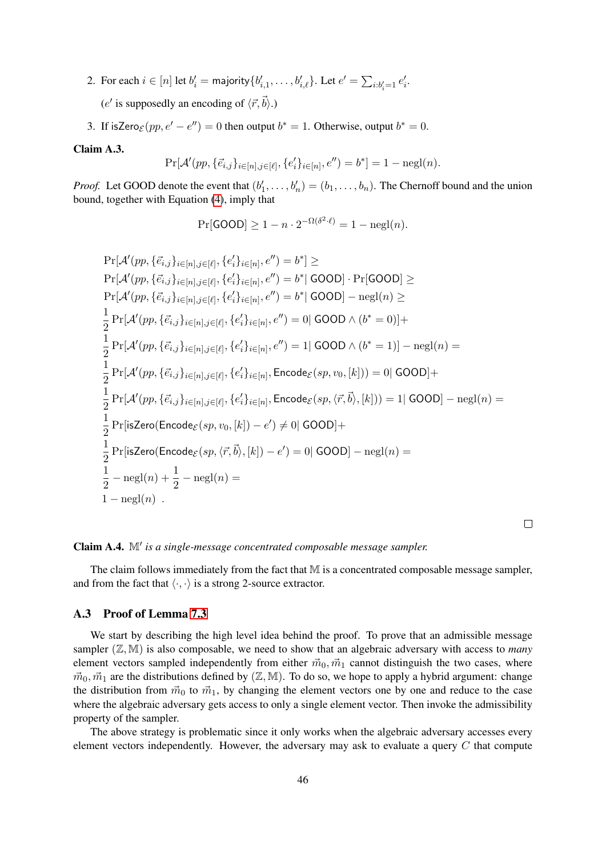2. For each  $i \in [n]$  let  $b'_i = \text{majority}\{b'_{i,1}, \ldots, b'_{i,\ell}\}$ . Let  $e' = \sum_{i:b'_i=1} e'_i$ .

(e' is supposedly an encoding of  $\langle \vec{r}, \vec{b} \rangle$ .)

3. If isZero $\varepsilon(pp, e' - e'') = 0$  then output  $b^* = 1$ . Otherwise, output  $b^* = 0$ .

Claim A.3.

$$
\Pr[\mathcal{A}'(pp, \{\vec{e}_{i,j}\}_{i \in [n], j \in [\ell]}, \{e'_i\}_{i \in [n]}, e'') = b^*] = 1 - \operatorname{negl}(n).
$$

*Proof.* Let GOOD denote the event that  $(b'_1, \ldots, b'_n) = (b_1, \ldots, b_n)$ . The Chernoff bound and the union bound, together with Equation [\(4\)](#page-43-2), imply that

$$
\Pr[\text{GOOD}] \ge 1 - n \cdot 2^{-\Omega(\delta^2 \cdot \ell)} = 1 - \text{negl}(n).
$$

$$
\Pr[\mathcal{A}'(pp, \{\vec{e}_{i,j}\}_{i \in [n], j \in [\ell]}, \{e'_{i}\}_{i \in [n]}, e'') = b^{*}] \ge
$$
\n
$$
\Pr[\mathcal{A}'(pp, \{\vec{e}_{i,j}\}_{i \in [n], j \in [\ell]}, \{e'_{i}\}_{i \in [n]}, e'') = b^{*} | \text{GOOD} | \cdot \Pr[\text{GOOD}] \ge
$$
\n
$$
\Pr[\mathcal{A}'(pp, \{\vec{e}_{i,j}\}_{i \in [n], j \in [\ell]}, \{e'_{i}\}_{i \in [n]}, e'') = b^{*} | \text{GOOD} | - \text{negl}(n) \ge
$$
\n
$$
\frac{1}{2} \Pr[\mathcal{A}'(pp, \{\vec{e}_{i,j}\}_{i \in [n], j \in [\ell]}, \{e'_{i}\}_{i \in [n]}, e'') = 0 | \text{GOOD} \land (b^{*} = 0)] +
$$
\n
$$
\frac{1}{2} \Pr[\mathcal{A}'(pp, \{\vec{e}_{i,j}\}_{i \in [n], j \in [\ell]}, \{e'_{i}\}_{i \in [n]}, e'') = 1 | \text{GOOD} \land (b^{*} = 1)] - \text{negl}(n) =
$$
\n
$$
\frac{1}{2} \Pr[\mathcal{A}'(pp, \{\vec{e}_{i,j}\}_{i \in [n], j \in [\ell]}, \{e'_{i}\}_{i \in [n]}, \text{Encode}_{\mathcal{E}}(sp, v_{0}, [k])) = 0 | \text{GOOD}| +
$$
\n
$$
\frac{1}{2} \Pr[\mathcal{A}'(pp, \{\vec{e}_{i,j}\}_{i \in [n], j \in [\ell]}, \{e'_{i}\}_{i \in [n]}, \text{Encode}_{\mathcal{E}}(sp, \langle \vec{r}, \vec{b} \rangle, [k])) = 1 | \text{GOOD} | - \text{negl}(n) =
$$
\n
$$
\frac{1}{2} \Pr[\text{isZero}(\text{Encode}_{\mathcal{E}}(sp, v_{0}, [k]) - e') \neq 0 | \text{GOOD}| +
$$
\n
$$
\frac{1}{2} \Pr[\text{isZero}(\text{Encode}_{\mathcal{E}}(sp, \langle \vec{r}, \vec{b}), [k]) - e') = 0 | \text{GOOD} | - \text{negl}(n) =
$$
\n
$$
\frac
$$

 $\Box$ 

## Claim A.4. M' is a single-message concentrated composable message sampler.

The claim follows immediately from the fact that M is a concentrated composable message sampler, and from the fact that  $\langle \cdot, \cdot \rangle$  is a strong 2-source extractor.

#### <span id="page-45-0"></span>A.3 Proof of Lemma [7.3](#page-33-1)

We start by describing the high level idea behind the proof. To prove that an admissible message sampler (Z, M) is also composable, we need to show that an algebraic adversary with access to *many* element vectors sampled independently from either  $\vec{m}_0$ ,  $\vec{m}_1$  cannot distinguish the two cases, where  $\vec{m}_0$ ,  $\vec{m}_1$  are the distributions defined by (Z, M). To do so, we hope to apply a hybrid argument: change the distribution from  $\vec{m}_0$  to  $\vec{m}_1$ , by changing the element vectors one by one and reduce to the case where the algebraic adversary gets access to only a single element vector. Then invoke the admissibility property of the sampler.

The above strategy is problematic since it only works when the algebraic adversary accesses every element vectors independently. However, the adversary may ask to evaluate a query  $C$  that compute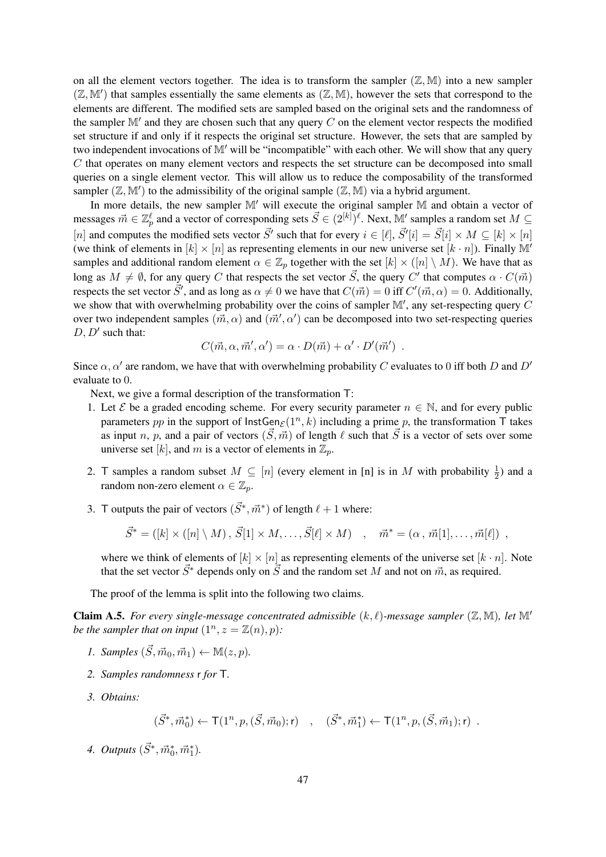on all the element vectors together. The idea is to transform the sampler  $(\mathbb{Z}, \mathbb{M})$  into a new sampler  $(\mathbb{Z}, \mathbb{M}')$  that samples essentially the same elements as  $(\mathbb{Z}, \mathbb{M})$ , however the sets that correspond to the elements are different. The modified sets are sampled based on the original sets and the randomness of the sampler  $\mathbb{M}'$  and they are chosen such that any query  $C$  on the element vector respects the modified set structure if and only if it respects the original set structure. However, the sets that are sampled by two independent invocations of  $M'$  will be "incompatible" with each other. We will show that any query C that operates on many element vectors and respects the set structure can be decomposed into small queries on a single element vector. This will allow us to reduce the composability of the transformed sampler  $(\mathbb{Z}, \mathbb{M}')$  to the admissibility of the original sample  $(\mathbb{Z}, \mathbb{M})$  via a hybrid argument.

In more details, the new sampler  $\mathbb{M}'$  will execute the original sampler  $\mathbb{M}$  and obtain a vector of messages  $\vec{m} \in \mathbb{Z}_p^\ell$  and a vector of corresponding sets  $\vec{S} \in (2^{[k]})^\ell$ . Next,  $\vec{M}'$  samples a random set  $M \subseteq$ [n] and computes the modified sets vector  $\vec{S}'$  such that for every  $i \in [\ell], \vec{S}'[i] = \vec{S}[i] \times M \subseteq [k] \times [n]$ (we think of elements in  $[k] \times [n]$  as representing elements in our new universe set  $[k \cdot n]$ ). Finally M<sup>t</sup> samples and additional random element  $\alpha \in \mathbb{Z}_p$  together with the set  $[k] \times ([n] \setminus M)$ . We have that as long as  $M \neq \emptyset$ , for any query C that respects the set vector  $\vec{S}$ , the query C' that computes  $\alpha \cdot C(\vec{m})$ respects the set vector  $\vec{S}'$ , and as long as  $\alpha \neq 0$  we have that  $C(\vec{m}) = 0$  iff  $C'(\vec{m}, \alpha) = 0$ . Additionally, we show that with overwhelming probability over the coins of sampler  $\mathbb{M}'$ , any set-respecting query  $C$ over two independent samples  $(\vec{m}, \alpha)$  and  $(\vec{m}', \alpha')$  can be decomposed into two set-respecting queries  $D, D'$  such that:

$$
C(\vec{m}, \alpha, \vec{m}', \alpha') = \alpha \cdot D(\vec{m}) + \alpha' \cdot D'(\vec{m}')
$$
.

Since  $\alpha, \alpha'$  are random, we have that with overwhelming probability C evaluates to 0 iff both D and D' evaluate to 0.

Next, we give a formal description of the transformation T:

- 1. Let  $\mathcal E$  be a graded encoding scheme. For every security parameter  $n \in \mathbb N$ , and for every public parameters pp in the support of  $\textsf{InstGen}_{\mathcal{E}}(1^n, k)$  including a prime p, the transformation T takes as input n, p, and a pair of vectors  $(\vec{S}, \vec{m})$  of length  $\ell$  such that  $\vec{S}$  is a vector of sets over some universe set [k], and m is a vector of elements in  $\mathbb{Z}_p$ .
- 2. T samples a random subset  $M \subseteq [n]$  (every element in [n] is in M with probability  $\frac{1}{2}$ ) and a random non-zero element  $\alpha \in \mathbb{Z}_p$ .
- 3. T outputs the pair of vectors  $(\vec{S}^*, \vec{m}^*)$  of length  $\ell + 1$  where:

$$
\vec{S}^* = ([k] \times ([n] \setminus M), \vec{S}[1] \times M, \dots, \vec{S}[\ell] \times M) \quad , \quad \vec{m}^* = (\alpha, \vec{m}[1], \dots, \vec{m}[\ell]) \; ,
$$

where we think of elements of  $[k] \times [n]$  as representing elements of the universe set  $[k \cdot n]$ . Note that the set vector  $\vec{S}^*$  depends only on  $\vec{S}$  and the random set M and not on  $\vec{m}$ , as required.

The proof of the lemma is split into the following two claims.

<span id="page-46-0"></span>**Claim A.5.** For every single-message concentrated admissible  $(k, \ell)$ -message sampler  $(\mathbb{Z}, \mathbb{M})$ , let  $\mathbb{M}'$ *be the sampler that on input*  $(1^n, z = \mathbb{Z}(n), p)$ *:* 

- *1. Samples*  $(\vec{S}, \vec{m}_0, \vec{m}_1) \leftarrow \mathbb{M}(z, p)$ *.*
- *2. Samples randomness* r *for* T*.*
- *3. Obtains:*

$$
(\vec{S}^*, \vec{m}_0^*) \leftarrow \mathsf{T}(1^n, p, (\vec{S}, \vec{m}_0); \mathsf{r}) \quad , \quad (\vec{S}^*, \vec{m}_1^*) \leftarrow \mathsf{T}(1^n, p, (\vec{S}, \vec{m}_1); \mathsf{r}) \; .
$$

*4. Outputs*  $(\vec{S}^*, \vec{m}_0^*, \vec{m}_1^*)$ .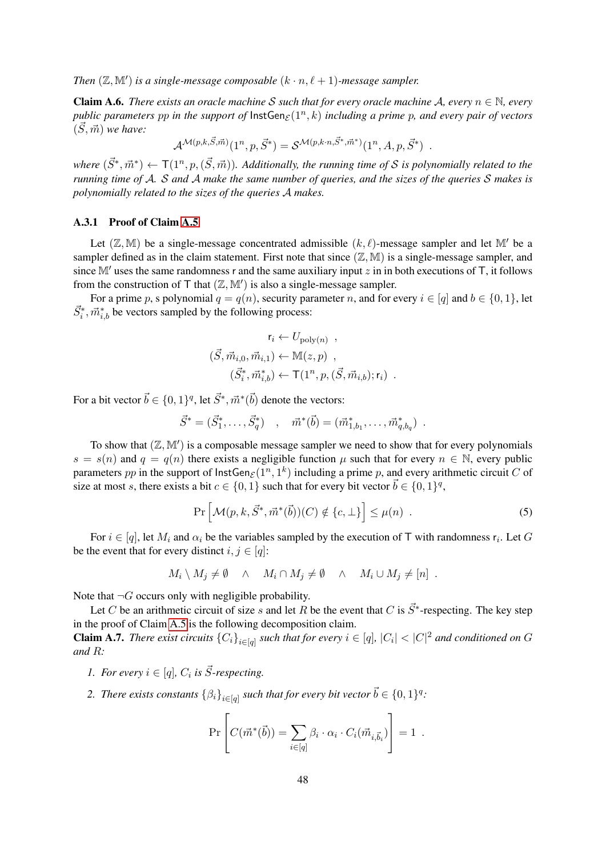*Then*  $(\mathbb{Z}, \mathbb{M}')$  *is a single-message composable*  $(k \cdot n, \ell + 1)$ *-message sampler.* 

<span id="page-47-2"></span>**Claim A.6.** *There exists an oracle machine* S such that for every oracle machine A, every  $n \in \mathbb{N}$ , every  $p$ ublic parameters  $pp$  in the support of  $\mathsf{InstGen}_\mathcal{E}(1^n,k)$  including a prime  $p$ , and every pair of vectors  $(\vec{S}, \vec{m})$  *we have:* 

$$
\mathcal{A}^{\mathcal{M}(p,k,\vec{S},\vec{m})}(1^n,p,\vec{S}^*) = \mathcal{S}^{\mathcal{M}(p,k\cdot n,\vec{S}^*,\vec{m}^*)}(1^n,A,p,\vec{S}^*) \enspace.
$$

 $where \ (\vec{S}^*, \vec{m}^*) \leftarrow \textsf{T}(1^n, p, (\vec{S}, \vec{m}))$ . Additionally, the running time of S is polynomially related to the *running time of* A*.* S *and* A *make the same number of queries, and the sizes of the queries* S *makes is polynomially related to the sizes of the queries* A *makes.*

#### A.3.1 Proof of Claim [A.5](#page-46-0)

Let  $(\mathbb{Z}, \mathbb{M})$  be a single-message concentrated admissible  $(k, \ell)$ -message sampler and let M' be a sampler defined as in the claim statement. First note that since  $(\mathbb{Z}, \mathbb{M})$  is a single-message sampler, and since  $\mathbb{M}'$  uses the same randomness r and the same auxiliary input z in in both executions of T, it follows from the construction of  $\top$  that  $(\mathbb{Z}, \mathbb{M}')$  is also a single-message sampler.

For a prime p, s polynomial  $q = q(n)$ , security parameter n, and for every  $i \in [q]$  and  $b \in \{0, 1\}$ , let  $\vec{S}_{i}^{*}$ ,  $\vec{m}_{i,b}^{*}$  be vectors sampled by the following process:

$$
r_i \leftarrow U_{\text{poly}(n)},
$$
  

$$
(\vec{S}, \vec{m}_{i,0}, \vec{m}_{i,1}) \leftarrow \mathbb{M}(z, p),
$$
  

$$
(\vec{S}_i^*, \vec{m}_{i,b}^*) \leftarrow \mathsf{T}(1^n, p, (\vec{S}, \vec{m}_{i,b}); \mathsf{r}_i).
$$

For a bit vector  $\vec{b} \in \{0, 1\}^q$ , let  $\vec{S}^*, \vec{m}^*(\vec{b})$  denote the vectors:

$$
\vec{S}^* = (\vec{S}_1^*, \dots, \vec{S}_q^*) \quad , \quad \vec{m}^*(\vec{b}) = (\vec{m}_{1,b_1}^*, \dots, \vec{m}_{q,b_q}^*) \; .
$$

To show that  $(\mathbb{Z}, \mathbb{M}')$  is a composable message sampler we need to show that for every polynomials  $s = s(n)$  and  $q = q(n)$  there exists a negligible function  $\mu$  such that for every  $n \in \mathbb{N}$ , every public parameters  $pp$  in the support of  $\mathsf{InstGen}_{\mathcal{E}}(1^n, 1^k)$  including a prime p, and every arithmetic circuit C of size at most s, there exists a bit  $c \in \{0, 1\}$  such that for every bit vector  $\vec{b} \in \{0, 1\}^q$ ,

<span id="page-47-0"></span>
$$
\Pr\left[\mathcal{M}(p,k,\vec{S}^*,\vec{m}^*(\vec{b}))(C) \notin \{c,\perp\}\right] \le \mu(n) \quad . \tag{5}
$$

For  $i \in [q]$ , let  $M_i$  and  $\alpha_i$  be the variables sampled by the execution of T with randomness  $r_i$ . Let  $G$ be the event that for every distinct  $i, j \in [q]$ :

$$
M_i \setminus M_j \neq \emptyset \quad \wedge \quad M_i \cap M_j \neq \emptyset \quad \wedge \quad M_i \cup M_j \neq [n] .
$$

Note that  $\neg G$  occurs only with negligible probability.

<span id="page-47-1"></span>Let C be an arithmetic circuit of size s and let R be the event that C is  $\vec{S}^*$ -respecting. The key step in the proof of Claim [A.5](#page-46-0) is the following decomposition claim. **Claim A.7.** *There exist circuits*  $\{C_i\}_{i \in [q]}$  *such that for every*  $i \in [q]$ ,  $|C_i| < |C|^2$  *and conditioned on* G *and* R*:*

- *1. For every*  $i \in [q]$ ,  $C_i$  is  $\vec{S}$ -respecting.
- 2. *There exists constants*  $\{\beta_i\}_{i\in[q]}$  *such that for every bit vector*  $\vec{b}\in\{0,1\}^q$ *:*

$$
\Pr\left[C(\vec{m}^*(\vec{b})) = \sum_{i \in [q]} \beta_i \cdot \alpha_i \cdot C_i(\vec{m}_{i, \vec{b}_i})\right] = 1.
$$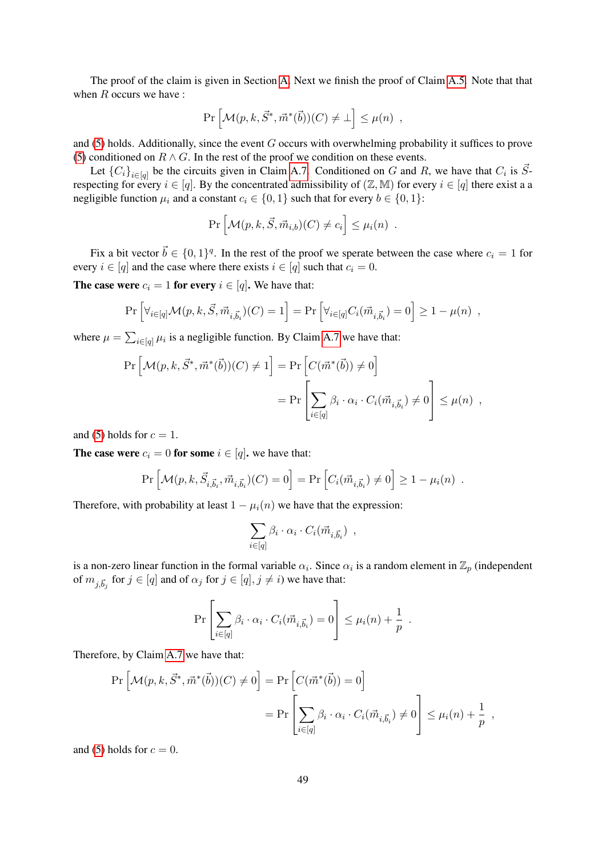The proof of the claim is given in Section [A.](#page-49-0) Next we finish the proof of Claim [A.5.](#page-46-0) Note that that when  $R$  occurs we have :

$$
\Pr\left[\mathcal{M}(p,k,\vec{S}^*,\vec{m}^*(\vec{b}))(C) \neq \bot\right] \leq \mu(n) ,
$$

and  $(5)$  holds. Additionally, since the event G occurs with overwhelming probability it suffices to prove [\(5\)](#page-47-0) conditioned on  $R \wedge G$ . In the rest of the proof we condition on these events.

Let  $\{C_i\}_{i\in[q]}$  be the circuits given in Claim [A.7.](#page-47-1) Conditioned on G and R, we have that  $C_i$  is  $\vec{S}$ respecting for every  $i \in [q]$ . By the concentrated admissibility of  $(\mathbb{Z}, \mathbb{M})$  for every  $i \in [q]$  there exist a a negligible function  $\mu_i$  and a constant  $c_i \in \{0, 1\}$  such that for every  $b \in \{0, 1\}$ :

$$
\Pr\left[\mathcal{M}(p,k,\vec{S},\vec{m}_{i,b})(C) \neq c_i\right] \leq \mu_i(n) .
$$

Fix a bit vector  $\vec{b} \in \{0, 1\}^q$ . In the rest of the proof we sperate between the case where  $c_i = 1$  for every  $i \in [q]$  and the case where there exists  $i \in [q]$  such that  $c_i = 0$ .

The case were  $c_i = 1$  for every  $i \in [q]$ . We have that:

$$
\Pr\left[\forall_{i\in[q]}\mathcal{M}(p,k,\vec{S},\vec{m}_{i,\vec{b}_i})(C)=1\right] = \Pr\left[\forall_{i\in[q]}C_i(\vec{m}_{i,\vec{b}_i})=0\right] \ge 1-\mu(n) ,
$$

where  $\mu = \sum_{i \in [q]} \mu_i$  is a negligible function. By Claim [A.7](#page-47-1) we have that:

$$
\Pr\left[\mathcal{M}(p,k,\vec{S}^*,\vec{m}^*(\vec{b}))(C) \neq 1\right] = \Pr\left[C(\vec{m}^*(\vec{b})) \neq 0\right]
$$

$$
= \Pr\left[\sum_{i \in [q]} \beta_i \cdot \alpha_i \cdot C_i(\vec{m}_{i,\vec{b}_i}) \neq 0\right] \leq \mu(n) ,
$$

and [\(5\)](#page-47-0) holds for  $c = 1$ .

**The case were**  $c_i = 0$  for some  $i \in [q]$ , we have that:

$$
\Pr\left[\mathcal{M}(p,k,\vec{S}_{i,\vec{b}_i},\vec{m}_{i,\vec{b}_i})(C)=0\right] = \Pr\left[C_i(\vec{m}_{i,\vec{b}_i}) \neq 0\right] \ge 1 - \mu_i(n) .
$$

Therefore, with probability at least  $1 - \mu_i(n)$  we have that the expression:

$$
\sum_{i \in [q]} \beta_i \cdot \alpha_i \cdot C_i(\vec{m}_{i, \vec{b}_i}) \enspace ,
$$

is a non-zero linear function in the formal variable  $\alpha_i$ . Since  $\alpha_i$  is a random element in  $\mathbb{Z}_p$  (independent of  $m_{j,\vec{b}_j}$  for  $j \in [q]$  and of  $\alpha_j$  for  $j \in [q], j \neq i$ ) we have that:

$$
\Pr\left[\sum_{i\in[q]} \beta_i \cdot \alpha_i \cdot C_i(\vec{m}_{i,\vec{b}_i}) = 0\right] \leq \mu_i(n) + \frac{1}{p}.
$$

Therefore, by Claim [A.7](#page-47-1) we have that:

$$
\Pr\left[\mathcal{M}(p,k,\vec{S}^*,\vec{m}^*(\vec{b}))(C) \neq 0\right] = \Pr\left[C(\vec{m}^*(\vec{b})) = 0\right]
$$

$$
= \Pr\left[\sum_{i \in [q]} \beta_i \cdot \alpha_i \cdot C_i(\vec{m}_{i,\vec{b}_i}) \neq 0\right] \leq \mu_i(n) + \frac{1}{p},
$$

and [\(5\)](#page-47-0) holds for  $c = 0$ .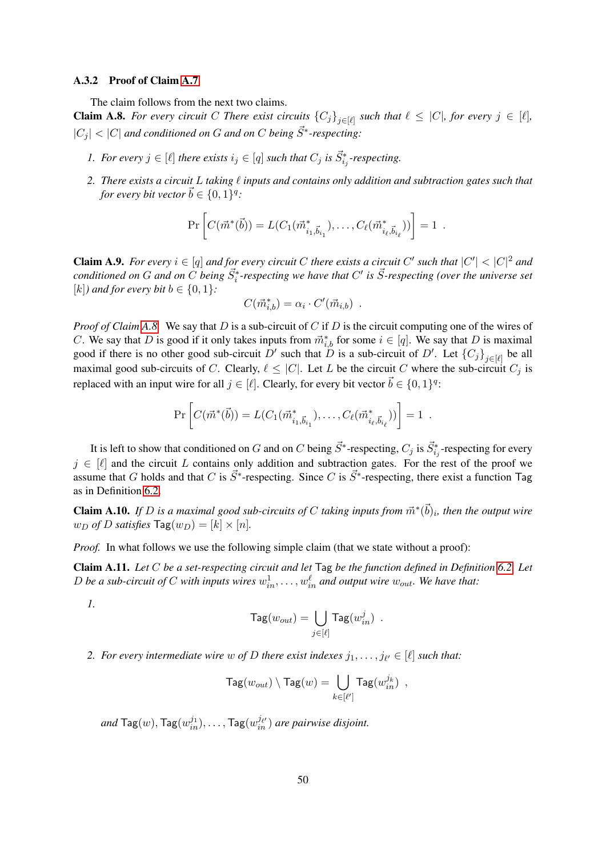#### <span id="page-49-0"></span>A.3.2 Proof of Claim [A.7](#page-47-1)

The claim follows from the next two claims.

<span id="page-49-1"></span>**Claim A.8.** For every circuit C There exist circuits  ${C_j}_{j \in [\ell]}$  such that  $\ell \leq |C|$ *, for every*  $j \in [\ell]$ *,*  $|C_j| < |C|$  and conditioned on G and on C being  $\vec{S}^*$ -respecting:

- *1. For every*  $j \in [\ell]$  *there exists*  $i_j \in [q]$  *such that*  $C_j$  *is*  $\vec{S}_{i_j}^*$ -*respecting.*
- 2. There exists a circuit L taking  $\ell$  *inputs and contains only addition and subtraction gates such that for every bit vector*  $\vec{b} \in \{0,1\}^q$ :

$$
\Pr\left[C(\vec{m}^*(\vec{b})) = L(C_1(\vec{m}^*_{i_1,\vec{b}_{i_1}}),\ldots,C_\ell(\vec{m}^*_{i_\ell,\vec{b}_{i_\ell}}))\right] = 1.
$$

<span id="page-49-4"></span>**Claim A.9.** For every  $i \in [q]$  and for every circuit C there exists a circuit C' such that  $|C'| < |C|^2$  and *conditioned on* G and on C being  $\vec{S}_i^*$ -respecting we have that C' is  $\vec{S}$ -respecting (over the universe set [k]*)* and for every bit  $b \in \{0, 1\}$ *:* 

$$
C(\vec{m}_{i,b}^*) = \alpha_i \cdot C'(\vec{m}_{i,b}) .
$$

*Proof of Claim [A.8.](#page-49-1)* We say that D is a sub-circuit of C if D is the circuit computing one of the wires of C. We say that D is good if it only takes inputs from  $\vec{m}_{i,b}^*$  for some  $i \in [q]$ . We say that D is maximal good if there is no other good sub-circuit D' such that D is a sub-circuit of D'. Let  ${C_j}_{j \in [l]}$  be all maximal good sub-circuits of C. Clearly,  $\ell \leq |C|$ . Let L be the circuit C where the sub-circuit  $C_j$  is replaced with an input wire for all  $j \in [\ell]$ . Clearly, for every bit vector  $\vec{b} \in \{0, 1\}^q$ :

$$
\Pr\left[C(\vec{m}^*(\vec{b})) = L(C_1(\vec{m}^*_{i_1,\vec{b}_{i_1}}),\ldots,C_\ell(\vec{m}^*_{i_\ell,\vec{b}_{i_\ell}}))\right] = 1.
$$

It is left to show that conditioned on G and on C being  $\vec{S}^*$ -respecting,  $C_j$  is  $\vec{S}_{i_j}^*$ -respecting for every  $j \in [\ell]$  and the circuit L contains only addition and subtraction gates. For the rest of the proof we assume that G holds and that C is  $\vec{S}^*$ -respecting. Since C is  $\vec{S}^*$ -respecting, there exist a function Tag as in Definition [6.2.](#page-24-3)

<span id="page-49-3"></span>**Claim A.10.** If D is a maximal good sub-circuits of C taking inputs from  $\vec{m}$ <sup>\*</sup>( $\vec{b}$ )<sub>i</sub>, then the output wire  $w_D$  *of* D *satisfies* Tag $(w_D) = [k] \times [n]$ .

*Proof.* In what follows we use the following simple claim (that we state without a proof):

<span id="page-49-2"></span>Claim A.11. *Let* C *be a set-respecting circuit and let* Tag *be the function defined in Definition [6.2.](#page-24-3) Let* D be a sub-circuit of C with inputs wires  $w_{in}^1, \ldots, w_{in}^\ell$  and output wire  $w_{out}$ . We have that:

*1.*

$$
\mathsf{Tag}(w_{out}) = \bigcup_{j \in [\ell]} \mathsf{Tag}(w_{in}^j) \enspace .
$$

2. For every intermediate wire  $w$  of  $D$  there exist indexes  $j_1, \ldots, j_{\ell'} \in [\ell]$  such that:

$$
\mathsf{Tag}(w_{out}) \setminus \mathsf{Tag}(w) = \bigcup_{k \in [\ell']} \mathsf{Tag}(w_{in}^{j_k}) ,
$$

and  $\mathsf{Tag}(w)$ ,  $\mathsf{Tag}(w_{in}^{j_1}), \ldots, \mathsf{Tag}(w_{in}^{j_{\ell'}})$  are pairwise disjoint.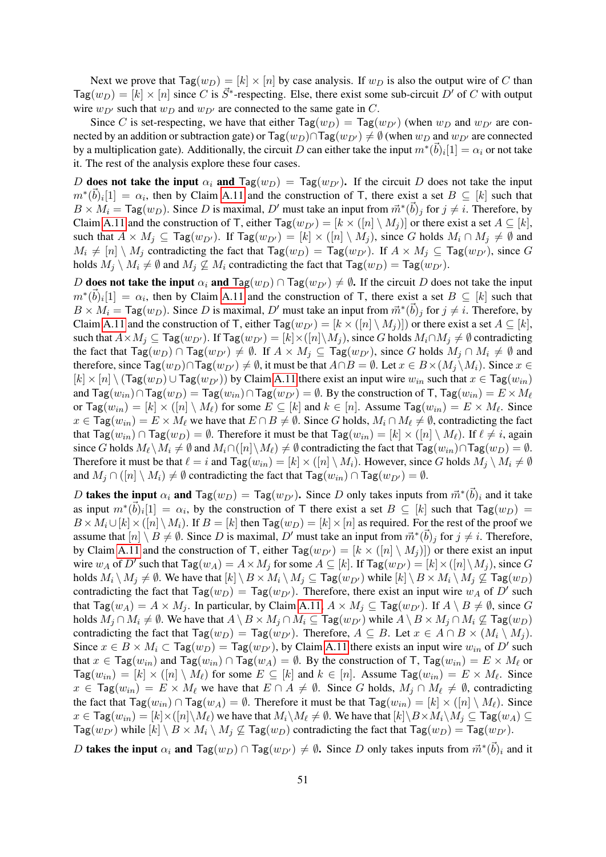Next we prove that  $\text{Tag}(w_D) = [k] \times [n]$  by case analysis. If  $w_D$  is also the output wire of C than  $Tag(w_D) = [k] \times [n]$  since C is  $\vec{S}^*$ -respecting. Else, there exist some sub-circuit D' of C with output wire  $w_{D}$  such that  $w_D$  and  $w_{D}$  are connected to the same gate in C.

Since C is set-respecting, we have that either  $\text{Tag}(w_D) = \text{Tag}(w_{D'})$  (when  $w_D$  and  $w_{D'}$  are connected by an addition or subtraction gate) or  $\text{Tag}(w_D) \cap \text{Tag}(w_{D'}) \neq \emptyset$  (when  $w_D$  and  $w_{D'}$  are connected by a multiplication gate). Additionally, the circuit D can either take the input  $m^*(\vec{b})_i[1] = \alpha_i$  or not take it. The rest of the analysis explore these four cases.

D does not take the input  $\alpha_i$  and  $\text{Tag}(w_D) = \text{Tag}(w_{D^{\prime}})$ . If the circuit D does not take the input  $m^*(\vec{b})_i[1] = \alpha_i$ , then by Claim [A.11](#page-49-2) and the construction of T, there exist a set  $B \subseteq [k]$  such that  $B \times M_i = \text{Tag}(w_D)$ . Since D is maximal, D' must take an input from  $\vec{m}^*(\vec{b})_j$  for  $j \neq i$ . Therefore, by Claim [A.11](#page-49-2) and the construction of T, either  $\text{Tag}(w_{D'}) = [k \times ([n] \setminus M_j)]$  or there exist a set  $A \subseteq [k]$ , such that  $A \times M_j \subseteq \text{Tag}(w_{D'})$ . If  $\text{Tag}(w_{D'}) = [k] \times ([n] \setminus M_j)$ , since G holds  $M_i \cap M_j \neq \emptyset$  and  $M_i \neq [n] \setminus M_j$  contradicting the fact that  $\text{Tag}(w_D) = \text{Tag}(w_{D'})$ . If  $A \times M_j \subseteq \text{Tag}(w_{D'})$ , since G holds  $M_i \setminus M_i \neq \emptyset$  and  $M_j \not\subseteq M_i$  contradicting the fact that  $\text{Tag}(w_D) = \text{Tag}(w_D)$ .

D does not take the input  $\alpha_i$  and  $\text{Tag}(w_D) \cap \text{Tag}(w_{D'}) \neq \emptyset$ . If the circuit D does not take the input  $m^*(\vec{b})_i[1] = \alpha_i$ , then by Claim [A.11](#page-49-2) and the construction of T, there exist a set  $B \subseteq [k]$  such that  $B \times M_i = \text{Tag}(w_D)$ . Since D is maximal, D' must take an input from  $\vec{m}^*(\vec{b})_j$  for  $j \neq i$ . Therefore, by Claim [A.11](#page-49-2) and the construction of T, either  $\text{Tag}(w_{D'}) = [k \times ([n] \setminus M_i)])$  or there exist a set  $A \subseteq [k]$ , such that  $A \times M_j \subseteq \text{Tag}(w_{D^{\prime}})$ . If  $\text{Tag}(w_{D^{\prime}}) = [k] \times ([n] \setminus M_j)$ , since G holds  $M_i \cap M_j \neq \emptyset$  contradicting the fact that  $\text{Tag}(w_D) \cap \text{Tag}(w_{D'}) \neq \emptyset$ . If  $A \times M_i \subseteq \text{Tag}(w_{D'})$ , since G holds  $M_i \cap M_i \neq \emptyset$  and therefore, since  $\text{Tag}(w_D) \cap \text{Tag}(w_{D'}) \neq \emptyset$ , it must be that  $A \cap B = \emptyset$ . Let  $x \in B \times (M_i \setminus M_i)$ . Since  $x \in B$  $[k] \times [n] \setminus (\text{Tag}(w_D) \cup \text{Tag}(w_{D'}))$  by Claim [A.11](#page-49-2) there exist an input wire  $w_{in}$  such that  $x \in \text{Tag}(w_{in})$ and  $\text{Tag}(w_{in}) \cap \text{Tag}(w_D) = \text{Tag}(w_{in}) \cap \text{Tag}(w_{D'}) = \emptyset$ . By the construction of T,  $\text{Tag}(w_{in}) = E \times M_{\ell}$ or  $\textsf{Tag}(w_{in}) = [k] \times ([n] \setminus M_\ell)$  for some  $E \subseteq [k]$  and  $k \in [n]$ . Assume  $\textsf{Tag}(w_{in}) = E \times M_\ell$ . Since  $x \in \text{Tag}(w_{in}) = E \times M_{\ell}$  we have that  $E \cap B \neq \emptyset$ . Since G holds,  $M_i \cap M_{\ell} \neq \emptyset$ , contradicting the fact that  $\text{Tag}(w_{in}) \cap \text{Tag}(w_D) = \emptyset$ . Therefore it must be that  $\text{Tag}(w_{in}) = [k] \times ([n] \setminus M_\ell)$ . If  $\ell \neq i$ , again since G holds  $M_\ell \setminus M_i \neq \emptyset$  and  $M_i \cap ([n] \setminus M_\ell) \neq \emptyset$  contradicting the fact that  $\text{Tag}(w_{in}) \cap \text{Tag}(w_D) = \emptyset$ . Therefore it must be that  $\ell = i$  and  $\text{Tag}(w_{in}) = [k] \times ([n] \setminus M_i)$ . However, since G holds  $M_j \setminus M_i \neq \emptyset$ and  $M_i \cap ([n] \setminus M_i) \neq \emptyset$  contradicting the fact that  $\text{Tag}(w_{in}) \cap \text{Tag}(w_{D'}) = \emptyset$ .

D takes the input  $\alpha_i$  and  $\text{Tag}(w_D) = \text{Tag}(w_{D'})$ . Since D only takes inputs from  $\vec{m}^*(\vec{b})_i$  and it take as input  $m^*(\vec{b})_i[1] = \alpha_i$ , by the construction of T there exist a set  $B \subseteq [k]$  such that  $\text{Tag}(w_D) =$  $B \times M_i \cup [k] \times ([n] \setminus M_i)$ . If  $B = [k]$  then  $\text{Tag}(w_D) = [k] \times [n]$  as required. For the rest of the proof we assume that  $[n] \setminus B \neq \emptyset$ . Since D is maximal, D' must take an input from  $\vec{m}^*(\vec{b})_j$  for  $j \neq i$ . Therefore, by Claim [A.11](#page-49-2) and the construction of T, either  $Tag(w_{D'}) = [k \times ([n] \setminus M_i)])$  or there exist an input wire  $w_A$  of D' such that  $\textsf{Tag}(w_A) = A \times M_j$  for some  $A \subseteq [k]$ . If  $\textsf{Tag}(w_{D'}) = [k] \times ([n] \setminus M_j)$ , since G holds  $M_i \setminus M_j \neq \emptyset$ . We have that  $[k] \setminus B \times M_i \setminus M_j \subseteq \text{Tag}(w_D)$  while  $[k] \setminus B \times M_i \setminus M_j \not\subseteq \text{Tag}(w_D)$ contradicting the fact that  $\text{Tag}(w_D) = \text{Tag}(w_{D'})$ . Therefore, there exist an input wire  $w_A$  of D' such that  $\text{Tag}(w_A) = A \times M_i$ . In particular, by Claim [A.11,](#page-49-2)  $A \times M_i \subseteq \text{Tag}(w_{D'})$ . If  $A \setminus B \neq \emptyset$ , since G holds  $M_i \cap M_i \neq \emptyset$ . We have that  $A \setminus B \times M_i \cap M_i \subseteq \text{Tag}(w_D)$  while  $A \setminus B \times M_i \cap M_i \not\subseteq \text{Tag}(w_D)$ contradicting the fact that  $\text{Tag}(w_D) = \text{Tag}(w_{D'})$ . Therefore,  $A \subseteq B$ . Let  $x \in A \cap B \times (M_i \setminus M_i)$ . Since  $x \in B \times M_i \subset \text{Tag}(w_D) = \text{Tag}(w_{D'})$ , by Claim [A.11](#page-49-2) there exists an input wire  $w_{in}$  of  $D'$  such that  $x \in \text{Tag}(w_{in})$  and  $\text{Tag}(w_{in}) \cap \text{Tag}(w_A) = \emptyset$ . By the construction of T,  $\text{Tag}(w_{in}) = E \times M_{\ell}$  or  $\textsf{Tag}(w_{in}) = [k] \times ([n] \setminus M_\ell)$  for some  $E \subseteq [k]$  and  $k \in [n]$ . Assume  $\textsf{Tag}(w_{in}) = E \times M_\ell$ . Since  $x \in \text{Tag}(w_{in}) = E \times M_\ell$  we have that  $E \cap A \neq \emptyset$ . Since G holds,  $M_i \cap M_\ell \neq \emptyset$ , contradicting the fact that  $\text{Tag}(w_{in}) \cap \text{Tag}(w_A) = \emptyset$ . Therefore it must be that  $\text{Tag}(w_{in}) = [k] \times ([n] \setminus M_\ell)$ . Since  $x \in \text{Tag}(w_{in}) = [k] \times ([n] \setminus M_\ell)$  we have that  $M_i \setminus M_\ell \neq \emptyset$ . We have that  $[k] \setminus B \times M_i \setminus M_j \subseteq \text{Tag}(w_A) \subseteq$ Tag( $w_{D}$ ) while  $[k] \setminus B \times M_i \setminus M_j \not\subseteq \text{Tag}(w_D)$  contradicting the fact that  $\text{Tag}(w_D) = \text{Tag}(w_{D}$ .

D takes the input  $\alpha_i$  and  $\text{Tag}(w_D) \cap \text{Tag}(w_{D'}) \neq \emptyset$ . Since D only takes inputs from  $\vec{m}^*(\vec{b})_i$  and it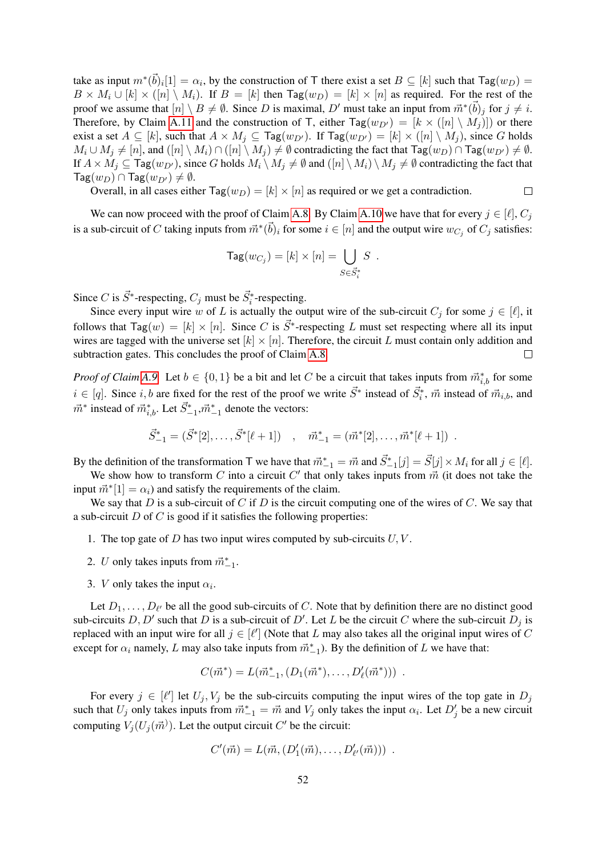take as input  $m^*(\vec{b})_i[1] = \alpha_i$ , by the construction of T there exist a set  $B \subseteq [k]$  such that  $\text{Tag}(w_D) =$  $B \times M_i \cup [k] \times ([n] \setminus M_i)$ . If  $B = [k]$  then  $\text{Tag}(w_D) = [k] \times [n]$  as required. For the rest of the proof we assume that  $[n] \setminus B \neq \emptyset$ . Since D is maximal, D' must take an input from  $\vec{m}^*(\vec{b})_j$  for  $j \neq i$ . Therefore, by Claim [A.11](#page-49-2) and the construction of T, either  $Tag(w_{D'}) = [k \times ([n] \setminus M_j)])$  or there exist a set  $A \subseteq [k]$ , such that  $A \times M_j \subseteq \text{Tag}(w_{D'})$ . If  $\text{Tag}(w_{D'}) = [k] \times ([n] \setminus M_j)$ , since G holds  $M_i \cup M_j \neq [n]$ , and  $([n] \setminus M_i) \cap ([n] \setminus M_j) \neq \emptyset$  contradicting the fact that  $\text{Tag}(w_D) \cap \text{Tag}(w_{D'}) \neq \emptyset$ . If  $A \times M_i \subseteq \text{Tag}(w_{D'})$ , since G holds  $M_i \setminus M_i \neq \emptyset$  and  $(|n| \setminus M_i) \setminus M_i \neq \emptyset$  contradicting the fact that  $\textsf{Tag}(w_D) \cap \textsf{Tag}(w_{D'}) \neq \emptyset.$ 

Overall, in all cases either  $\text{Tag}(w_D) = [k] \times [n]$  as required or we get a contradiction.  $\Box$ 

We can now proceed with the proof of Claim [A.8.](#page-49-1) By Claim [A.10](#page-49-3) we have that for every  $j \in [\ell], C_j$ is a sub-circuit of C taking inputs from  $\vec{m}^*(\vec{b})_i$  for some  $i \in [n]$  and the output wire  $w_{C_j}$  of  $C_j$  satisfies:

$$
\mathsf{Tag}(w_{C_j}) = [k] \times [n] = \bigcup_{S \in \vec{S}_i^*} S .
$$

Since C is  $\vec{S}^*$ -respecting,  $C_j$  must be  $\vec{S}_i^*$ -respecting.

Since every input wire w of L is actually the output wire of the sub-circuit  $C_i$  for some  $j \in [\ell]$ , it follows that  $\text{Tag}(w) = [k] \times [n]$ . Since C is  $\vec{S}^*$ -respecting L must set respecting where all its input wires are tagged with the universe set  $[k] \times [n]$ . Therefore, the circuit L must contain only addition and subtraction gates. This concludes the proof of Claim [A.8.](#page-49-1)  $\Box$ 

*Proof of Claim [A.9.](#page-49-4)* Let  $b \in \{0, 1\}$  be a bit and let C be a circuit that takes inputs from  $\vec{m}_{i,b}^*$  for some  $i \in [q]$ . Since i, b are fixed for the rest of the proof we write  $\vec{S}^*$  instead of  $\vec{S}_i^*, \vec{m}$  instead of  $\vec{m}_{i,b}$ , and  $\vec{m}^*$  instead of  $\vec{m}_{i,b}^*$ . Let  $\vec{S}_{-1}^*, \vec{m}_{-1}^*$  denote the vectors:

$$
\vec{S}_{-1}^* = (\vec{S}^*[2], \ldots, \vec{S}^*[\ell+1]) \quad , \quad \vec{m}_{-1}^* = (\vec{m}^*[2], \ldots, \vec{m}^*[\ell+1]) \; .
$$

By the definition of the transformation T we have that  $\vec{m}_{-1}^* = \vec{m}$  and  $\vec{S}_{-1}^*[j] = \vec{S}[j] \times M_i$  for all  $j \in [\ell]$ .

We show how to transform C into a circuit C' that only takes inputs from  $\vec{m}$  (it does not take the input  $\vec{m}$ <sup>\*</sup>[1] =  $\alpha_i$ ) and satisfy the requirements of the claim.

We say that  $D$  is a sub-circuit of  $C$  if  $D$  is the circuit computing one of the wires of  $C$ . We say that a sub-circuit  $D$  of  $C$  is good if it satisfies the following properties:

- 1. The top gate of  $D$  has two input wires computed by sub-circuits  $U, V$ .
- 2. U only takes inputs from  $\vec{m}_{-1}^*$ .
- 3. V only takes the input  $\alpha_i$ .

Let  $D_1, \ldots, D_{\ell'}$  be all the good sub-circuits of C. Note that by definition there are no distinct good sub-circuits D, D' such that D is a sub-circuit of D'. Let L be the circuit C where the sub-circuit  $D_j$  is replaced with an input wire for all  $j \in [\ell']$  (Note that L may also takes all the original input wires of C except for  $\alpha_i$  namely, L may also take inputs from  $\vec{m}_{-1}^*$ ). By the definition of L we have that:

$$
C(\vec{m}^*) = L(\vec{m}_{-1}^*, (D_1(\vec{m}^*), \dots, D'_{\ell}(\vec{m}^*))\ .
$$

For every  $j \in [\ell']$  let  $U_j, V_j$  be the sub-circuits computing the input wires of the top gate in  $D_j$ such that  $U_j$  only takes inputs from  $\vec{m}_{-1}^* = \vec{m}$  and  $V_j$  only takes the input  $\alpha_i$ . Let  $D'_j$  be a new circuit computing  $V_j(U_j(\vec{m}))$ . Let the output circuit C' be the circuit:

$$
C'(\vec{m}) = L(\vec{m}, (D'_1(\vec{m}), \ldots, D'_{\ell'}(\vec{m}))) .
$$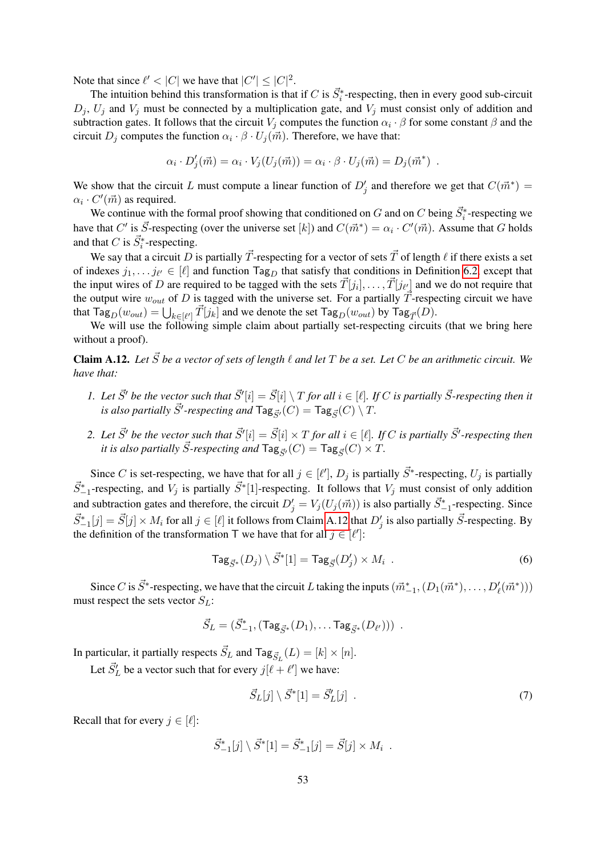Note that since  $\ell' < |C|$  we have that  $|C'| \leq |C|^2$ .

The intuition behind this transformation is that if C is  $\vec{S}_i^*$ -respecting, then in every good sub-circuit  $D_i$ ,  $U_i$  and  $V_i$  must be connected by a multiplication gate, and  $V_i$  must consist only of addition and subtraction gates. It follows that the circuit  $V_j$  computes the function  $\alpha_i \cdot \beta$  for some constant  $\beta$  and the circuit  $D_j$  computes the function  $\alpha_i \cdot \beta \cdot U_j(\vec{m})$ . Therefore, we have that:

$$
\alpha_i \cdot D'_j(\vec{m}) = \alpha_i \cdot V_j(U_j(\vec{m})) = \alpha_i \cdot \beta \cdot U_j(\vec{m}) = D_j(\vec{m}^*) .
$$

We show that the circuit L must compute a linear function of  $D'_j$  and therefore we get that  $C(\vec{m}^*) =$  $\alpha_i \cdot C'(\vec{m})$  as required.

We continue with the formal proof showing that conditioned on G and on C being  $\vec{S}_i^*$ -respecting we have that C' is  $\vec{S}$ -respecting (over the universe set [k]) and  $C(\vec{m}^*) = \alpha_i \cdot C'(\vec{m})$ . Assume that G holds and that C is  $\vec{S}_i^*$ -respecting.

We say that a circuit D is partially  $\vec{T}$ -respecting for a vector of sets  $\vec{T}$  of length  $\ell$  if there exists a set of indexes  $j_1, \ldots, j_{\ell'} \in [\ell]$  and function  $\text{Tag}_D$  that satisfy that conditions in Definition [6.2,](#page-24-3) except that the input wires of D are required to be tagged with the sets  $\vec{T}[j_i], \dots, \vec{T}[j_{\ell'}]$  and we do not require that the output wire  $w_{out}$  of D is tagged with the universe set. For a partially  $\vec{T}$ -respecting circuit we have that  $\textsf{Tag}_D(w_{out}) = \bigcup_{k \in [\ell']} \vec{T}[j_k]$  and we denote the set  $\textsf{Tag}_D(w_{out})$  by  $\textsf{Tag}_{\vec{T}}(D)$ .

We will use the following simple claim about partially set-respecting circuits (that we bring here without a proof).

<span id="page-52-0"></span>**Claim A.12.** Let  $\vec{S}$  be a vector of sets of length  $\ell$  and let T be a set. Let C be an arithmetic circuit. We *have that:*

- 1. Let  $\vec{S}'$  be the vector such that  $\vec{S}'[i] = \vec{S}[i] \setminus T$  for all  $i \in [\ell]$ . If C is partially  $\vec{S}$ -respecting then it *is also partially*  $\vec{S}'$ *-respecting and*  $\mathsf{Tag}_{\vec{S}'}(C) = \mathsf{Tag}_{\vec{S}}(C) \setminus T$ .
- 2. Let  $\vec{S}'$  be the vector such that  $\vec{S}'[i] = \vec{S}[i] \times T$  for all  $i \in [\ell]$ . If C is partially  $\vec{S}'$ -respecting then *it is also partially*  $\vec{S}$ *-respecting and*  $\text{Tag}_{\vec{S}'}(C) = \text{Tag}_{\vec{S}}(C) \times T$ .

Since C is set-respecting, we have that for all  $j \in [\ell'], D_j$  is partially  $\vec{S}^*$ -respecting,  $U_j$  is partially  $\vec{S}_{-1}^*$ -respecting, and  $V_j$  is partially  $\vec{S}^*[1]$ -respecting. It follows that  $V_j$  must consist of only addition and subtraction gates and therefore, the circuit  $D'_j = V_j(U_j(\vec{m}))$  is also partially  $\vec{S}_{-1}^*$ -respecting. Since  $\vec{S}_{-1}^*[j] = \vec{S}[j] \times M_i$  for all  $j \in [\ell]$  it follows from Claim [A.12](#page-52-0) that  $D'_j$  is also partially  $\vec{S}$ -respecting. By the definition of the transformation T we have that for all  $j \in [\ell']$ :

$$
\mathsf{Tag}_{\vec{S}^*}(D_j) \setminus \vec{S}^*[1] = \mathsf{Tag}_{\vec{S}}(D'_j) \times M_i . \tag{6}
$$

Since C is  $\vec{S}^*$ -respecting, we have that the circuit L taking the inputs  $(\vec{m}_{-1}^*, (D_1(\vec{m}^*), \dots, D_{\ell}'(\vec{m}^*))$ must respect the sets vector  $S_L$ :

$$
\vec{S}_L = (\vec{S}^*_{-1}, (\mathsf{Tag}_{\vec{S}^*}(D_1), \dots \mathsf{Tag}_{\vec{S}^*}(D_{\ell'}))) \enspace .
$$

In particular, it partially respects  $\vec{S}_L$  and  $\textsf{Tag}_{\vec{S}_L}(L) = [k] \times [n]$ .

Let  $\vec{S}'_L$  be a vector such that for every  $j[\ell + \ell']$  we have:

<span id="page-52-2"></span><span id="page-52-1"></span>
$$
\vec{S}_L[j] \setminus \vec{S}^*[1] = \vec{S}'_L[j] \tag{7}
$$

Recall that for every  $j \in [\ell]$ :

$$
\vec{S}_{-1}^*[j] \setminus \vec{S}^*[1] = \vec{S}_{-1}^*[j] = \vec{S}[j] \times M_i .
$$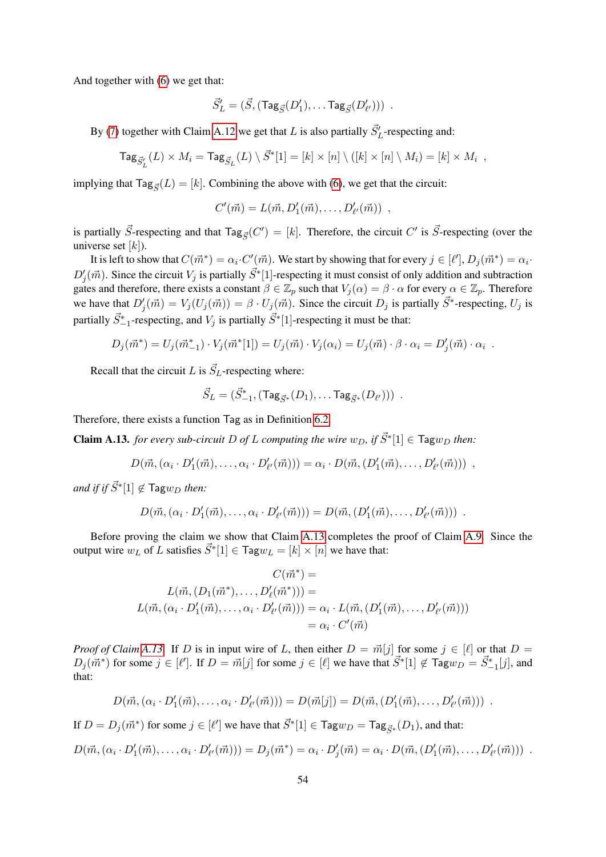And together with [\(6\)](#page-52-1) we get that:

$$
\vec{S}'_L = (\vec{S}, (\mathsf{Tag}_{\vec{S}}(D'_1), \ldots \mathsf{Tag}_{\vec{S}}(D'_{\ell'}))) \enspace .
$$

By [\(7\)](#page-52-2) together with Claim [A.12](#page-52-0) we get that L is also partially  $\vec{S}'_L$ -respecting and:

$$
\mathsf{Tag}_{\vec{S}'_L}(L) \times M_i = \mathsf{Tag}_{\vec{S}_L}(L) \setminus \vec{S}^*[1] = [k] \times [n] \setminus ([k] \times [n] \setminus M_i) = [k] \times M_i ,
$$

implying that  $\text{Tag}_{\vec{S}}(L) = [k]$ . Combining the above with [\(6\)](#page-52-1), we get that the circuit:

$$
C'(\vec{m}) = L(\vec{m}, D'_1(\vec{m}), \ldots, D'_{\ell'}(\vec{m})) ,
$$

is partially  $\vec{S}$ -respecting and that  $\text{Tag}_{\vec{S}}(C') = [k]$ . Therefore, the circuit C' is  $\vec{S}$ -respecting (over the universe set  $[k]$ ).

It is left to show that  $C(\vec{m}^*) = \alpha_i \cdot C'(\vec{m})$ . We start by showing that for every  $j \in [\ell'], D_j(\vec{m}^*) = \alpha_i \cdot C'(\vec{m})$ .  $D'_j(\vec{m})$ . Since the circuit  $V_j$  is partially  $\vec{S}^*[1]$ -respecting it must consist of only addition and subtraction gates and therefore, there exists a constant  $\beta \in \mathbb{Z}_p$  such that  $V_j(\alpha) = \beta \cdot \alpha$  for every  $\alpha \in \mathbb{Z}_p$ . Therefore we have that  $D'_j(\vec{m}) = V_j(U_j(\vec{m})) = \beta \cdot U_j(\vec{m})$ . Since the circuit  $D_j$  is partially  $\vec{S}^*$ -respecting,  $U_j$  is partially  $\vec{S}_{-1}^*$ -respecting, and  $V_j$  is partially  $\vec{S}^*[1]$ -respecting it must be that:

$$
D_j(\vec{m}^*) = U_j(\vec{m}_{-1}^*) \cdot V_j(\vec{m}^*[1]) = U_j(\vec{m}) \cdot V_j(\alpha_i) = U_j(\vec{m}) \cdot \beta \cdot \alpha_i = D'_j(\vec{m}) \cdot \alpha_i.
$$

Recall that the circuit L is  $\vec{S}_L$ -respecting where:

$$
\vec{S}_L = (\vec{S}^*_{-1}, (\mathsf{Tag}_{\vec{S}^*}(D_1), \dots \mathsf{Tag}_{\vec{S}^*}(D_{\ell'}))) \enspace .
$$

Therefore, there exists a function Tag as in Definition [6.2.](#page-24-3)

<span id="page-53-0"></span>**Claim A.13.** *for every sub-circuit* D of L computing the wire  $w_D$ , if  $\vec{S}^*[1] \in \text{Tag}w_D$  then:

$$
D(\vec{m},(\alpha_i\cdot D'_1(\vec{m}),\ldots,\alpha_i\cdot D'_{\ell'}(\vec{m}))) = \alpha_i\cdot D(\vec{m},(D'_1(\vec{m}),\ldots,D'_{\ell'}(\vec{m}))) ,
$$

 $and$  if if  $\vec{S}^{*}[1]\not\in \mathsf{Tag} w_D$  then:

$$
D(\vec{m}, (\alpha_i \cdot D'_1(\vec{m}), \ldots, \alpha_i \cdot D'_{\ell'}(\vec{m}))) = D(\vec{m}, (D'_1(\vec{m}), \ldots, D'_{\ell'}(\vec{m}))) .
$$

Before proving the claim we show that Claim [A.13](#page-53-0) completes the proof of Claim [A.9.](#page-49-4) Since the output wire  $w_L$  of L satisfies  $\vec{S}^*[1] \in \text{Tag} w_L = [k] \times [n]$  we have that:

$$
C(\vec{m}^*) =
$$
  
\n
$$
L(\vec{m}, (D_1(\vec{m}^*), \dots, D'_\ell(\vec{m}^*)) ) =
$$
  
\n
$$
L(\vec{m}, (\alpha_i \cdot D'_1(\vec{m}), \dots, \alpha_i \cdot D'_{\ell'}(\vec{m}))) = \alpha_i \cdot L(\vec{m}, (D'_1(\vec{m}), \dots, D'_{\ell'}(\vec{m})))
$$
  
\n
$$
= \alpha_i \cdot C'(\vec{m})
$$

*Proof of Claim [A.13.](#page-53-0)* If D is in input wire of L, then either  $D = \vec{m}[j]$  for some  $j \in [\ell]$  or that  $D =$  $D_j(\vec{m}^*)$  for some  $j \in [\ell']$ . If  $D = \vec{m}[j]$  for some  $j \in [\ell]$  we have that  $\vec{S}^*[1] \notin \text{Tagw}_D = \vec{S}_{-1}^*[j]$ , and that:

$$
D(\vec{m}, (\alpha_i \cdot D'_1(\vec{m}), \ldots, \alpha_i \cdot D'_{\ell'}(\vec{m}))) = D(\vec{m}[j]) = D(\vec{m}, (D'_1(\vec{m}), \ldots, D'_{\ell'}(\vec{m}))) .
$$

If  $D = D_j(\vec{m}^*)$  for some  $j \in [\ell']$  we have that  $\vec{S}^*[1] \in \textsf{Tagw}_D = \textsf{Tag}_{\vec{S}^*}(D_1)$ , and that:

$$
D(\vec{m},(\alpha_i \cdot D'_1(\vec{m}),\ldots,\alpha_i \cdot D'_{\ell'}(\vec{m}))) = D_j(\vec{m}^*) = \alpha_i \cdot D'_j(\vec{m}) = \alpha_i \cdot D(\vec{m},(D'_1(\vec{m}),\ldots,D'_{\ell'}(\vec{m})))
$$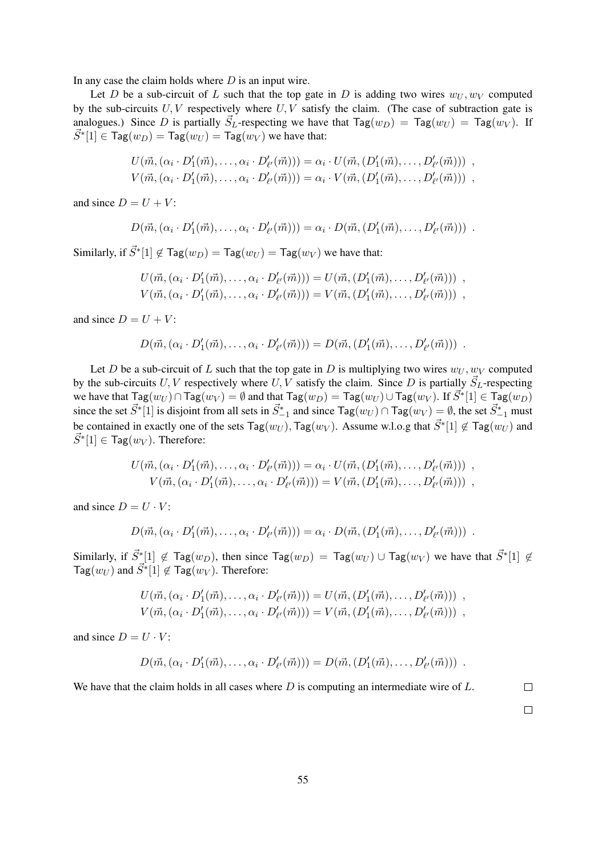In any case the claim holds where  $D$  is an input wire.

Let D be a sub-circuit of L such that the top gate in D is adding two wires  $w_U, w_V$  computed by the sub-circuits  $U, V$  respectively where  $U, V$  satisfy the claim. (The case of subtraction gate is analogues.) Since D is partially  $\vec{S}_L$ -respecting we have that  $\text{Tag}(w_D) = \text{Tag}(w_U) = \text{Tag}(w_V)$ . If  $\vec{S}^*[1] \in \mathsf{Tag}(w_D) = \mathsf{Tag}(w_U) = \mathsf{Tag}(w_V)$  we have that:

$$
U(\vec{m}, (\alpha_i \cdot D'_1(\vec{m}), \dots, \alpha_i \cdot D'_{\ell'}(\vec{m}))) = \alpha_i \cdot U(\vec{m}, (D'_1(\vec{m}), \dots, D'_{\ell'}(\vec{m}))) ,
$$
  

$$
V(\vec{m}, (\alpha_i \cdot D'_1(\vec{m}), \dots, \alpha_i \cdot D'_{\ell'}(\vec{m}))) = \alpha_i \cdot V(\vec{m}, (D'_1(\vec{m}), \dots, D'_{\ell'}(\vec{m}))) ,
$$

and since  $D = U + V$ :

$$
D(\vec{m},(\alpha_i\cdot D'_1(\vec{m}),\ldots,\alpha_i\cdot D'_{\ell'}(\vec{m})))=\alpha_i\cdot D(\vec{m},(D'_1(\vec{m}),\ldots,D'_{\ell'}(\vec{m})))
$$
.

Similarly, if  $\vec{S}^*[1] \notin \textsf{Tag}(w_D) = \textsf{Tag}(w_U) = \textsf{Tag}(w_V)$  we have that:

$$
U(\vec{m}, (\alpha_i \cdot D'_1(\vec{m}), \dots, \alpha_i \cdot D'_{\ell'}(\vec{m}))) = U(\vec{m}, (D'_1(\vec{m}), \dots, D'_{\ell'}(\vec{m}))) ,
$$
  

$$
V(\vec{m}, (\alpha_i \cdot D'_1(\vec{m}), \dots, \alpha_i \cdot D'_{\ell'}(\vec{m}))) = V(\vec{m}, (D'_1(\vec{m}), \dots, D'_{\ell'}(\vec{m}))) ,
$$

and since  $D = U + V$ :

$$
D(\vec{m}, (\alpha_i \cdot D'_1(\vec{m}), \ldots, \alpha_i \cdot D'_{\ell'}(\vec{m}))) = D(\vec{m}, (D'_1(\vec{m}), \ldots, D'_{\ell'}(\vec{m}))) .
$$

Let D be a sub-circuit of L such that the top gate in D is multiplying two wires  $w_U, w_V$  computed by the sub-circuits U, V respectively where U, V satisfy the claim. Since D is partially  $\vec{S}_L$ -respecting we have that  $\textsf{Tag}(w_U) \cap \textsf{Tag}(w_V) = \emptyset$  and that  $\textsf{Tag}(w_D) = \textsf{Tag}(w_U) \cup \textsf{Tag}(w_V)$ . If  $\vec{S}^*[1] \in \textsf{Tag}(w_D)$ since the set  $\vec{S}^*$ [1] is disjoint from all sets in  $\vec{S}_{-1}^*$  and since  $\text{Tag}(w_U) \cap \text{Tag}(w_V) = \emptyset$ , the set  $\vec{S}_{-1}^*$  must be contained in exactly one of the sets  $\text{Tag}(w_U)$ ,  $\text{Tag}(w_V)$ . Assume w.l.o.g that  $\vec{S}^*[1] \notin \text{Tag}(w_U)$  and  $\vec{S}^*[1] \in \textsf{Tag}(w_V)$ . Therefore:

$$
U(\vec{m}, (\alpha_i \cdot D'_1(\vec{m}), \dots, \alpha_i \cdot D'_{\ell'}(\vec{m}))) = \alpha_i \cdot U(\vec{m}, (D'_1(\vec{m}), \dots, D'_{\ell'}(\vec{m}))) ,
$$
  

$$
V(\vec{m}, (\alpha_i \cdot D'_1(\vec{m}), \dots, \alpha_i \cdot D'_{\ell'}(\vec{m}))) = V(\vec{m}, (D'_1(\vec{m}), \dots, D'_{\ell'}(\vec{m}))) ,
$$

and since  $D = U \cdot V$ :

$$
D(\vec{m},(\alpha_i\cdot D'_1(\vec{m}),\ldots,\alpha_i\cdot D'_{\ell'}(\vec{m})))=\alpha_i\cdot D(\vec{m},(D'_1(\vec{m}),\ldots,D'_{\ell'}(\vec{m})))
$$
.

Similarly, if  $\vec{S}^*[1] \notin \textsf{Tag}(w_D)$ , then since  $\textsf{Tag}(w_D) = \textsf{Tag}(w_U) \cup \textsf{Tag}(w_V)$  we have that  $\vec{S}^*[1] \notin \textsf{Tag}(w_D)$  $\textsf{Tag}(w_U)$  and  $\vec{S}^*[1] \notin \textsf{Tag}(w_V)$ . Therefore:

$$
U(\vec{m}, (\alpha_i \cdot D'_1(\vec{m}), \dots, \alpha_i \cdot D'_{\ell'}(\vec{m}))) = U(\vec{m}, (D'_1(\vec{m}), \dots, D'_{\ell'}(\vec{m}))) ,
$$
  

$$
V(\vec{m}, (\alpha_i \cdot D'_1(\vec{m}), \dots, \alpha_i \cdot D'_{\ell'}(\vec{m}))) = V(\vec{m}, (D'_1(\vec{m}), \dots, D'_{\ell'}(\vec{m}))) ,
$$

and since  $D = U \cdot V$ :

$$
D(\vec{m}, (\alpha_i \cdot D'_1(\vec{m}), \ldots, \alpha_i \cdot D'_{\ell'}(\vec{m}))) = D(\vec{m}, (D'_1(\vec{m}), \ldots, D'_{\ell'}(\vec{m}))) .
$$

We have that the claim holds in all cases where  $D$  is computing an intermediate wire of  $L$ .

 $\Box$  $\Box$